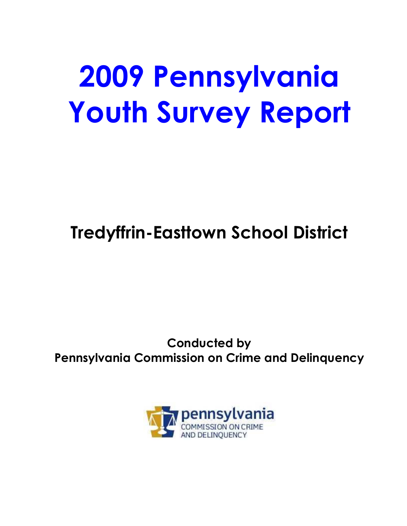# **2009 Pennsylvania Youth Survey Report**

## **Tredyffrin-Easttown School District**

## **Conducted by Pennsylvania Commission on Crime and Delinquency**

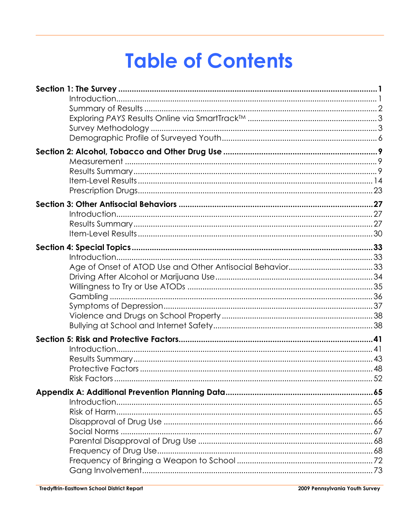## **Table of Contents**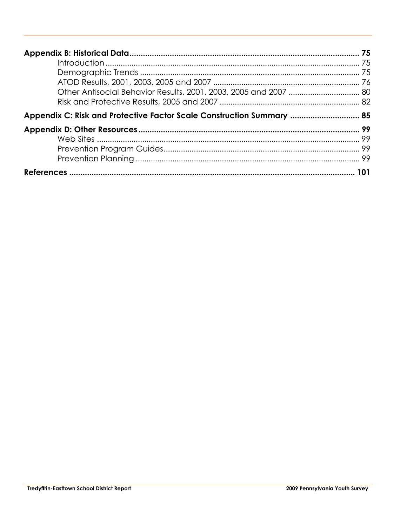| Appendix C: Risk and Protective Factor Scale Construction Summary  85 |     |
|-----------------------------------------------------------------------|-----|
|                                                                       |     |
|                                                                       | 101 |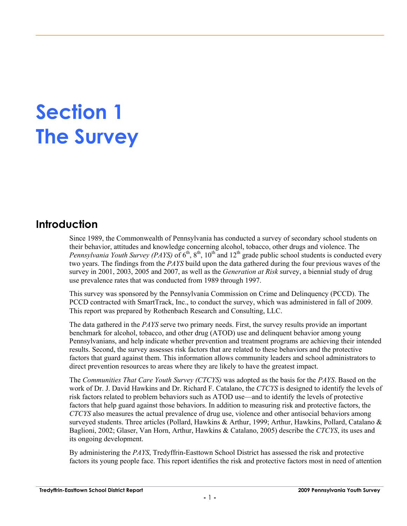## **Section 1 The Survey**

### **Introduction**

Since 1989, the Commonwealth of Pennsylvania has conducted a survey of secondary school students on their behavior, attitudes and knowledge concerning alcohol, tobacco, other drugs and violence. The *Pennsylvania Youth Survey (PAYS)* of 6<sup>th</sup>, 8<sup>th</sup>, 10<sup>th</sup> and 12<sup>th</sup> grade public school students is conducted every two years. The findings from the *PAYS* build upon the data gathered during the four previous waves of the survey in 2001, 2003, 2005 and 2007, as well as the *Generation at Risk* survey, a biennial study of drug use prevalence rates that was conducted from 1989 through 1997.

This survey was sponsored by the Pennsylvania Commission on Crime and Delinquency (PCCD). The PCCD contracted with SmartTrack, Inc., to conduct the survey, which was administered in fall of 2009. This report was prepared by Rothenbach Research and Consulting, LLC.

The data gathered in the *PAYS* serve two primary needs. First, the survey results provide an important benchmark for alcohol, tobacco, and other drug (ATOD) use and delinquent behavior among young Pennsylvanians, and help indicate whether prevention and treatment programs are achieving their intended results. Second, the survey assesses risk factors that are related to these behaviors and the protective factors that guard against them. This information allows community leaders and school administrators to direct prevention resources to areas where they are likely to have the greatest impact.

The *Communities That Care Youth Survey (CTCYS)* was adopted as the basis for the *PAYS*. Based on the work of Dr. J. David Hawkins and Dr. Richard F. Catalano, the *CTCYS* is designed to identify the levels of risk factors related to problem behaviors such as ATOD use—and to identify the levels of protective factors that help guard against those behaviors. In addition to measuring risk and protective factors, the *CTCYS* also measures the actual prevalence of drug use, violence and other antisocial behaviors among surveyed students. Three articles (Pollard, Hawkins & Arthur, 1999; Arthur, Hawkins, Pollard, Catalano & Baglioni, 2002; Glaser, Van Horn, Arthur, Hawkins & Catalano, 2005) describe the *CTCYS*, its uses and its ongoing development.

By administering the *PAYS*, Tredyffrin-Easttown School District has assessed the risk and protective factors its young people face. This report identifies the risk and protective factors most in need of attention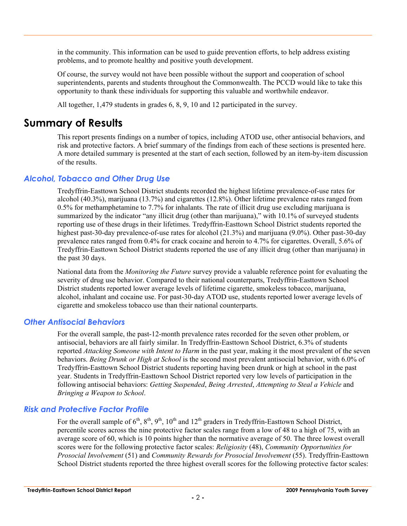in the community. This information can be used to guide prevention efforts, to help address existing problems, and to promote healthy and positive youth development.

Of course, the survey would not have been possible without the support and cooperation of school superintendents, parents and students throughout the Commonwealth. The PCCD would like to take this opportunity to thank these individuals for supporting this valuable and worthwhile endeavor.

All together, 1,479 students in grades 6, 8, 9, 10 and 12 participated in the survey.

### **Summary of Results**

This report presents findings on a number of topics, including ATOD use, other antisocial behaviors, and risk and protective factors. A brief summary of the findings from each of these sections is presented here. A more detailed summary is presented at the start of each section, followed by an item-by-item discussion of the results.

#### *Alcohol, Tobacco and Other Drug Use*

Tredyffrin-Easttown School District students recorded the highest lifetime prevalence-of-use rates for alcohol (40.3%), marijuana (13.7%) and cigarettes (12.8%). Other lifetime prevalence rates ranged from 0.5% for methamphetamine to 7.7% for inhalants. The rate of illicit drug use excluding marijuana is summarized by the indicator "any illicit drug (other than marijuana)," with 10.1% of surveyed students reporting use of these drugs in their lifetimes. Tredyffrin-Easttown School District students reported the highest past-30-day prevalence-of-use rates for alcohol (21.3%) and marijuana (9.0%). Other past-30-day prevalence rates ranged from 0.4% for crack cocaine and heroin to 4.7% for cigarettes. Overall, 5.6% of Tredyffrin-Easttown School District students reported the use of any illicit drug (other than marijuana) in the past 30 days.

National data from the *Monitoring the Future* survey provide a valuable reference point for evaluating the severity of drug use behavior. Compared to their national counterparts, Tredyffrin-Easttown School District students reported lower average levels of lifetime cigarette, smokeless tobacco, marijuana, alcohol, inhalant and cocaine use. For past-30-day ATOD use, students reported lower average levels of cigarette and smokeless tobacco use than their national counterparts.

#### *Other Antisocial Behaviors*

For the overall sample, the past-12-month prevalence rates recorded for the seven other problem, or antisocial, behaviors are all fairly similar. In Tredyffrin-Easttown School District, 6.3% of students reported *Attacking Someone with Intent to Harm* in the past year, making it the most prevalent of the seven behaviors. *Being Drunk or High at School* is the second most prevalent antisocial behavior, with 6.0% of Tredyffrin-Easttown School District students reporting having been drunk or high at school in the past year. Students in Tredyffrin-Easttown School District reported very low levels of participation in the following antisocial behaviors: *Getting Suspended*, *Being Arrested*, *Attempting to Steal a Vehicle* and *Bringing a Weapon to School*.

#### *Risk and Protective Factor Profile*

For the overall sample of  $6<sup>th</sup>$ ,  $8<sup>th</sup>$ ,  $9<sup>th</sup>$ ,  $10<sup>th</sup>$  and  $12<sup>th</sup>$  graders in Tredyffrin-Easttown School District, percentile scores across the nine protective factor scales range from a low of 48 to a high of 75, with an average score of 60, which is 10 points higher than the normative average of 50. The three lowest overall scores were for the following protective factor scales: *Religiosity* (48), *Community Opportunities for Prosocial Involvement* (51) and *Community Rewards for Prosocial Involvement* (55). Tredyffrin-Easttown School District students reported the three highest overall scores for the following protective factor scales: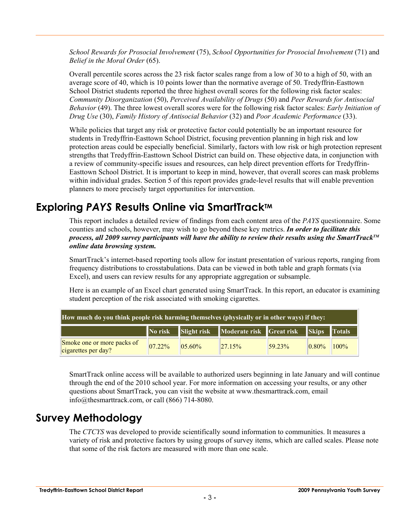*School Rewards for Prosocial Involvement* (75), *School Opportunities for Prosocial Involvement* (71) and *Belief in the Moral Order* (65).

Overall percentile scores across the 23 risk factor scales range from a low of 30 to a high of 50, with an average score of 40, which is 10 points lower than the normative average of 50. Tredyffrin-Easttown School District students reported the three highest overall scores for the following risk factor scales: *Community Disorganization* (50), *Perceived Availability of Drugs* (50) and *Peer Rewards for Antisocial Behavior* (49). The three lowest overall scores were for the following risk factor scales: *Early Initiation of Drug Use* (30), *Family History of Antisocial Behavior* (32) and *Poor Academic Performance* (33).

While policies that target any risk or protective factor could potentially be an important resource for students in Tredyffrin-Easttown School District, focusing prevention planning in high risk and low protection areas could be especially beneficial. Similarly, factors with low risk or high protection represent strengths that Tredyffrin-Easttown School District can build on. These objective data, in conjunction with a review of community-specific issues and resources, can help direct prevention efforts for Tredyffrin-Easttown School District. It is important to keep in mind, however, that overall scores can mask problems within individual grades. Section 5 of this report provides grade-level results that will enable prevention planners to more precisely target opportunities for intervention.

## **Exploring PAYS Results Online via SmartTrack™**

This report includes a detailed review of findings from each content area of the *PAYS* questionnaire. Some counties and schools, however, may wish to go beyond these key metrics. *In order to facilitate this process, all 2009 survey participants will have the ability to review their results using the SmartTrackTM online data browsing system.* 

SmartTrack's internet-based reporting tools allow for instant presentation of various reports, ranging from frequency distributions to crosstabulations. Data can be viewed in both table and graph formats (via Excel), and users can review results for any appropriate aggregation or subsample.

Here is an example of an Excel chart generated using SmartTrack. In this report, an educator is examining student perception of the risk associated with smoking cigarettes.

| How much do you think people risk harming themselves (physically or in other ways) if they: |                        |           |                                      |        |                        |               |  |  |  |  |  |
|---------------------------------------------------------------------------------------------|------------------------|-----------|--------------------------------------|--------|------------------------|---------------|--|--|--|--|--|
|                                                                                             | $\blacksquare$ No risk |           | Slight risk Moderate risk Great risk |        | $\mathbf$ <b>Skips</b> | <b>Totals</b> |  |  |  |  |  |
| Smoke one or more packs of<br>cigarettes per day?                                           | 0722%                  | $05.60\%$ | 27.15%                               | 59.23% | 0.80%                  | 100%          |  |  |  |  |  |

SmartTrack online access will be available to authorized users beginning in late January and will continue through the end of the 2010 school year. For more information on accessing your results, or any other questions about SmartTrack, you can visit the website at www.thesmarttrack.com, email info@thesmarttrack.com, or call (866) 714-8080.

## **Survey Methodology**

The *CTCYS* was developed to provide scientifically sound information to communities. It measures a variety of risk and protective factors by using groups of survey items, which are called scales. Please note that some of the risk factors are measured with more than one scale.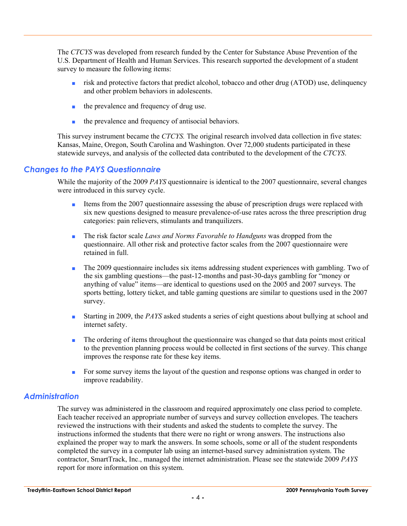The *CTCYS* was developed from research funded by the Center for Substance Abuse Prevention of the U.S. Department of Health and Human Services. This research supported the development of a student survey to measure the following items:

- risk and protective factors that predict alcohol, tobacco and other drug (ATOD) use, delinquency and other problem behaviors in adolescents.
- the prevalence and frequency of drug use.
- the prevalence and frequency of antisocial behaviors.

This survey instrument became the *CTCYS.* The original research involved data collection in five states: Kansas, Maine, Oregon, South Carolina and Washington. Over 72,000 students participated in these statewide surveys, and analysis of the collected data contributed to the development of the *CTCYS*.

#### *Changes to the PAYS Questionnaire*

While the majority of the 2009 *PAYS* questionnaire is identical to the 2007 questionnaire, several changes were introduced in this survey cycle.

- Items from the 2007 questionnaire assessing the abuse of prescription drugs were replaced with six new questions designed to measure prevalence-of-use rates across the three prescription drug categories: pain relievers, stimulants and tranquilizers.
- The risk factor scale *Laws and Norms Favorable to Handguns* was dropped from the questionnaire. All other risk and protective factor scales from the 2007 questionnaire were retained in full.
- The 2009 questionnaire includes six items addressing student experiences with gambling. Two of the six gambling questions—the past-12-months and past-30-days gambling for "money or anything of value" items—are identical to questions used on the 2005 and 2007 surveys. The sports betting, lottery ticket, and table gaming questions are similar to questions used in the 2007 survey.
- Starting in 2009, the *PAYS* asked students a series of eight questions about bullying at school and internet safety.
- The ordering of items throughout the questionnaire was changed so that data points most critical to the prevention planning process would be collected in first sections of the survey. This change improves the response rate for these key items.
- For some survey items the layout of the question and response options was changed in order to improve readability.

#### *Administration*

The survey was administered in the classroom and required approximately one class period to complete. Each teacher received an appropriate number of surveys and survey collection envelopes. The teachers reviewed the instructions with their students and asked the students to complete the survey. The instructions informed the students that there were no right or wrong answers. The instructions also explained the proper way to mark the answers. In some schools, some or all of the student respondents completed the survey in a computer lab using an internet-based survey administration system. The contractor, SmartTrack, Inc., managed the internet administration. Please see the statewide 2009 *PAYS* report for more information on this system.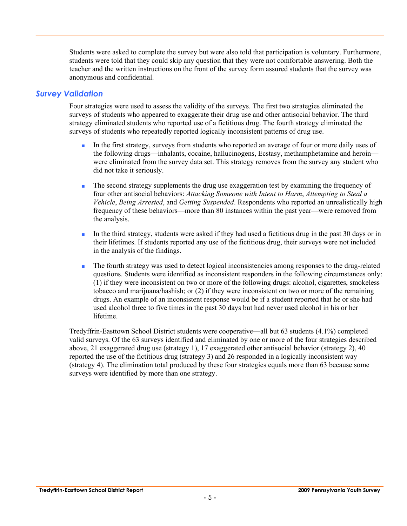Students were asked to complete the survey but were also told that participation is voluntary. Furthermore, students were told that they could skip any question that they were not comfortable answering. Both the teacher and the written instructions on the front of the survey form assured students that the survey was anonymous and confidential.

#### *Survey Validation*

Four strategies were used to assess the validity of the surveys. The first two strategies eliminated the surveys of students who appeared to exaggerate their drug use and other antisocial behavior. The third strategy eliminated students who reported use of a fictitious drug. The fourth strategy eliminated the surveys of students who repeatedly reported logically inconsistent patterns of drug use.

- In the first strategy, surveys from students who reported an average of four or more daily uses of the following drugs—inhalants, cocaine, hallucinogens, Ecstasy, methamphetamine and heroin were eliminated from the survey data set. This strategy removes from the survey any student who did not take it seriously.
- The second strategy supplements the drug use exaggeration test by examining the frequency of four other antisocial behaviors: *Attacking Someone with Intent to Harm*, *Attempting to Steal a Vehicle*, *Being Arrested*, and *Getting Suspended*. Respondents who reported an unrealistically high frequency of these behaviors—more than 80 instances within the past year—were removed from the analysis.
- In the third strategy, students were asked if they had used a fictitious drug in the past 30 days or in their lifetimes. If students reported any use of the fictitious drug, their surveys were not included in the analysis of the findings.
- The fourth strategy was used to detect logical inconsistencies among responses to the drug-related questions. Students were identified as inconsistent responders in the following circumstances only: (1) if they were inconsistent on two or more of the following drugs: alcohol, cigarettes, smokeless tobacco and marijuana/hashish; or (2) if they were inconsistent on two or more of the remaining drugs. An example of an inconsistent response would be if a student reported that he or she had used alcohol three to five times in the past 30 days but had never used alcohol in his or her lifetime.

Tredyffrin-Easttown School District students were cooperative—all but 63 students (4.1%) completed valid surveys. Of the 63 surveys identified and eliminated by one or more of the four strategies described above, 21 exaggerated drug use (strategy 1), 17 exaggerated other antisocial behavior (strategy 2), 40 reported the use of the fictitious drug (strategy 3) and 26 responded in a logically inconsistent way (strategy 4). The elimination total produced by these four strategies equals more than 63 because some surveys were identified by more than one strategy.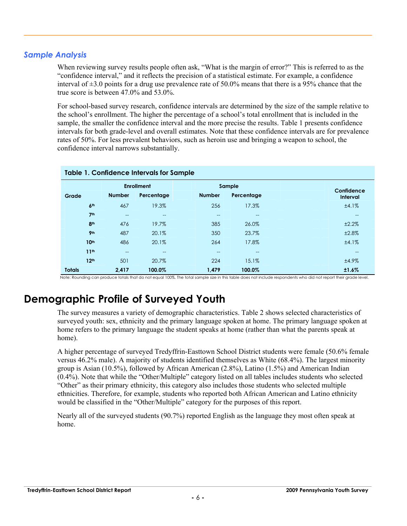#### *Sample Analysis*

When reviewing survey results people often ask, "What is the margin of error?" This is referred to as the "confidence interval," and it reflects the precision of a statistical estimate. For example, a confidence interval of  $\pm 3.0$  points for a drug use prevalence rate of 50.0% means that there is a 95% chance that the true score is between 47.0% and 53.0%.

For school-based survey research, confidence intervals are determined by the size of the sample relative to the school's enrollment. The higher the percentage of a school's total enrollment that is included in the sample, the smaller the confidence interval and the more precise the results. Table 1 presents confidence intervals for both grade-level and overall estimates. Note that these confidence intervals are for prevalence rates of 50%. For less prevalent behaviors, such as heroin use and bringing a weapon to school, the confidence interval narrows substantially.

|               | <b>Table 1. Confidence Intervals for Sample</b> |                   |                   |               |            |                               |  |  |  |  |  |  |  |
|---------------|-------------------------------------------------|-------------------|-------------------|---------------|------------|-------------------------------|--|--|--|--|--|--|--|
|               |                                                 |                   | <b>Enrollment</b> |               | Sample     |                               |  |  |  |  |  |  |  |
| Grade         |                                                 | <b>Number</b>     | Percentage        | <b>Number</b> | Percentage | Confidence<br><b>Interval</b> |  |  |  |  |  |  |  |
|               | 6 <sup>th</sup>                                 | 467               | 19.3%             | 256           | 17.3%      | ±4.1%                         |  |  |  |  |  |  |  |
|               | 7 <sup>th</sup>                                 | $- -$             | $\qquad \qquad -$ | $-$           |            | $-$                           |  |  |  |  |  |  |  |
|               | 8 <sup>th</sup>                                 | 476               | 19.7%             | 385           | 26.0%      | ±2.2%                         |  |  |  |  |  |  |  |
|               | 9 <sub>th</sub>                                 | 487               | 20.1%             | 350           | 23.7%      | ±2.8%                         |  |  |  |  |  |  |  |
|               | 10 <sup>th</sup>                                | 486               | 20.1%             | 264           | 17.8%      | ±4.1%                         |  |  |  |  |  |  |  |
|               | 11 <sup>th</sup>                                | $\qquad \qquad -$ | $\qquad \qquad -$ | $-$           | $- -$      | $- -$                         |  |  |  |  |  |  |  |
|               | 12 <sup>th</sup>                                | 501               | 20.7%             | 224           | 15.1%      | ±4.9%                         |  |  |  |  |  |  |  |
| <b>Totals</b> |                                                 | 2,417             | 100.0%            | 1,479         | 100.0%     | ±1.6%                         |  |  |  |  |  |  |  |

Note: Rounding can produce totals that do not equal 100%. The total sample size in this table does not include respondents who did not report their grade level.

## **Demographic Profile of Surveyed Youth**

The survey measures a variety of demographic characteristics. Table 2 shows selected characteristics of surveyed youth: sex, ethnicity and the primary language spoken at home. The primary language spoken at home refers to the primary language the student speaks at home (rather than what the parents speak at home).

A higher percentage of surveyed Tredyffrin-Easttown School District students were female (50.6% female versus 46.2% male). A majority of students identified themselves as White (68.4%). The largest minority group is Asian (10.5%), followed by African American (2.8%), Latino (1.5%) and American Indian (0.4%). Note that while the "Other/Multiple" category listed on all tables includes students who selected "Other" as their primary ethnicity, this category also includes those students who selected multiple ethnicities. Therefore, for example, students who reported both African American and Latino ethnicity would be classified in the "Other/Multiple" category for the purposes of this report.

Nearly all of the surveyed students (90.7%) reported English as the language they most often speak at home.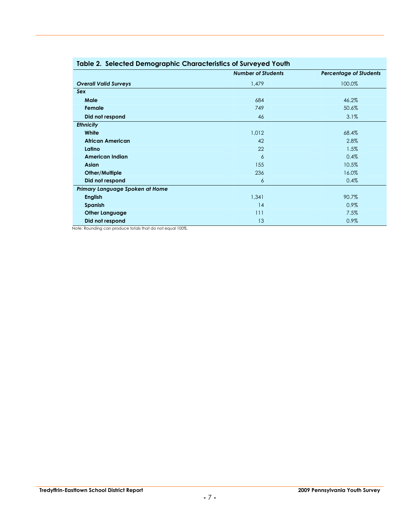| Table 2. Selected Demographic Characteristics of Surveyed Tourn |                           |                               |  |  |  |  |  |  |  |  |
|-----------------------------------------------------------------|---------------------------|-------------------------------|--|--|--|--|--|--|--|--|
|                                                                 | <b>Number of Students</b> | <b>Percentage of Students</b> |  |  |  |  |  |  |  |  |
| <b>Overall Valid Surveys</b>                                    | 1,479                     | 100.0%                        |  |  |  |  |  |  |  |  |
| Sex                                                             |                           |                               |  |  |  |  |  |  |  |  |
| Male                                                            | 684                       | 46.2%                         |  |  |  |  |  |  |  |  |
| Female                                                          | 749                       | 50.6%                         |  |  |  |  |  |  |  |  |
| Did not respond                                                 | 46                        | 3.1%                          |  |  |  |  |  |  |  |  |
| <b>Ethnicity</b>                                                |                           |                               |  |  |  |  |  |  |  |  |
| White                                                           | 1,012                     | 68.4%                         |  |  |  |  |  |  |  |  |
| <b>African American</b>                                         | 42                        | 2.8%                          |  |  |  |  |  |  |  |  |
| Latino                                                          | 22                        | 1.5%                          |  |  |  |  |  |  |  |  |
| American Indian                                                 | 6                         | 0.4%                          |  |  |  |  |  |  |  |  |
| Asian                                                           | 155                       | 10.5%                         |  |  |  |  |  |  |  |  |
| Other/Multiple                                                  | 236                       | 16.0%                         |  |  |  |  |  |  |  |  |
| Did not respond                                                 | 6                         | 0.4%                          |  |  |  |  |  |  |  |  |
| Primary Language Spoken at Home                                 |                           |                               |  |  |  |  |  |  |  |  |
| <b>English</b>                                                  | 1,341                     | 90.7%                         |  |  |  |  |  |  |  |  |
| <b>Spanish</b>                                                  | 14                        | 0.9%                          |  |  |  |  |  |  |  |  |
| <b>Other Language</b>                                           | 111                       | 7.5%                          |  |  |  |  |  |  |  |  |
| Did not respond                                                 | 13                        | 0.9%                          |  |  |  |  |  |  |  |  |

#### **Table 2. Selected Demographic Characteristics of Surveyed Youth**

Note: Rounding can produce totals that do not equal 100%.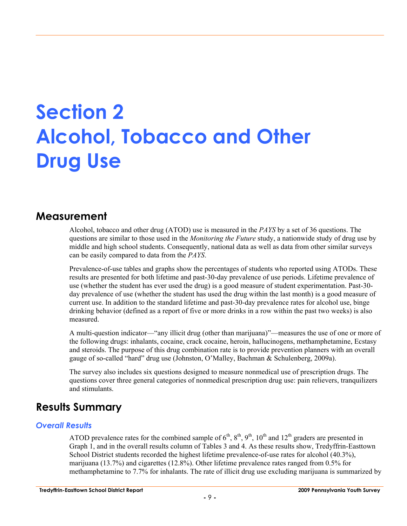## **Section 2 Alcohol, Tobacco and Other Drug Use**

### **Measurement**

Alcohol, tobacco and other drug (ATOD) use is measured in the *PAYS* by a set of 36 questions. The questions are similar to those used in the *Monitoring the Future* study, a nationwide study of drug use by middle and high school students. Consequently, national data as well as data from other similar surveys can be easily compared to data from the *PAYS*.

Prevalence-of-use tables and graphs show the percentages of students who reported using ATODs. These results are presented for both lifetime and past-30-day prevalence of use periods. Lifetime prevalence of use (whether the student has ever used the drug) is a good measure of student experimentation. Past-30 day prevalence of use (whether the student has used the drug within the last month) is a good measure of current use. In addition to the standard lifetime and past-30-day prevalence rates for alcohol use, binge drinking behavior (defined as a report of five or more drinks in a row within the past two weeks) is also measured.

A multi-question indicator—"any illicit drug (other than marijuana)"—measures the use of one or more of the following drugs: inhalants, cocaine, crack cocaine, heroin, hallucinogens, methamphetamine, Ecstasy and steroids. The purpose of this drug combination rate is to provide prevention planners with an overall gauge of so-called "hard" drug use (Johnston, O'Malley, Bachman & Schulenberg, 2009a).

The survey also includes six questions designed to measure nonmedical use of prescription drugs. The questions cover three general categories of nonmedical prescription drug use: pain relievers, tranquilizers and stimulants.

## **Results Summary**

#### *Overall Results*

ATOD prevalence rates for the combined sample of  $6<sup>th</sup>$ ,  $8<sup>th</sup>$ ,  $9<sup>th</sup>$ ,  $10<sup>th</sup>$  and  $12<sup>th</sup>$  graders are presented in Graph 1, and in the overall results column of Tables 3 and 4. As these results show, Tredyffrin-Easttown School District students recorded the highest lifetime prevalence-of-use rates for alcohol (40.3%), marijuana (13.7%) and cigarettes (12.8%). Other lifetime prevalence rates ranged from 0.5% for methamphetamine to 7.7% for inhalants. The rate of illicit drug use excluding marijuana is summarized by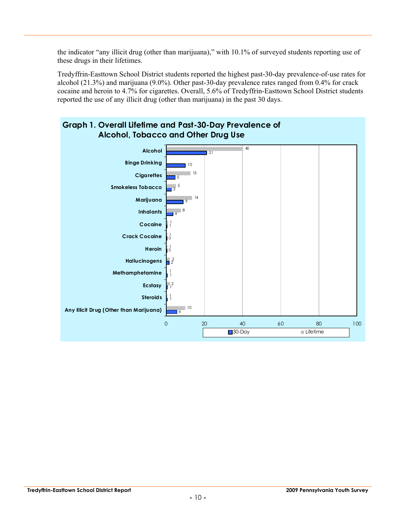the indicator "any illicit drug (other than marijuana)," with 10.1% of surveyed students reporting use of these drugs in their lifetimes.

Tredyffrin-Easttown School District students reported the highest past-30-day prevalence-of-use rates for alcohol (21.3%) and marijuana (9.0%). Other past-30-day prevalence rates ranged from 0.4% for crack cocaine and heroin to 4.7% for cigarettes. Overall, 5.6% of Tredyffrin-Easttown School District students reported the use of any illicit drug (other than marijuana) in the past 30 days.

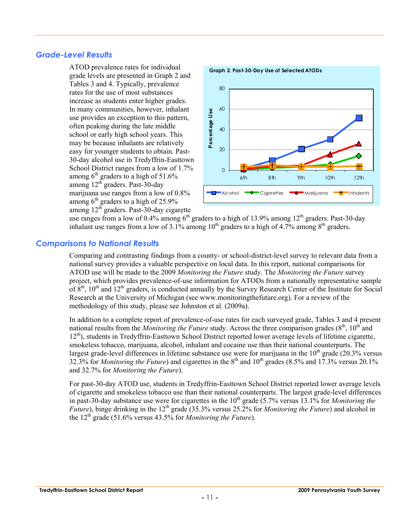#### *Grade-Level Results*

ATOD prevalence rates for individual grade levels are presented in Graph 2 and Tables 3 and 4. Typically, prevalence rates for the use of most substances increase as students enter higher grades. In many communities, however, inhalant use provides an exception to this pattern, often peaking during the late middle school or early high school years. This may be because inhalants are relatively easy for younger students to obtain. Past-30-day alcohol use in Tredyffrin-Easttown School District ranges from a low of 1.7% among  $6<sup>th</sup>$  graders to a high of 51.6% among 12th graders. Past-30-day marijuana use ranges from a low of 0.8% among  $6<sup>th</sup>$  graders to a high of 25.9% among 12<sup>th</sup> graders. Past-30-day cigarette



use ranges from a low of 0.4% among  $6<sup>th</sup>$  graders to a high of 13.9% among 12<sup>th</sup> graders. Past-30-day inhalant use ranges from a low of  $3.1\%$  among  $10<sup>th</sup>$  graders to a high of  $4.7\%$  among  $8<sup>th</sup>$  graders.

#### *Comparisons to National Results*

Comparing and contrasting findings from a county- or school-district-level survey to relevant data from a national survey provides a valuable perspective on local data. In this report, national comparisons for ATOD use will be made to the 2009 *Monitoring the Future* study. The *Monitoring the Future* survey project, which provides prevalence-of-use information for ATODs from a nationally representative sample of  $8<sup>th</sup>$ ,  $10<sup>th</sup>$  and  $12<sup>th</sup>$  graders, is conducted annually by the Survey Research Center of the Institute for Social Research at the University of Michigan (see www.monitoringthefuture.org). For a review of the methodology of this study, please see Johnston et al. (2009a).

In addition to a complete report of prevalence-of-use rates for each surveyed grade, Tables 3 and 4 present national results from the *Monitoring the Future* study. Across the three comparison grades (8<sup>th</sup>, 10<sup>th</sup> and 12<sup>th</sup>), students in Tredyffrin-Easttown School District reported lower average levels of lifetime cigarette, smokeless tobacco, marijuana, alcohol, inhalant and cocaine use than their national counterparts. The largest grade-level differences in lifetime substance use were for marijuana in the  $10<sup>th</sup>$  grade (20.3% versus 32.3% for *Monitoring the Future*) and cigarettes in the 8<sup>th</sup> and 10<sup>th</sup> grades (8.5% and 17.3% versus 20.1% and 32.7% for *Monitoring the Future*).

For past-30-day ATOD use, students in Tredyffrin-Easttown School District reported lower average levels of cigarette and smokeless tobacco use than their national counterparts. The largest grade-level differences in past-30-day substance use were for cigarettes in the  $10^{th}$  grade  $(5.7\%$  versus 13.1% for *Monitoring the Future*), binge drinking in the 12<sup>th</sup> grade (35.3% versus 25.2% for *Monitoring the Future*) and alcohol in the  $12<sup>th</sup>$  grade (51.6% versus 43.5% for *Monitoring the Future*).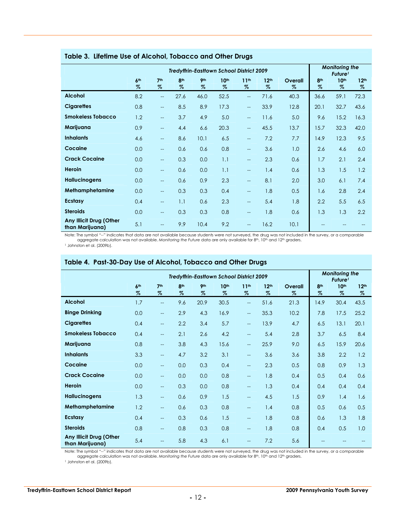|                                            | ----                    |                          |                         |                         |                                                 |                                                     |                          |                 |                                              |                          |                          |  |  |
|--------------------------------------------|-------------------------|--------------------------|-------------------------|-------------------------|-------------------------------------------------|-----------------------------------------------------|--------------------------|-----------------|----------------------------------------------|--------------------------|--------------------------|--|--|
|                                            |                         |                          |                         |                         | <b>Tredyffrin-Eastlown School District 2009</b> |                                                     |                          |                 | <b>Monitoring the</b><br>Future <sup>1</sup> |                          |                          |  |  |
|                                            | 6 <sup>th</sup><br>$\%$ | 7 <sup>th</sup><br>$\%$  | 8 <sup>th</sup><br>$\%$ | 9 <sub>th</sub><br>$\%$ | 10 <sup>th</sup><br>$\%$                        | 11 <sup>th</sup><br>$\%$                            | 12 <sup>th</sup><br>$\%$ | Overall<br>$\%$ | 8 <sup>th</sup><br>$\%$                      | 10 <sup>th</sup><br>$\%$ | 12 <sup>th</sup><br>$\%$ |  |  |
| <b>Alcohol</b>                             | 8.2                     | $-$                      | 27.6                    | 46.0                    | 52.5                                            | $\qquad \qquad -$                                   | 71.6                     | 40.3            | 36.6                                         | 59.1                     | 72.3                     |  |  |
| <b>Cigarettes</b>                          | 0.8                     | $\overline{\phantom{m}}$ | 8.5                     | 8.9                     | 17.3                                            | $\hspace{0.05cm} -\hspace{0.05cm} -\hspace{0.05cm}$ | 33.9                     | 12.8            | 20.1                                         | 32.7                     | 43.6                     |  |  |
| <b>Smokeless Tobacco</b>                   | 1.2                     | $\overline{\phantom{a}}$ | 3.7                     | 4.9                     | 5.0                                             | $\qquad \qquad -$                                   | 11.6                     | 5.0             | 9.6                                          | 15.2                     | 16.3                     |  |  |
| Marijuana                                  | 0.9                     | $-$                      | 4.4                     | 6.6                     | 20.3                                            | $\overline{\phantom{m}}$                            | 45.5                     | 13.7            | 15.7                                         | 32.3                     | 42.0                     |  |  |
| <b>Inhalants</b>                           | 4.6                     | --                       | 8.6                     | 10.1                    | 6.5                                             | $\qquad \qquad -$                                   | 7.2                      | 7.7             | 14.9                                         | 12.3                     | 9.5                      |  |  |
| Cocaine                                    | 0.0                     | $-$                      | 0.6                     | 0.6                     | 0.8                                             | $\overline{\phantom{a}}$                            | 3.6                      | 1.0             | 2.6                                          | 4.6                      | 6.0                      |  |  |
| <b>Crack Cocaine</b>                       | 0.0                     | $-$                      | 0.3                     | 0.0                     | 1.1                                             | $\qquad \qquad -$                                   | 2.3                      | 0.6             | 1.7                                          | 2.1                      | 2.4                      |  |  |
| Heroin                                     | 0.0                     | $-$                      | 0.6                     | 0.0                     | 1.1                                             | $\qquad \qquad -$                                   | 1.4                      | 0.6             | 1.3                                          | 1.5                      | 1.2                      |  |  |
| <b>Hallucinogens</b>                       | 0.0                     | $\overline{\phantom{a}}$ | 0.6                     | 0.9                     | 2.3                                             | $\overline{\phantom{m}}$                            | 8.1                      | 2.0             | 3.0                                          | 6.1                      | 7.4                      |  |  |
| Methamphetamine                            | 0.0                     | $-$                      | 0.3                     | 0.3                     | 0.4                                             | $\qquad \qquad -$                                   | 1.8                      | 0.5             | 1.6                                          | 2.8                      | 2.4                      |  |  |
| <b>Ecstasy</b>                             | 0.4                     | $-$                      | 1.1                     | 0.6                     | 2.3                                             | $-$                                                 | 5.4                      | 1.8             | 2.2                                          | 5.5                      | 6.5                      |  |  |
| <b>Steroids</b>                            | 0.0                     | --                       | 0.3                     | 0.3                     | 0.8                                             | $\hspace{0.05cm}$                                   | 1.8                      | 0.6             | 1.3                                          | 1.3                      | 2.2                      |  |  |
| Any Illicit Drug (Other<br>than Marijuana) | 5.1                     | $-$                      | 9.9                     | 10.4                    | 9.2                                             | $\qquad \qquad -$                                   | 16.2                     | 10.1            |                                              |                          |                          |  |  |

#### **Table 3. Lifetime Use of Alcohol, Tobacco and Other Drugs**

Note: The symbol "--" indicates that data are not available because students were not surveyed, the drug was not included in the survey, or a comparable<br>aggregate calculation was not available. Monitoring the Future data a

1 Johnston et al. (2009b).

|                                            |                      |                          |                         |                         | Tredyffrin-Easttown School District 2009 |                          |                          |                 |                         | <b>Monitoring the</b><br>Future <sup>1</sup> |                          |
|--------------------------------------------|----------------------|--------------------------|-------------------------|-------------------------|------------------------------------------|--------------------------|--------------------------|-----------------|-------------------------|----------------------------------------------|--------------------------|
|                                            | 6 <sup>th</sup><br>% | 7 <sup>th</sup><br>$\%$  | 8 <sup>th</sup><br>$\%$ | 9 <sub>th</sub><br>$\%$ | 10 <sup>th</sup><br>$\%$                 | 11 <sup>th</sup><br>$\%$ | 12 <sup>th</sup><br>$\%$ | Overall<br>$\%$ | 8 <sup>th</sup><br>$\%$ | 10 <sup>th</sup><br>$\%$                     | 12 <sup>th</sup><br>$\%$ |
| <b>Alcohol</b>                             | 1.7                  | $\overline{\phantom{a}}$ | 9.6                     | 20.9                    | 30.5                                     | $\overline{\phantom{a}}$ | 51.6                     | 21.3            | 14.9                    | 30.4                                         | 43.5                     |
| <b>Binge Drinking</b>                      | 0.0                  | $\overline{\phantom{a}}$ | 2.9                     | 4.3                     | 16.9                                     | $-$                      | 35.3                     | 10.2            | 7.8                     | 17.5                                         | 25.2                     |
| <b>Cigarettes</b>                          | 0.4                  | $-$                      | 2.2                     | 3.4                     | 5.7                                      | $\overline{\phantom{a}}$ | 13.9                     | 4.7             | 6.5                     | 13.1                                         | 20.1                     |
| <b>Smokeless Tobacco</b>                   | 0.4                  | $\overline{\phantom{a}}$ | 2.1                     | 2.6                     | 4.2                                      | $\overline{\phantom{a}}$ | 5.4                      | 2.8             | 3.7                     | 6.5                                          | 8.4                      |
| Marijuana                                  | 0.8                  | $- -$                    | 3.8                     | 4.3                     | 15.6                                     | $-$                      | 25.9                     | 9.0             | 6.5                     | 15.9                                         | 20.6                     |
| <b>Inhalants</b>                           | 3.3                  | $-$                      | 4.7                     | 3.2                     | 3.1                                      | $\overline{a}$           | 3.6                      | 3.6             | 3.8                     | 2.2                                          | 1.2                      |
| Cocaine                                    | 0.0                  | $-$                      | 0.0                     | 0.3                     | 0.4                                      | $\overline{\phantom{0}}$ | 2.3                      | 0.5             | 0.8                     | 0.9                                          | 1.3                      |
| <b>Crack Cocaine</b>                       | 0.0                  | $- -$                    | 0.0                     | 0.0                     | 0.8                                      | $-$                      | 1.8                      | 0.4             | 0.5                     | 0.4                                          | 0.6                      |
| Heroin                                     | 0.0                  | $-$                      | 0.3                     | 0.0                     | 0.8                                      | $\overline{\phantom{0}}$ | 1.3                      | 0.4             | 0.4                     | 0.4                                          | 0.4                      |
| <b>Hallucinogens</b>                       | 1.3                  | $- -$                    | 0.6                     | 0.9                     | 1.5                                      | $-$                      | 4.5                      | 1.5             | 0.9                     | 1.4                                          | 1.6                      |
| Methamphetamine                            | 1.2                  | $-$                      | 0.6                     | 0.3                     | 0.8                                      | $-$                      | 1.4                      | 0.8             | 0.5                     | 0.6                                          | 0.5                      |
| <b>Ecstasy</b>                             | 0.4                  | $-$                      | 0.3                     | 0.6                     | 1.5                                      | $\overline{a}$           | 1.8                      | 0.8             | 0.6                     | 1.3                                          | 1.8                      |
| <b>Steroids</b>                            | 0.8                  | $-$                      | 0.8                     | 0.3                     | 0.8                                      | $-$                      | 1.8                      | 0.8             | 0.4                     | 0.5                                          | 1.0                      |
| Any Illicit Drug (Other<br>than Marijuana) | 5.4                  | $-$                      | 5.8                     | 4.3                     | 6.1                                      | $-$                      | 7.2                      | 5.6             |                         |                                              |                          |

#### **Table 4. Past-30-Day Use of Alcohol, Tobacco and Other Drugs**

Note: The symbol "--" indicates that data are not available because students were not surveyed, the drug was not included in the survey, or a comparable<br>aggregate calculation was not available. Monitoring the Future data a

1 Johnston et al. (2009b).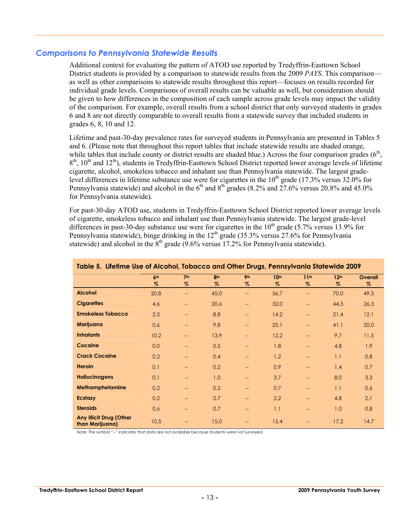#### *Comparisons to Pennsylvania Statewide Results*

Additional context for evaluating the pattern of ATOD use reported by Tredyffrin-Easttown School District students is provided by a comparison to statewide results from the 2009 *PAYS*. This comparison as well as other comparisons to statewide results throughout this report—focuses on results recorded for individual grade levels. Comparisons of overall results can be valuable as well, but consideration should be given to how differences in the composition of each sample across grade levels may impact the validity of the comparison. For example, overall results from a school district that only surveyed students in grades 6 and 8 are not directly comparable to overall results from a statewide survey that included students in grades 6, 8, 10 and 12.

Lifetime and past-30-day prevalence rates for surveyed students in Pennsylvania are presented in Tables 5 and 6. (Please note that throughout this report tables that include statewide results are shaded orange, while tables that include county or district results are shaded blue.) Across the four comparison grades  $(6<sup>th</sup>)$ .  $8<sup>th</sup>$ , 10<sup>th</sup> and 12<sup>th</sup>), students in Tredyffrin-Easttown School District reported lower average levels of lifetime cigarette, alcohol, smokeless tobacco and inhalant use than Pennsylvania statewide. The largest gradelevel differences in lifetime substance use were for cigarettes in the  $10<sup>th</sup>$  grade (17.3% versus 32.0% for Pennsylvania statewide) and alcohol in the  $6<sup>th</sup>$  and  $8<sup>th</sup>$  grades (8.2% and 27.6% versus 20.8% and 45.0% for Pennsylvania statewide).

For past-30-day ATOD use, students in Tredyffrin-Easttown School District reported lower average levels of cigarette, smokeless tobacco and inhalant use than Pennsylvania statewide. The largest grade-level differences in past-30-day substance use were for cigarettes in the  $10<sup>th</sup>$  grade (5.7% versus 13.9% for Pennsylvania statewide), binge drinking in the 12<sup>th</sup> grade (35.3% versus 27.6% for Pennsylvania statewide) and alcohol in the  $8<sup>th</sup>$  grade (9.6% versus 17.2% for Pennsylvania statewide).

| <u>table 5. Lifelifie use of Alconoi, tobacco and Oliter Drugs, refilisywania sialewide 2007</u> |                 |                   |      |                          |                  |                          |                  |                  |  |  |  |  |
|--------------------------------------------------------------------------------------------------|-----------------|-------------------|------|--------------------------|------------------|--------------------------|------------------|------------------|--|--|--|--|
|                                                                                                  | 6 <sup>th</sup> | 7 <sup>th</sup>   | 8th  | 9 <sub>th</sub>          | 10 <sup>th</sup> | 11 <sup>th</sup>         | 12 <sup>th</sup> | Overall          |  |  |  |  |
|                                                                                                  | $\%$            | $\%$              | $\%$ | $\%$                     | $\%$             | $\%$                     | $\%$             | $\%$             |  |  |  |  |
| <b>Alcohol</b>                                                                                   | 20.8            | --                | 45.0 | $\overline{\phantom{m}}$ | 56.7             | $\overline{\phantom{a}}$ | 70.0             | 49.3             |  |  |  |  |
| <b>Cigarettes</b>                                                                                | 4.6             | $\qquad \qquad -$ | 20.6 | $\overline{\phantom{m}}$ | 32.0             | $\hspace{0.05cm}$        | 44.3             | 26.3             |  |  |  |  |
| <b>Smokeless Tobacco</b>                                                                         | 2.5             | $\qquad \qquad -$ | 8.8  | $\qquad \qquad -$        | 14.2             | $\hspace{0.05cm}$        | 21.4             | 12.1             |  |  |  |  |
| Marijuana                                                                                        | 0.6             | $\qquad \qquad -$ | 9.8  | $\qquad \qquad -$        | 25.1             | $\qquad \qquad -$        | 41.1             | 20.0             |  |  |  |  |
| <b>Inhalants</b>                                                                                 | 10.2            | $\qquad \qquad -$ | 13.9 | $\qquad \qquad -$        | 12.2             | $\overline{\phantom{a}}$ | 9.7              | 11.5             |  |  |  |  |
| Cocaine                                                                                          | 0.0             | $\qquad \qquad -$ | 0.5  | $\qquad \qquad -$        | 1.8              | $\overline{\phantom{a}}$ | 4.8              | 1.9 <sup>°</sup> |  |  |  |  |
| <b>Crack Cocaine</b>                                                                             | 0.2             | $\qquad \qquad -$ | 0.4  | $\overline{\phantom{m}}$ | 1.2              | $\overline{\phantom{a}}$ | 1.1              | 0.8              |  |  |  |  |
| <b>Heroin</b>                                                                                    | 0.1             | $\qquad \qquad -$ | 0.2  | $\qquad \qquad -$        | 0.9              | $\overline{\phantom{a}}$ | 1.4              | 0.7              |  |  |  |  |
| <b>Hallucinogens</b>                                                                             | 0.1             | $\qquad \qquad -$ | 1.0  | $\overline{\phantom{a}}$ | 3.7              | $\overline{\phantom{a}}$ | 8.0              | 3.3              |  |  |  |  |
| Methamphetamine                                                                                  | 0.2             | $\qquad \qquad -$ | 0.2  | $\overline{\phantom{m}}$ | 0.7              | $\overline{\phantom{a}}$ | 1.1              | 0.6              |  |  |  |  |
| <b>Ecstasy</b>                                                                                   | 0.2             | $\qquad \qquad -$ | 0.7  | $\qquad \qquad -$        | 2.2              | $\overline{\phantom{a}}$ | 4.8              | 2.1              |  |  |  |  |
| <b>Steroids</b>                                                                                  | 0.6             | $\qquad \qquad -$ | 0.7  | $\qquad \qquad -$        | 1.1              | $\qquad \qquad -$        | 1.0              | 0.8              |  |  |  |  |
| <b>Any Illicit Drug (Other</b><br>than Marijuana)                                                | 10.5            | --                | 15.0 | $\rightarrow$            | 15.4             | $\overline{\phantom{a}}$ | 17.2             | 14.7             |  |  |  |  |

**Table 5. Lifetime Use of Alcohol, Tobacco and Other Drugs, Pennsylvania Statewide 2009**

Note: The symbol "--" indicates that data are not available because students were not surveyed.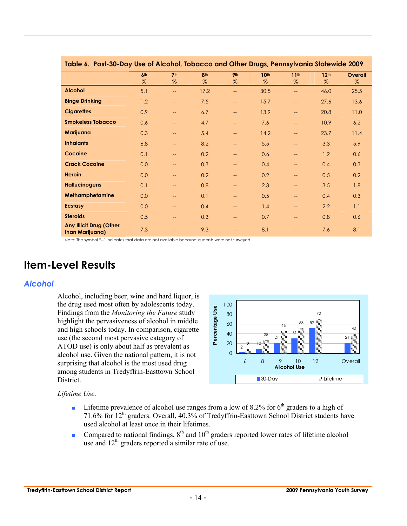| Table 6. Past-30-Day use of Alconol, Tobacco and Offier Drugs, Pennsylvania Statewide 2009 |                 |                          |                 |                          |                  |                          |                  |         |  |  |  |  |
|--------------------------------------------------------------------------------------------|-----------------|--------------------------|-----------------|--------------------------|------------------|--------------------------|------------------|---------|--|--|--|--|
|                                                                                            | 6 <sup>th</sup> | 7 <sup>th</sup>          | 8 <sup>th</sup> | 9 <sub>th</sub>          | 10 <sup>th</sup> | 11 <sup>th</sup>         | 12 <sup>th</sup> | Overall |  |  |  |  |
|                                                                                            | %               | $\%$                     | $\%$            | $\%$                     | $\%$             | $\%$                     | $\%$             | $\%$    |  |  |  |  |
| <b>Alcohol</b>                                                                             | 5.1             | $\mathbb{L}$             | 17.2            | $\overline{\phantom{a}}$ | 30.5             | $\overline{\phantom{a}}$ | 46.0             | 25.5    |  |  |  |  |
| <b>Binge Drinking</b>                                                                      | 1.2             | $\overline{\phantom{m}}$ | 7.5             | ÷                        | 15.7             | $\qquad \qquad -$        | 27.6             | 13.6    |  |  |  |  |
| <b>Cigarettes</b>                                                                          | 0.9             | $\overline{\phantom{a}}$ | 6.7             | $\qquad \qquad -$        | 13.9             | $\overline{\phantom{a}}$ | 20.8             | 11.0    |  |  |  |  |
| <b>Smokeless Tobacco</b>                                                                   | 0.6             | $\overline{\phantom{m}}$ | 4.7             | --                       | 7.6              | $\overline{\phantom{a}}$ | 10.9             | 6.2     |  |  |  |  |
| Marijuana                                                                                  | 0.3             | $\hspace{0.05cm}$        | 5.4             | --                       | 14.2             | $\overline{\phantom{a}}$ | 23.7             | 11.4    |  |  |  |  |
| <b>Inhalants</b>                                                                           | 6.8             | $\qquad \qquad -$        | 8.2             | ÷÷                       | 5.5              | $\overline{\phantom{a}}$ | 3.3              | 5.9     |  |  |  |  |
| Cocaine                                                                                    | 0.1             | $\qquad \qquad -$        | 0.2             | ÷÷                       | 0.6              | --                       | 1.2              | 0.6     |  |  |  |  |
| <b>Crack Cocaine</b>                                                                       | 0.0             | $\qquad \qquad -$        | 0.3             | --                       | 0.4              | $\overline{\phantom{a}}$ | 0.4              | 0.3     |  |  |  |  |
| <b>Heroin</b>                                                                              | 0.0             | $\qquad \qquad -$        | 0.2             | --                       | 0.2              | $\overline{\phantom{a}}$ | 0.5              | 0.2     |  |  |  |  |
| <b>Hallucinogens</b>                                                                       | 0.1             | $\qquad \qquad -$        | 0.8             | $\qquad \qquad -$        | 2.3              | $\qquad \qquad -$        | 3.5              | 1.8     |  |  |  |  |
| Methamphetamine                                                                            | 0.0             | $\qquad \qquad -$        | 0.1             | --                       | 0.5              | $\overline{\phantom{a}}$ | 0.4              | 0.3     |  |  |  |  |
| <b>Ecstasy</b>                                                                             | 0.0             | $\hspace{0.05cm}$        | 0.4             | --                       | 1.4              | $\overline{\phantom{a}}$ | 2.2              | 1.1     |  |  |  |  |
| <b>Steroids</b>                                                                            | 0.5             | $\qquad \qquad -$        | 0.3             | ÷÷                       | 0.7              | $\overline{\phantom{a}}$ | 0.8              | 0.6     |  |  |  |  |
| <b>Any Illicit Drug (Other</b><br>than Marijuana)                                          | 7.3             | $\overline{\phantom{a}}$ | 9.3             |                          | 8.1              | --                       | 7.6              | 8.1     |  |  |  |  |

#### **Table 6. Past-30-Day Use of Alcohol, Tobacco and Other Drugs, Pennsylvania Statewide 2009**

Note: The symbol "--" indicates that data are not available because students were not surveyed.

## **Item-Level Results**

#### *Alcohol*

Alcohol, including beer, wine and hard liquor, is the drug used most often by adolescents today. Findings from the *Monitoring the Future* study highlight the pervasiveness of alcohol in middle and high schools today. In comparison, cigarette use (the second most pervasive category of ATOD use) is only about half as prevalent as alcohol use. Given the national pattern, it is not surprising that alcohol is the most used drug among students in Tredyffrin-Easttown School District.



- **■** Lifetime prevalence of alcohol use ranges from a low of 8.2% for  $6<sup>th</sup>$  graders to a high of 71.6% for 12<sup>th</sup> graders. Overall, 40.3% of Tredyffrin-Easttown School District students have used alcohol at least once in their lifetimes.
- Compared to national findings,  $8<sup>th</sup>$  and  $10<sup>th</sup>$  graders reported lower rates of lifetime alcohol use and  $12^{th}$  graders reported a similar rate of use.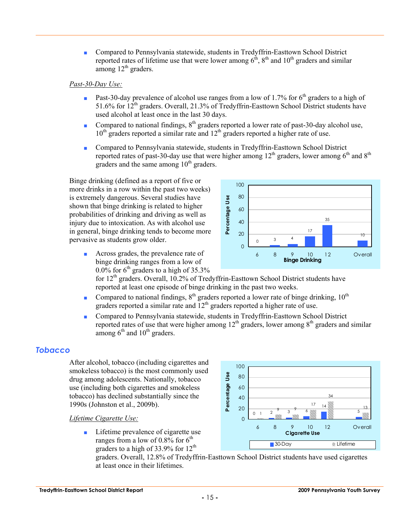■ Compared to Pennsylvania statewide, students in Tredyffrin-Easttown School District reported rates of lifetime use that were lower among  $6<sup>th</sup>$ ,  $8<sup>th</sup>$  and  $10<sup>th</sup>$  graders and similar among  $12<sup>th</sup>$  graders.

#### *Past-30-Day Use:*

- **Past-30-day prevalence of alcohol use ranges from a low of 1.7% for 6<sup>th</sup> graders to a high of** 51.6% for  $12^{th}$  graders. Overall, 21.3% of Tredyffrin-Easttown School District students have used alcohol at least once in the last 30 days.
- Compared to national findings, 8<sup>th</sup> graders reported a lower rate of past-30-day alcohol use,  $10<sup>th</sup>$  graders reported a similar rate and  $12<sup>th</sup>$  graders reported a higher rate of use.
- Compared to Pennsylvania statewide, students in Tredyffrin-Easttown School District reported rates of past-30-day use that were higher among  $12<sup>th</sup>$  graders, lower among  $6<sup>th</sup>$  and  $8<sup>th</sup>$ graders and the same among  $10<sup>th</sup>$  graders.

Percentage Use **Percentage Use**

Binge drinking (defined as a report of five or more drinks in a row within the past two weeks) is extremely dangerous. Several studies have shown that binge drinking is related to higher probabilities of drinking and driving as well as injury due to intoxication. As with alcohol use in general, binge drinking tends to become more pervasive as students grow older.

> ■ Across grades, the prevalence rate of binge drinking ranges from a low of  $0.0\%$  for 6<sup>th</sup> graders to a high of 35.3%

for 12<sup>th</sup> graders. Overall, 10.2% of Tredyffrin-Easttown School District students have reported at least one episode of binge drinking in the past two weeks.

- **•** Compared to national findings,  $8<sup>th</sup>$  graders reported a lower rate of binge drinking, 10<sup>th</sup> graders reported a similar rate and  $12<sup>th</sup>$  graders reported a higher rate of use.
- Compared to Pennsylvania statewide, students in Tredyffrin-Easttown School District reported rates of use that were higher among  $12<sup>th</sup>$  graders, lower among  $8<sup>th</sup>$  graders and similar among  $6<sup>th</sup>$  and  $10<sup>th</sup>$  graders.

#### *Tobacco*

After alcohol, tobacco (including cigarettes and smokeless tobacco) is the most commonly used drug among adolescents. Nationally, tobacco use (including both cigarettes and smokeless tobacco) has declined substantially since the 1990s (Johnston et al., 2009b).

*Lifetime Cigarette Use:*

■ Lifetime prevalence of cigarette use ranges from a low of  $0.8\%$  for  $6<sup>th</sup>$ graders to a high of 33.9% for 12<sup>th</sup>

60 34 40 17 14 20 13  $\frac{9}{1}$   $\frac{3}{1}$   $\frac{9}{1}$   $\frac{3}{1}$   $\frac{9}{1}$   $\frac{6}{1}$   $\frac{100}{100}$   $\frac{100}{100}$   $\frac{100}{100}$   $\frac{100}{100}$   $\frac{100}{100}$   $\frac{100}{100}$  $0 \t 1 \t 2 \t 3 \t 3 \t 6$ m.  $\overline{0}$ 6 8 9 10 12 Overall **Cigarette Use** ■ 30-Day 2000 Website: No. 2009 State Street & Lifetime

graders. Overall, 12.8% of Tredyffrin-Easttown School District students have used cigarettes at least once in their lifetimes.



**Binge Drinking**

17

6 8 9 10 12 Overall

35

10

 $_0$  3 4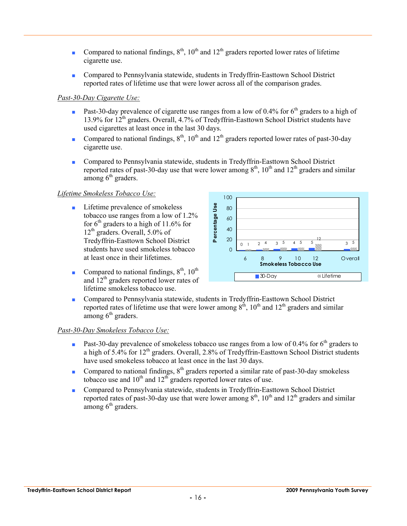- Compared to national findings,  $8<sup>th</sup>$ ,  $10<sup>th</sup>$  and  $12<sup>th</sup>$  graders reported lower rates of lifetime cigarette use.
- Compared to Pennsylvania statewide, students in Tredyffrin-Easttown School District reported rates of lifetime use that were lower across all of the comparison grades.

#### *Past-30-Day Cigarette Use:*

- **•** Past-30-day prevalence of cigarette use ranges from a low of 0.4% for  $6<sup>th</sup>$  graders to a high of 13.9% for  $12^{th}$  graders. Overall, 4.7% of Tredyffrin-Easttown School District students have used cigarettes at least once in the last 30 days.
- Compared to national findings,  $8<sup>th</sup>$ ,  $10<sup>th</sup>$  and  $12<sup>th</sup>$  graders reported lower rates of past-30-day cigarette use.
- Compared to Pennsylvania statewide, students in Tredyffrin-Easttown School District reported rates of past-30-day use that were lower among  $8<sup>th</sup>$ ,  $10<sup>th</sup>$  and  $12<sup>th</sup>$  graders and similar among  $6<sup>th</sup>$  graders.

#### *Lifetime Smokeless Tobacco Use:*

- Lifetime prevalence of smokeless tobacco use ranges from a low of 1.2% for  $6<sup>th</sup>$  graders to a high of 11.6% for  $12<sup>th</sup>$  graders. Overall, 5.0% of Tredyffrin-Easttown School District students have used smokeless tobacco at least once in their lifetimes.
- Compared to national findings,  $8<sup>th</sup>$ ,  $10<sup>th</sup>$ and  $12<sup>th</sup>$  graders reported lower rates of lifetime smokeless tobacco use.



■ Compared to Pennsylvania statewide, students in Tredyffrin-Easttown School District reported rates of lifetime use that were lower among  $8<sup>th</sup>$ ,  $10<sup>th</sup>$  and  $12<sup>th</sup>$  graders and similar among  $6<sup>th</sup>$  graders.

#### *Past-30-Day Smokeless Tobacco Use:*

- **•** Past-30-day prevalence of smokeless tobacco use ranges from a low of 0.4% for 6<sup>th</sup> graders to a high of  $5.4\%$  for  $12<sup>th</sup>$  graders. Overall, 2.8% of Tredyffrin-Easttown School District students have used smokeless tobacco at least once in the last 30 days.
- Compared to national findings,  $8<sup>th</sup>$  graders reported a similar rate of past-30-day smokeless tobacco use and  $10^{th}$  and  $12^{th}$  graders reported lower rates of use.
- Compared to Pennsylvania statewide, students in Tredyffrin-Easttown School District reported rates of past-30-day use that were lower among  $8<sup>th</sup>$ ,  $10<sup>th</sup>$  and  $12<sup>th</sup>$  graders and similar among  $6<sup>th</sup>$  graders.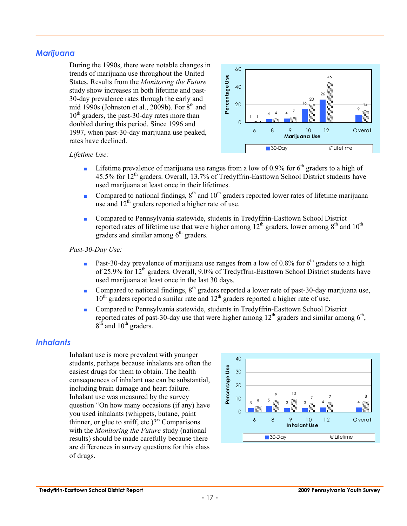#### *Marijuana*

During the 1990s, there were notable changes in trends of marijuana use throughout the United States. Results from the *Monitoring the Future* study show increases in both lifetime and past-30-day prevalence rates through the early and mid 1990s (Johnston et al., 2009b). For  $8<sup>th</sup>$  and  $10^{th}$  graders, the past-30-day rates more than doubled during this period. Since 1996 and 1997, when past-30-day marijuana use peaked, rates have declined.



#### *Lifetime Use:*

- **•** Lifetime prevalence of marijuana use ranges from a low of 0.9% for  $6<sup>th</sup>$  graders to a high of 45.5% for 12<sup>th</sup> graders. Overall, 13.7% of Tredyffrin-Easttown School District students have used marijuana at least once in their lifetimes.
- Compared to national findings,  $8<sup>th</sup>$  and  $10<sup>th</sup>$  graders reported lower rates of lifetime marijuana use and 12<sup>th</sup> graders reported a higher rate of use.
- Compared to Pennsylvania statewide, students in Tredyffrin-Easttown School District reported rates of lifetime use that were higher among  $12<sup>th</sup>$  graders, lower among  $8<sup>th</sup>$  and  $10<sup>th</sup>$ graders and similar among  $6<sup>th</sup>$  graders.

#### *Past-30-Day Use:*

- **•** Past-30-day prevalence of marijuana use ranges from a low of 0.8% for  $6<sup>th</sup>$  graders to a high of 25.9% for 12<sup>th</sup> graders. Overall, 9.0% of Tredyffrin-Easttown School District students have used marijuana at least once in the last 30 days.
- Compared to national findings, 8<sup>th</sup> graders reported a lower rate of past-30-day marijuana use,  $10<sup>th</sup>$  graders reported a similar rate and  $12<sup>th</sup>$  graders reported a higher rate of use.
- Compared to Pennsylvania statewide, students in Tredyffrin-Easttown School District reported rates of past-30-day use that were higher among  $12<sup>th</sup>$  graders and similar among  $6<sup>th</sup>$ ,  $8<sup>th</sup>$  and  $10<sup>th</sup>$  graders.

#### *Inhalants*

Inhalant use is more prevalent with younger students, perhaps because inhalants are often the easiest drugs for them to obtain. The health consequences of inhalant use can be substantial, including brain damage and heart failure. Inhalant use was measured by the survey question "On how many occasions (if any) have you used inhalants (whippets, butane, paint thinner, or glue to sniff, etc.)?" Comparisons with the *Monitoring the Future* study (national results) should be made carefully because there are differences in survey questions for this class of drugs.

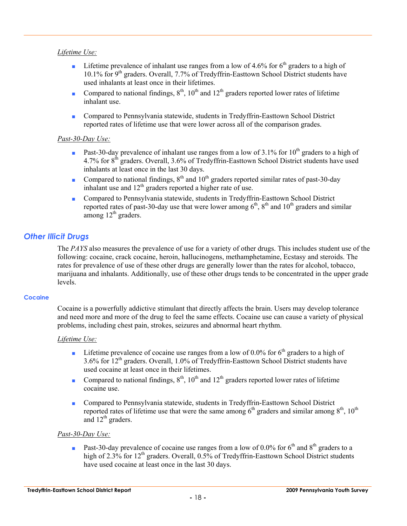#### *Lifetime Use:*

- **•** Lifetime prevalence of inhalant use ranges from a low of 4.6% for  $6<sup>th</sup>$  graders to a high of 10.1% for 9<sup>th</sup> graders. Overall, 7.7% of Tredyffrin-Easttown School District students have used inhalants at least once in their lifetimes.
- Compared to national findings,  $8<sup>th</sup>$ ,  $10<sup>th</sup>$  and  $12<sup>th</sup>$  graders reported lower rates of lifetime inhalant use.
- Compared to Pennsylvania statewide, students in Tredyffrin-Easttown School District reported rates of lifetime use that were lower across all of the comparison grades.

#### *Past-30-Day Use:*

- **Past-30-day prevalence of inhalant use ranges from a low of 3.1% for 10<sup>th</sup> graders to a high of** 4.7% for 8<sup>th</sup> graders. Overall, 3.6% of Tredyffrin-Easttown School District students have used inhalants at least once in the last 30 days.
- Compared to national findings,  $8<sup>th</sup>$  and  $10<sup>th</sup>$  graders reported similar rates of past-30-day inhalant use and  $12<sup>th</sup>$  graders reported a higher rate of use.
- Compared to Pennsylvania statewide, students in Tredyffrin-Easttown School District reported rates of past-30-day use that were lower among  $6<sup>th</sup>$ ,  $8<sup>th</sup>$  and  $10<sup>th</sup>$  graders and similar among  $12<sup>th</sup>$  graders.

#### *Other Illicit Drugs*

The *PAYS* also measures the prevalence of use for a variety of other drugs. This includes student use of the following: cocaine, crack cocaine, heroin, hallucinogens, methamphetamine, Ecstasy and steroids. The rates for prevalence of use of these other drugs are generally lower than the rates for alcohol, tobacco, marijuana and inhalants. Additionally, use of these other drugs tends to be concentrated in the upper grade levels.

#### **Cocaine**

Cocaine is a powerfully addictive stimulant that directly affects the brain. Users may develop tolerance and need more and more of the drug to feel the same effects. Cocaine use can cause a variety of physical problems, including chest pain, strokes, seizures and abnormal heart rhythm.

#### *Lifetime Use:*

- **•** Lifetime prevalence of cocaine use ranges from a low of 0.0% for  $6<sup>th</sup>$  graders to a high of  $3.6\%$  for  $12<sup>th</sup>$  graders. Overall,  $1.0\%$  of Tredyffrin-Easttown School District students have used cocaine at least once in their lifetimes.
- Compared to national findings,  $8<sup>th</sup>$ ,  $10<sup>th</sup>$  and  $12<sup>th</sup>$  graders reported lower rates of lifetime cocaine use.
- Compared to Pennsylvania statewide, students in Tredyffrin-Easttown School District reported rates of lifetime use that were the same among  $6<sup>th</sup>$  graders and similar among  $8<sup>th</sup>$ ,  $10<sup>th</sup>$ and  $12<sup>th</sup>$  graders.

#### *Past-30-Day Use:*

**•** Past-30-day prevalence of cocaine use ranges from a low of 0.0% for 6<sup>th</sup> and 8<sup>th</sup> graders to a high of 2.3% for 12<sup>th</sup> graders. Overall, 0.5% of Tredyffrin-Easttown School District students have used cocaine at least once in the last 30 days.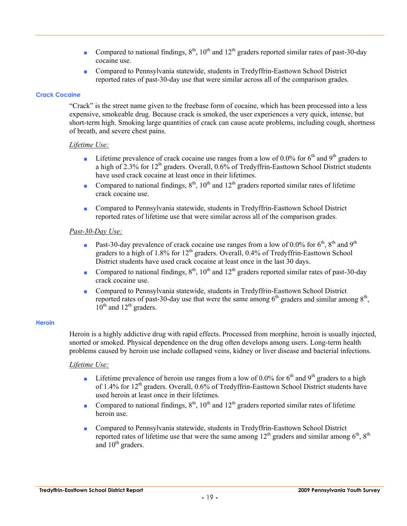- Compared to national findings,  $8<sup>th</sup>$ ,  $10<sup>th</sup>$  and  $12<sup>th</sup>$  graders reported similar rates of past-30-day cocaine use.
- Compared to Pennsylvania statewide, students in Tredyffrin-Easttown School District reported rates of past-30-day use that were similar across all of the comparison grades.

#### **Crack Cocaine**

"Crack" is the street name given to the freebase form of cocaine, which has been processed into a less expensive, smokeable drug. Because crack is smoked, the user experiences a very quick, intense, but short-term high. Smoking large quantities of crack can cause acute problems, including cough, shortness of breath, and severe chest pains.

#### *Lifetime Use:*

- **•** Lifetime prevalence of crack cocaine use ranges from a low of 0.0% for 6<sup>th</sup> and 9<sup>th</sup> graders to a high of 2.3% for 12<sup>th</sup> graders. Overall,  $0.6\%$  of Tredyffrin-Easttown School District students have used crack cocaine at least once in their lifetimes.
- Compared to national findings,  $8<sup>th</sup>$ ,  $10<sup>th</sup>$  and  $12<sup>th</sup>$  graders reported similar rates of lifetime crack cocaine use.
- Compared to Pennsylvania statewide, students in Tredyffrin-Easttown School District reported rates of lifetime use that were similar across all of the comparison grades.

#### *Past-30-Day Use:*

- **•** Past-30-day prevalence of crack cocaine use ranges from a low of 0.0% for  $6<sup>th</sup>$ ,  $8<sup>th</sup>$  and  $9<sup>th</sup>$ graders to a high of  $1.8\%$  for  $12<sup>th</sup>$  graders. Overall, 0.4% of Tredyffrin-Easttown School District students have used crack cocaine at least once in the last 30 days.
- Compared to national findings,  $8<sup>th</sup>$ ,  $10<sup>th</sup>$  and  $12<sup>th</sup>$  graders reported similar rates of past-30-day crack cocaine use.
- Compared to Pennsylvania statewide, students in Tredyffrin-Easttown School District reported rates of past-30-day use that were the same among  $6<sup>th</sup>$  graders and similar among  $8<sup>th</sup>$ ,  $10^{th}$  and  $12^{th}$  graders.

#### **Heroin**

Heroin is a highly addictive drug with rapid effects. Processed from morphine, heroin is usually injected, snorted or smoked. Physical dependence on the drug often develops among users. Long-term health problems caused by heroin use include collapsed veins, kidney or liver disease and bacterial infections.

- **•** Lifetime prevalence of heroin use ranges from a low of 0.0% for  $6<sup>th</sup>$  and  $9<sup>th</sup>$  graders to a high of 1.4% for  $12<sup>th</sup>$  graders. Overall, 0.6% of Tredyffrin-Easttown School District students have used heroin at least once in their lifetimes.
- Compared to national findings,  $8<sup>th</sup>$ ,  $10<sup>th</sup>$  and  $12<sup>th</sup>$  graders reported similar rates of lifetime heroin use.
- Compared to Pennsylvania statewide, students in Tredyffrin-Easttown School District reported rates of lifetime use that were the same among  $12<sup>th</sup>$  graders and similar among  $6<sup>th</sup>$ ,  $8<sup>th</sup>$ and  $10<sup>th</sup>$  graders.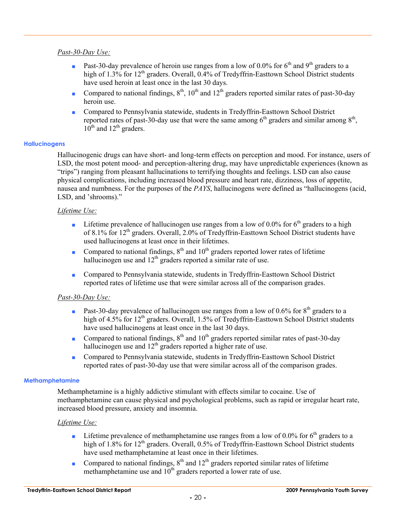#### *Past-30-Day Use:*

- **Past-30-day prevalence of heroin use ranges from a low of 0.0% for 6<sup>th</sup> and 9<sup>th</sup> graders to a** high of 1.3% for 12<sup>th</sup> graders. Overall, 0.4% of Tredyffrin-Easttown School District students have used heroin at least once in the last 30 days.
- Compared to national findings,  $8<sup>th</sup>$ ,  $10<sup>th</sup>$  and  $12<sup>th</sup>$  graders reported similar rates of past-30-day heroin use.
- Compared to Pennsylvania statewide, students in Tredyffrin-Easttown School District reported rates of past-30-day use that were the same among  $6<sup>th</sup>$  graders and similar among  $8<sup>th</sup>$ ,  $10^{th}$  and  $12^{th}$  graders.

#### **Hallucinogens**

Hallucinogenic drugs can have short- and long-term effects on perception and mood. For instance, users of LSD, the most potent mood- and perception-altering drug, may have unpredictable experiences (known as "trips") ranging from pleasant hallucinations to terrifying thoughts and feelings. LSD can also cause physical complications, including increased blood pressure and heart rate, dizziness, loss of appetite, nausea and numbness. For the purposes of the *PAYS*, hallucinogens were defined as "hallucinogens (acid, LSD, and 'shrooms)."

#### *Lifetime Use:*

- **•** Lifetime prevalence of hallucinogen use ranges from a low of 0.0% for  $6<sup>th</sup>$  graders to a high of 8.1% for  $12<sup>th</sup>$  graders. Overall, 2.0% of Tredyffrin-Easttown School District students have used hallucinogens at least once in their lifetimes.
- Compared to national findings,  $8<sup>th</sup>$  and  $10<sup>th</sup>$  graders reported lower rates of lifetime hallucinogen use and  $12<sup>th</sup>$  graders reported a similar rate of use.
- Compared to Pennsylvania statewide, students in Tredyffrin-Easttown School District reported rates of lifetime use that were similar across all of the comparison grades.

#### *Past-30-Day Use:*

- **•** Past-30-day prevalence of hallucinogen use ranges from a low of 0.6% for  $8<sup>th</sup>$  graders to a high of 4.5% for 12<sup>th</sup> graders. Overall, 1.5% of Tredyffrin-Easttown School District students have used hallucinogens at least once in the last 30 days.
- Compared to national findings,  $8<sup>th</sup>$  and  $10<sup>th</sup>$  graders reported similar rates of past-30-day hallucinogen use and  $12<sup>th</sup>$  graders reported a higher rate of use.
- Compared to Pennsylvania statewide, students in Tredyffrin-Easttown School District reported rates of past-30-day use that were similar across all of the comparison grades.

#### **Methamphetamine**

Methamphetamine is a highly addictive stimulant with effects similar to cocaine. Use of methamphetamine can cause physical and psychological problems, such as rapid or irregular heart rate, increased blood pressure, anxiety and insomnia.

- **•** Lifetime prevalence of methamphetamine use ranges from a low of 0.0% for  $6<sup>th</sup>$  graders to a high of  $1.8\%$  for  $12<sup>th</sup>$  graders. Overall, 0.5% of Tredyffrin-Easttown School District students have used methamphetamine at least once in their lifetimes.
- Compared to national findings,  $8<sup>th</sup>$  and  $12<sup>th</sup>$  graders reported similar rates of lifetime methamphetamine use and  $10^{th}$  graders reported a lower rate of use.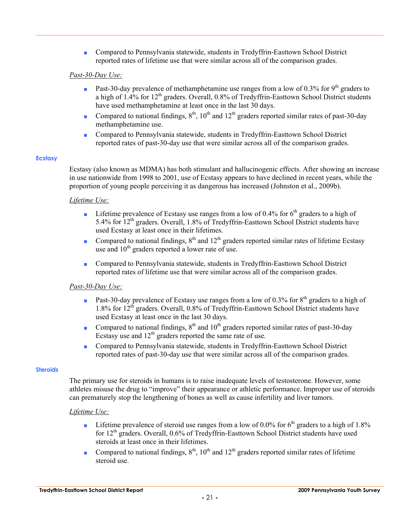■ Compared to Pennsylvania statewide, students in Tredyffrin-Easttown School District reported rates of lifetime use that were similar across all of the comparison grades.

#### *Past-30-Day Use:*

- **•** Past-30-day prevalence of methamphetamine use ranges from a low of 0.3% for 9<sup>th</sup> graders to a high of  $1.4\%$  for  $12<sup>th</sup>$  graders. Overall, 0.8% of Tredyffrin-Easttown School District students have used methamphetamine at least once in the last 30 days.
- Compared to national findings,  $8<sup>th</sup>$ ,  $10<sup>th</sup>$  and  $12<sup>th</sup>$  graders reported similar rates of past-30-day methamphetamine use.
- Compared to Pennsylvania statewide, students in Tredyffrin-Easttown School District reported rates of past-30-day use that were similar across all of the comparison grades.

#### **Ecstasy**

Ecstasy (also known as MDMA) has both stimulant and hallucinogenic effects. After showing an increase in use nationwide from 1998 to 2001, use of Ecstasy appears to have declined in recent years, while the proportion of young people perceiving it as dangerous has increased (Johnston et al., 2009b).

#### *Lifetime Use:*

- **■** Lifetime prevalence of Ecstasy use ranges from a low of 0.4% for  $6<sup>th</sup>$  graders to a high of 5.4% for  $12<sup>th</sup>$  graders. Overall, 1.8% of Tredyffrin-Easttown School District students have used Ecstasy at least once in their lifetimes.
- Compared to national findings,  $8<sup>th</sup>$  and  $12<sup>th</sup>$  graders reported similar rates of lifetime Ecstasy use and  $10<sup>th</sup>$  graders reported a lower rate of use.
- Compared to Pennsylvania statewide, students in Tredyffrin-Easttown School District reported rates of lifetime use that were similar across all of the comparison grades.

#### *Past-30-Day Use:*

- **•** Past-30-day prevalence of Ecstasy use ranges from a low of 0.3% for  $8<sup>th</sup>$  graders to a high of 1.8% for 12<sup>th</sup> graders. Overall, 0.8% of Tredyffrin-Easttown School District students have used Ecstasy at least once in the last 30 days.
- Compared to national findings,  $8<sup>th</sup>$  and  $10<sup>th</sup>$  graders reported similar rates of past-30-day Ecstasy use and  $12<sup>th</sup>$  graders reported the same rate of use.
- Compared to Pennsylvania statewide, students in Tredyffrin-Easttown School District reported rates of past-30-day use that were similar across all of the comparison grades.

#### **Steroids**

The primary use for steroids in humans is to raise inadequate levels of testosterone. However, some athletes misuse the drug to "improve" their appearance or athletic performance. Improper use of steroids can prematurely stop the lengthening of bones as well as cause infertility and liver tumors.

- **•** Lifetime prevalence of steroid use ranges from a low of 0.0% for  $6<sup>th</sup>$  graders to a high of 1.8% for 12<sup>th</sup> graders. Overall, 0.6% of Tredyffrin-Easttown School District students have used steroids at least once in their lifetimes.
- Compared to national findings,  $8<sup>th</sup>$ ,  $10<sup>th</sup>$  and  $12<sup>th</sup>$  graders reported similar rates of lifetime steroid use.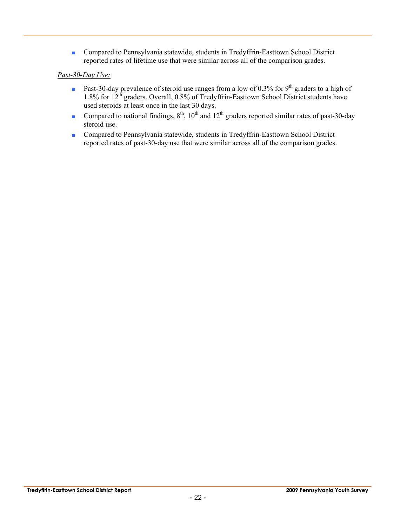■ Compared to Pennsylvania statewide, students in Tredyffrin-Easttown School District reported rates of lifetime use that were similar across all of the comparison grades.

#### *Past-30-Day Use:*

- **•** Past-30-day prevalence of steroid use ranges from a low of 0.3% for 9<sup>th</sup> graders to a high of 1.8% for 12<sup>th</sup> graders. Overall, 0.8% of Tredyffrin-Easttown School District students have used steroids at least once in the last 30 days.
- Compared to national findings,  $8<sup>th</sup>$ ,  $10<sup>th</sup>$  and  $12<sup>th</sup>$  graders reported similar rates of past-30-day steroid use.
- Compared to Pennsylvania statewide, students in Tredyffrin-Easttown School District reported rates of past-30-day use that were similar across all of the comparison grades.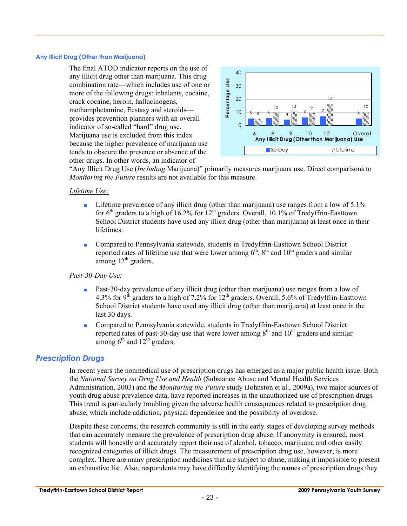#### **Any Illicit Drug (Other than Marijuana)**

The final ATOD indicator reports on the use of any illicit drug other than marijuana. This drug combination rate—which includes use of one or more of the following drugs: inhalants, cocaine, crack cocaine, heroin, hallucinogens, methamphetamine, Ecstasy and steroids provides prevention planners with an overall indicator of so-called "hard" drug use. Marijuana use is excluded from this index because the higher prevalence of marijuana use tends to obscure the presence or absence of the other drugs. In other words, an indicator of



"Any Illicit Drug Use (*Including* Marijuana)" primarily measures marijuana use. Direct comparisons to *Monitoring the Future* results are not available for this measure.

#### *Lifetime Use:*

- **•** Lifetime prevalence of any illicit drug (other than marijuana) use ranges from a low of  $5.1\%$ for  $6<sup>th</sup>$  graders to a high of 16.2% for  $12<sup>th</sup>$  graders. Overall, 10.1% of Tredyffrin-Easttown School District students have used any illicit drug (other than marijuana) at least once in their lifetimes.
- Compared to Pennsylvania statewide, students in Tredyffrin-Easttown School District reported rates of lifetime use that were lower among  $6<sup>th</sup>$ ,  $8<sup>th</sup>$  and  $10<sup>th</sup>$  graders and similar among  $12<sup>th</sup>$  graders.

#### *Past-30-Day Use:*

- Past-30-day prevalence of any illicit drug (other than marijuana) use ranges from a low of 4.3% for 9<sup>th</sup> graders to a high of 7.2% for 12<sup>th</sup> graders. Overall, 5.6% of Tredyffrin-Easttown School District students have used any illicit drug (other than marijuana) at least once in the last 30 days.
- Compared to Pennsylvania statewide, students in Tredyffrin-Easttown School District reported rates of past-30-day use that were lower among  $8<sup>th</sup>$  and  $10<sup>th</sup>$  graders and similar among  $6<sup>th</sup>$  and  $12<sup>th</sup>$  graders.

#### *Prescription Drugs*

In recent years the nonmedical use of prescription drugs has emerged as a major public health issue. Both the *National Survey on Drug Use and Health* (Substance Abuse and Mental Health Services Administration, 2003) and the *Monitoring the Future* study (Johnston et al., 2009a), two major sources of youth drug abuse prevalence data, have reported increases in the unauthorized use of prescription drugs. This trend is particularly troubling given the adverse health consequences related to prescription drug abuse, which include addiction, physical dependence and the possibility of overdose.

Despite these concerns, the research community is still in the early stages of developing survey methods that can accurately measure the prevalence of prescription drug abuse. If anonymity is ensured, most students will honestly and accurately report their use of alcohol, tobacco, marijuana and other easily recognized categories of illicit drugs. The measurement of prescription drug use, however, is more complex. There are many prescription medicines that are subject to abuse, making it impossible to present an exhaustive list. Also, respondents may have difficulty identifying the names of prescription drugs they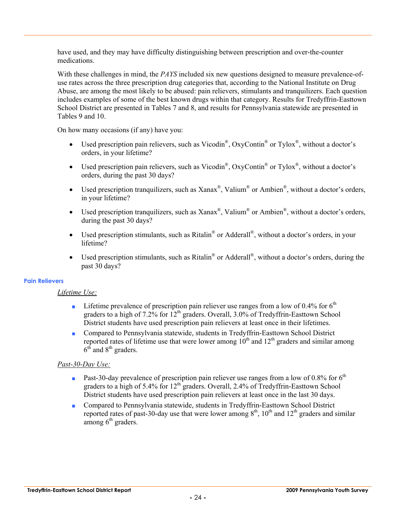have used, and they may have difficulty distinguishing between prescription and over-the-counter medications.

With these challenges in mind, the *PAYS* included six new questions designed to measure prevalence-ofuse rates across the three prescription drug categories that, according to the National Institute on Drug Abuse, are among the most likely to be abused: pain relievers, stimulants and tranquilizers. Each question includes examples of some of the best known drugs within that category. Results for Tredyffrin-Easttown School District are presented in Tables 7 and 8, and results for Pennsylvania statewide are presented in Tables 9 and 10.

On how many occasions (if any) have you:

- Used prescription pain relievers, such as Vicodin<sup>®</sup>, OxyContin<sup>®</sup> or Tylox<sup>®</sup>, without a doctor's orders, in your lifetime?
- Used prescription pain relievers, such as Vicodin<sup>®</sup>, OxyContin<sup>®</sup> or Tylox<sup>®</sup>, without a doctor's orders, during the past 30 days?
- Used prescription tranquilizers, such as Xanax<sup>®</sup>, Valium<sup>®</sup> or Ambien<sup>®</sup>, without a doctor's orders, in your lifetime?
- Used prescription tranquilizers, such as  $\text{Xanax}^{\mathcal{R}}$ , Valium $^{\mathcal{R}}$  or Ambien $^{\mathcal{R}}$ , without a doctor's orders, during the past 30 days?
- Used prescription stimulants, such as Ritalin<sup>®</sup> or Adderall<sup>®</sup>, without a doctor's orders, in your lifetime?
- Used prescription stimulants, such as Ritalin<sup>®</sup> or Adderall<sup>®</sup>, without a doctor's orders, during the past 30 days?

#### **Pain Relievers**

#### *Lifetime Use:*

- **•** Lifetime prevalence of prescription pain reliever use ranges from a low of 0.4% for  $6<sup>th</sup>$ graders to a high of 7.2% for  $12<sup>th</sup>$  graders. Overall, 3.0% of Tredyffrin-Easttown School District students have used prescription pain relievers at least once in their lifetimes.
- Compared to Pennsylvania statewide, students in Tredyffrin-Easttown School District reported rates of lifetime use that were lower among  $10<sup>th</sup>$  and  $12<sup>th</sup>$  graders and similar among  $6<sup>th</sup>$  and  $8<sup>th</sup>$  graders.

#### *Past-30-Day Use:*

- **Past-30-day prevalence of prescription pain reliever use ranges from a low of 0.8% for 6<sup>th</sup>** graders to a high of 5.4% for  $12<sup>th</sup>$  graders. Overall, 2.4% of Tredyffrin-Easttown School District students have used prescription pain relievers at least once in the last 30 days.
- Compared to Pennsylvania statewide, students in Tredyffrin-Easttown School District reported rates of past-30-day use that were lower among  $8<sup>th</sup>$ ,  $10<sup>th</sup>$  and  $12<sup>th</sup>$  graders and similar among  $6<sup>th</sup>$  graders.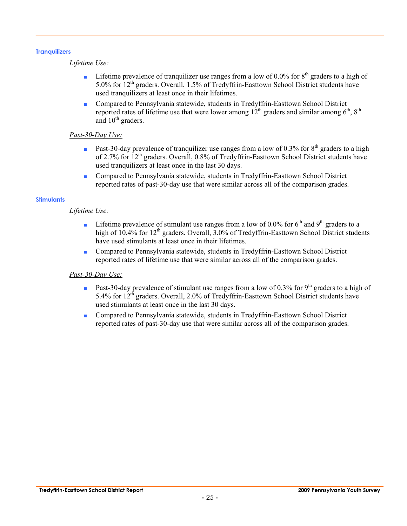#### **Tranquilizers**

#### *Lifetime Use:*

- **•** Lifetime prevalence of tranquilizer use ranges from a low of 0.0% for  $8<sup>th</sup>$  graders to a high of 5.0% for 12th graders. Overall, 1.5% of Tredyffrin-Easttown School District students have used tranquilizers at least once in their lifetimes.
- Compared to Pennsylvania statewide, students in Tredyffrin-Easttown School District reported rates of lifetime use that were lower among  $12^{th}$  graders and similar among  $6^{th}$ ,  $8^{th}$ and  $10<sup>th</sup>$  graders.

#### *Past-30-Day Use:*

- Past-30-day prevalence of tranquilizer use ranges from a low of 0.3% for 8<sup>th</sup> graders to a high of 2.7% for 12th graders. Overall, 0.8% of Tredyffrin-Easttown School District students have used tranquilizers at least once in the last 30 days.
- Compared to Pennsylvania statewide, students in Tredyffrin-Easttown School District reported rates of past-30-day use that were similar across all of the comparison grades.

#### **Stimulants**

#### *Lifetime Use:*

- **•** Lifetime prevalence of stimulant use ranges from a low of 0.0% for  $6<sup>th</sup>$  and  $9<sup>th</sup>$  graders to a high of  $10.4\%$  for  $12<sup>th</sup>$  graders. Overall,  $3.0\%$  of Tredyffrin-Easttown School District students have used stimulants at least once in their lifetimes.
- Compared to Pennsylvania statewide, students in Tredyffrin-Easttown School District reported rates of lifetime use that were similar across all of the comparison grades.

#### *Past-30-Day Use:*

- **•** Past-30-day prevalence of stimulant use ranges from a low of 0.3% for 9<sup>th</sup> graders to a high of 5.4% for 12<sup>th</sup> graders. Overall, 2.0% of Tredyffrin-Easttown School District students have used stimulants at least once in the last 30 days.
- Compared to Pennsylvania statewide, students in Tredyffrin-Easttown School District reported rates of past-30-day use that were similar across all of the comparison grades.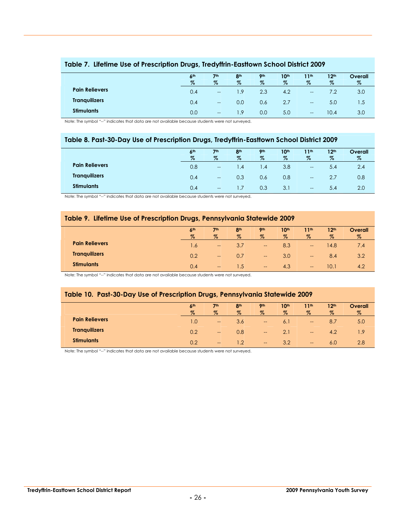|                       | 6 <sup>th</sup><br>$\%$ | 7 <sup>th</sup><br>$\%$  | 8 <sup>th</sup><br>$\%$ | 9 <sub>th</sub><br>$\%$ | 10 <sup>th</sup><br>$\%$ | 11th<br>$\%$                          | 12 <sup>th</sup><br>$\%$ | Overall<br>% |
|-----------------------|-------------------------|--------------------------|-------------------------|-------------------------|--------------------------|---------------------------------------|--------------------------|--------------|
|                       |                         |                          |                         |                         |                          |                                       |                          |              |
| <b>Pain Relievers</b> | 0.4                     | $\overline{\phantom{a}}$ | 1.9                     | 2.3                     | 4.2                      | $\overline{\phantom{a}}$              |                          | 3.0          |
| <b>Tranquilizers</b>  | 0.4                     | $\overline{\phantom{a}}$ | 0.0                     | 0.6                     | 2.7                      | $\overline{\phantom{a}}$              | 5.0                      | 1.5          |
| <b>Stimulants</b>     | 0.0                     | $\overline{\phantom{m}}$ | 1.9                     | 0.0                     | 5.0                      | $\hspace{0.05cm}$ – $\hspace{0.05cm}$ | 10.4                     | 3.0          |

#### **Table 7. Lifetime Use of Prescription Drugs, Tredyffrin-Easttown School District 2009**

Note: The symbol "--" indicates that data are not available because students were not surveyed.

#### **Table 8. Past-30-Day Use of Prescription Drugs, Tredyffrin-Easttown School District 2009**

|                       | 6 <sup>th</sup> | 7 <sup>th</sup>          | 8 <sup>th</sup>  | <b>9th</b> | 10 <sup>th</sup> | 1 <sup>th</sup>   | 12 <sup>th</sup> | Overall |
|-----------------------|-----------------|--------------------------|------------------|------------|------------------|-------------------|------------------|---------|
|                       | $\%$            | $\%$                     | $\%$             | $\%$       | $\%$             | $\%$              | $\%$             | $\%$    |
| <b>Pain Relievers</b> | 0.8             | $\overline{\phantom{a}}$ | $\overline{1.4}$ | 4. ا       | 3.8              | $- -$             | 5.4              | 2.4     |
| <b>Tranquilizers</b>  | 0.4             | $\overline{a}$           | 0.3              | 0.6        | 0.8              | $\hspace{0.05cm}$ |                  | 0.8     |
| <b>Stimulants</b>     | 0.4             | $\hspace{0.05cm}$        | $\mathsf{L}$     | 0.3        | 3.1              | $- -$             | 5.4              | 2.0     |

Note: The symbol "--" indicates that data are not available because students were not surveyed.

#### **Table 9. Lifetime Use of Prescription Drugs, Pennsylvania Statewide 2009**

|                       | 6 <sup>th</sup><br>$\%$ | 7 <sup>th</sup><br>$\%$               | 8 <sup>th</sup><br>$\%$ | 9 <sub>th</sub><br>$\%$ | 10 <sup>th</sup><br>$\%$ | 11 <sup>th</sup><br>$\%$ | 12 <sup>th</sup><br>$\%$ | Overall<br>$\%$ |
|-----------------------|-------------------------|---------------------------------------|-------------------------|-------------------------|--------------------------|--------------------------|--------------------------|-----------------|
| <b>Pain Relievers</b> | 1.6                     | $- -$                                 | 3.7                     | $\hspace{0.05cm}$       | 8.3                      | $- -$                    | 14.8                     | 7.4             |
| <b>Tranquilizers</b>  | 0.2                     | $\hspace{0.05cm}$                     | 0.7                     | $\hspace{0.05cm}$       | 3.0                      | $- -$                    | 8.4                      | 3.2             |
| <b>Stimulants</b>     | 0.4                     | $\hspace{0.05cm}$ – $\hspace{0.05cm}$ | l .5                    | $\hspace{0.05cm}$       | 4.3                      | $--$                     | 10.1                     | 4.2             |

Note: The symbol "--" indicates that data are not available because students were not surveyed.

#### **Table 10. Past-30-Day Use of Prescription Drugs, Pennsylvania Statewide 2009**

|                       | 6 <sup>th</sup> | 7th                      | 8 <sup>th</sup> | <b>9th</b>                            | 10 <sup>th</sup> | 11 <sup>th</sup>                               | 12 <sup>th</sup> | <b>Overall</b> |
|-----------------------|-----------------|--------------------------|-----------------|---------------------------------------|------------------|------------------------------------------------|------------------|----------------|
|                       | $\%$            | %                        | $\%$            | $\%$                                  | $\%$             | $\%$                                           | $\%$             | $\%$           |
| <b>Pain Relievers</b> | 1.0             | $\overline{\phantom{a}}$ | 3.6             | $\qquad \qquad \qquad \qquad$         | 6.1              | $- -$                                          | 8.7              | 5.0            |
| <b>Tranquilizers</b>  | 0.2             | $- -$                    | 0.8             | $\qquad \qquad \qquad \qquad$         | 2.1              | $\hspace{0.1mm}-\hspace{0.1mm}-\hspace{0.1mm}$ | 4.2              | 1.9            |
| <b>Stimulants</b>     | 0.2             | $- -$                    | 1.2             | $\hspace{0.05cm}$ – $\hspace{0.05cm}$ | 3.2              | $- -$                                          | 6.0              | 2.8            |

Note: The symbol "--" indicates that data are not available because students were not surveyed.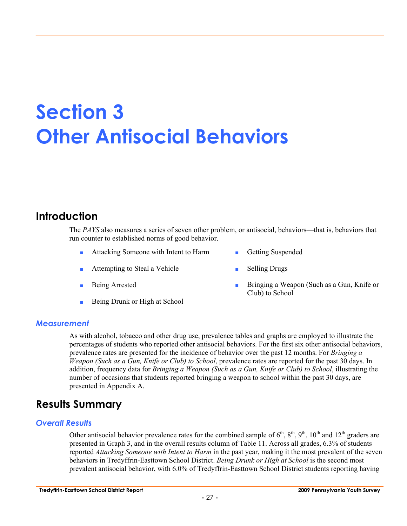## **Section 3 Other Antisocial Behaviors**

### **Introduction**

The *PAYS* also measures a series of seven other problem, or antisocial, behaviors—that is, behaviors that run counter to established norms of good behavior.

- Attacking Someone with Intent to Harm **Busended** Getting Suspended
- Attempting to Steal a Vehicle Selling Drugs
- 
- Being Drunk or High at School
- 
- 
- Being Arrested **Bringing a Weapon (Such as a Gun, Knife or** Club) to School

#### *Measurement*

As with alcohol, tobacco and other drug use, prevalence tables and graphs are employed to illustrate the percentages of students who reported other antisocial behaviors. For the first six other antisocial behaviors, prevalence rates are presented for the incidence of behavior over the past 12 months. For *Bringing a Weapon (Such as a Gun, Knife or Club) to School*, prevalence rates are reported for the past 30 days. In addition, frequency data for *Bringing a Weapon (Such as a Gun, Knife or Club) to School*, illustrating the number of occasions that students reported bringing a weapon to school within the past 30 days, are presented in Appendix A.

## **Results Summary**

#### *Overall Results*

Other antisocial behavior prevalence rates for the combined sample of  $6^{th}$ ,  $8^{th}$ ,  $9^{th}$ ,  $10^{th}$  and  $12^{th}$  graders are presented in Graph 3, and in the overall results column of Table 11. Across all grades, 6.3% of students reported *Attacking Someone with Intent to Harm* in the past year, making it the most prevalent of the seven behaviors in Tredyffrin-Easttown School District. *Being Drunk or High at School* is the second most prevalent antisocial behavior, with 6.0% of Tredyffrin-Easttown School District students reporting having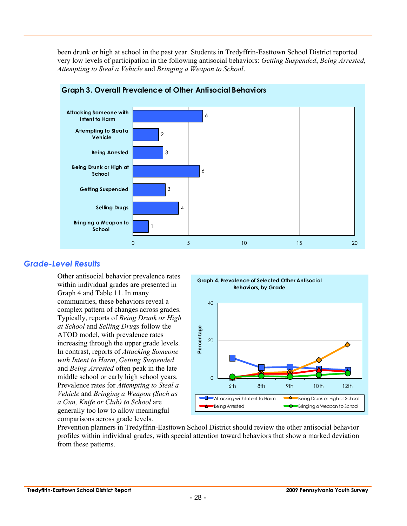been drunk or high at school in the past year. Students in Tredyffrin-Easttown School District reported very low levels of participation in the following antisocial behaviors: *Getting Suspended*, *Being Arrested*, *Attempting to Steal a Vehicle* and *Bringing a Weapon to School*.



#### **Graph 3. Overall Prevalence of Other Antisocial Behaviors**

#### *Grade-Level Results*

Other antisocial behavior prevalence rates within individual grades are presented in Graph 4 and Table 11. In many communities, these behaviors reveal a complex pattern of changes across grades. Typically, reports of *Being Drunk or High at School* and *Selling Drugs* follow the ATOD model, with prevalence rates increasing through the upper grade levels. In contrast, reports of *Attacking Someone with Intent to Harm*, *Getting Suspended* and *Being Arrested* often peak in the late middle school or early high school years. Prevalence rates for *Attempting to Steal a Vehicle* and *Bringing a Weapon (Such as a Gun, Knife or Club) to School* are generally too low to allow meaningful comparisons across grade levels.



Prevention planners in Tredyffrin-Easttown School District should review the other antisocial behavior profiles within individual grades, with special attention toward behaviors that show a marked deviation from these patterns.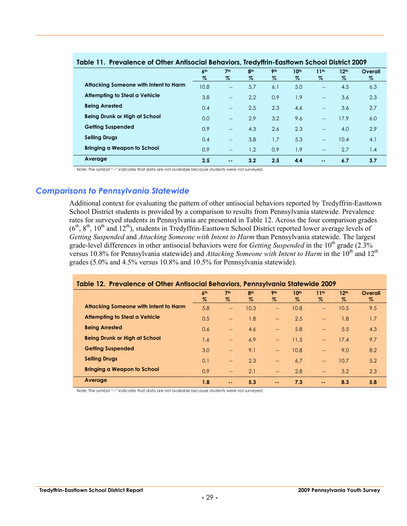|                                       | 6 <sup>th</sup><br>% | 7 <sup>th</sup><br>%     | 8 <sup>th</sup><br>$\%$ | 9 <sub>th</sub><br>% | 10 <sup>th</sup><br>$\%$ | 11 <sup>th</sup><br>$\%$ | 12 <sup>th</sup><br>$\%$ | Overall<br>$\%$ |  |  |
|---------------------------------------|----------------------|--------------------------|-------------------------|----------------------|--------------------------|--------------------------|--------------------------|-----------------|--|--|
| Attacking Someone with Intent to Harm | 10.8                 | $\overline{\phantom{a}}$ | 5.7                     | 6.1                  | 5.0                      | $\qquad \qquad -$        | 4.5                      | 6.3             |  |  |
| <b>Attempting to Steal a Vehicle</b>  | 3.8                  | $\overline{a}$           | 2.2                     | 0.9                  | 1.9                      | $\overline{\phantom{a}}$ | 3.6                      | 2.3             |  |  |
| <b>Being Arrested</b>                 | 0.4                  | $\overline{a}$           | 2.5                     | 2.3                  | 4.6                      | $\overline{a}$           | 3.6                      | 2.7             |  |  |
| Being Drunk or High at School         | 0.0                  | $\overline{a}$           | 2.9                     | 3.2                  | 9.6                      | $\overline{\phantom{a}}$ | 17.9                     | 6.0             |  |  |
| <b>Getting Suspended</b>              | 0.9                  | $\qquad \qquad -$        | 4.3                     | 2.6                  | 2.3                      | $\overline{\phantom{a}}$ | 4.0                      | 2.9             |  |  |
| <b>Selling Drugs</b>                  | 0.4                  | $\overline{a}$           | 3.8                     | 1.7                  | 5.3                      | $\overline{a}$           | 10.4                     | 4.1             |  |  |
| <b>Bringing a Weapon to School</b>    | 0.9                  | $\overline{\phantom{a}}$ | 1.2                     | 0.9                  | 1.9                      | $\overline{\phantom{a}}$ | 2.7                      | 1.4             |  |  |
| Average                               | 2.5                  | $\sim$ $\sim$            | 3.2                     | 2.5                  | 4.4                      | $\sim$ $\sim$            | 6.7                      | 3.7             |  |  |

#### **Table 11. Prevalence of Other Antisocial Behaviors, Tredyffrin-Easttown School District 2009**

Note: The symbol "--" indicates that data are not available because students were not surveyed.

#### *Comparisons to Pennsylvania Statewide*

Additional context for evaluating the pattern of other antisocial behaviors reported by Tredyffrin-Easttown School District students is provided by a comparison to results from Pennsylvania statewide. Prevalence rates for surveyed students in Pennsylvania are presented in Table 12. Across the four comparison grades  $(6<sup>th</sup>, 8<sup>th</sup>, 10<sup>th</sup>$  and  $12<sup>th</sup>$ ), students in Tredyffrin-Easttown School District reported lower average levels of *Getting Suspended* and *Attacking Someone with Intent to Harm* than Pennsylvania statewide. The largest grade-level differences in other antisocial behaviors were for *Getting Suspended* in the 10<sup>th</sup> grade (2.3%) versus 10.8% for Pennsylvania statewide) and *Attacking Someone with Intent to Harm* in the 10<sup>th</sup> and 12<sup>th</sup> grades (5.0% and 4.5% versus 10.8% and 10.5% for Pennsylvania statewide).

| Table 12. Prevalence of Other Antisocial Behaviors, Pennsylvania Statewide 2009 |                 |                          |                 |                          |      |                          |                  |         |
|---------------------------------------------------------------------------------|-----------------|--------------------------|-----------------|--------------------------|------|--------------------------|------------------|---------|
|                                                                                 | 6 <sup>th</sup> | 7 <sup>th</sup>          | 8 <sup>th</sup> | <b>9th</b>               | 10th | 11 <sup>th</sup>         | 12 <sup>th</sup> | Overall |
|                                                                                 | %               | Z                        | Z               | Z                        | Z    | $\%$                     | Z                | %       |
| Attacking Someone with Intent to Harm                                           | 5.8             | $\overline{\phantom{a}}$ | 10.3            | $\qquad \qquad -$        | 10.8 | $\overline{\phantom{a}}$ | 10.5             | 9.5     |
| Attempting to Steal a Vehicle                                                   | 0.5             | $-$                      | 1.8             | $\overline{\phantom{0}}$ | 2.5  | $--$                     | 1.8              | 1.7     |
| <b>Being Arrested</b>                                                           | 0.6             | $-$                      | 4.6             | $\overline{\phantom{a}}$ | 5.8  | $\overline{\phantom{m}}$ | 5.5              | 4.3     |
| <b>Being Drunk or High at School</b>                                            | 1.6             | $\overline{\phantom{a}}$ | 6.9             | $\overline{\phantom{0}}$ | 11.5 | $\sim$                   | 17.4             | 9.7     |
| <b>Getting Suspended</b>                                                        | 3.0             | $-$                      | 9.1             | $-$                      | 10.8 | $\overline{\phantom{0}}$ | 9.0              | 8.2     |
| <b>Selling Drugs</b>                                                            | 0.1             | $-$                      | 2.3             | $\overline{\phantom{a}}$ | 6.7  | $--$                     | 10.7             | 5.2     |
| Bringing a Weapon to School                                                     | 0.9             | $-$                      | 2.1             | $-$                      | 2.8  | $\qquad \qquad -$        | 3.2              | 2.3     |
| Average                                                                         | 1.8             | $\sim$ $\sim$            | 5.3             | $\sim$ $-$               | 7.3  | $\sim$ $\sim$            | 8.3              | 5.8     |

Note: The symbol "--" indicates that data are not available because students were not surveyed.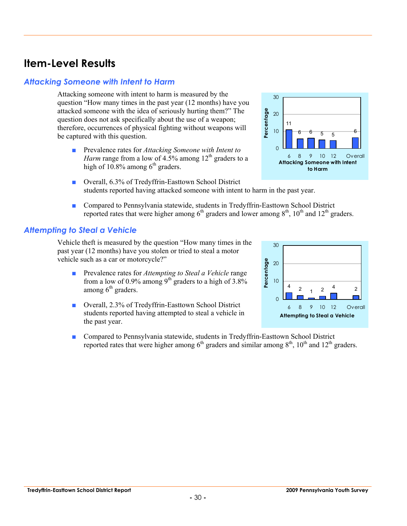*Attacking Someone with Intent to Harm* 

**Item-Level Results** 

Attacking someone with intent to harm is measured by the question "How many times in the past year (12 months) have you attacked someone with the idea of seriously hurting them?" The question does not ask specifically about the use of a weapon; therefore, occurrences of physical fighting without weapons will be captured with this question.

- Prevalence rates for *Attacking Someone with Intent to Harm* range from a low of 4.5% among  $12<sup>th</sup>$  graders to a high of 10.8% among  $6<sup>th</sup>$  graders.
- Overall, 6.3% of Tredyffrin-Easttown School District students reported having attacked someone with intent to harm in the past year.
- Compared to Pennsylvania statewide, students in Tredyffrin-Easttown School District reported rates that were higher among  $6<sup>th</sup>$  graders and lower among  $8<sup>th</sup>$ ,  $10<sup>th</sup>$  and  $12<sup>th</sup>$  graders.

#### *Attempting to Steal a Vehicle*

Vehicle theft is measured by the question "How many times in the past year (12 months) have you stolen or tried to steal a motor vehicle such as a car or motorcycle?"

- Prevalence rates for *Attempting to Steal a Vehicle* range from a low of 0.9% among  $9<sup>th</sup>$  graders to a high of 3.8% among  $6<sup>th</sup>$  graders.
- Overall, 2.3% of Tredyffrin-Easttown School District students reported having attempted to steal a vehicle in the past year.
- Compared to Pennsylvania statewide, students in Tredyffrin-Easttown School District reported rates that were higher among  $6<sup>th</sup>$  graders and similar among  $8<sup>th</sup>$ ,  $10<sup>th</sup>$  and  $12<sup>th</sup>$  graders.





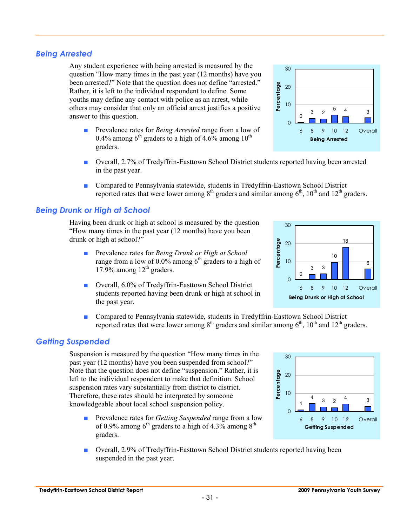#### *Being Arrested*

Any student experience with being arrested is measured by the question "How many times in the past year (12 months) have you been arrested?" Note that the question does not define "arrested." Rather, it is left to the individual respondent to define. Some youths may define any contact with police as an arrest, while others may consider that only an official arrest justifies a positive answer to this question.

- Prevalence rates for *Being Arrested* range from a low of 0.4% among  $6<sup>th</sup>$  graders to a high of 4.6% among 10<sup>th</sup> graders.
- Overall, 2.7% of Tredyffrin-Easttown School District students reported having been arrested in the past year.
- Compared to Pennsylvania statewide, students in Tredyffrin-Easttown School District reported rates that were lower among  $8<sup>th</sup>$  graders and similar among  $6<sup>th</sup>$ ,  $10<sup>th</sup>$  and  $12<sup>th</sup>$  graders.

#### *Being Drunk or High at School*

Having been drunk or high at school is measured by the question "How many times in the past year (12 months) have you been drunk or high at school?"

- Prevalence rates for *Being Drunk or High at School* range from a low of  $0.0\%$  among  $6<sup>th</sup>$  graders to a high of 17.9% among  $12<sup>th</sup>$  graders.
- Overall, 6.0% of Tredyffrin-Easttown School District students reported having been drunk or high at school in the past year.
- Compared to Pennsylvania statewide, students in Tredyffrin-Easttown School District reported rates that were lower among  $8<sup>th</sup>$  graders and similar among  $6<sup>th</sup>$ ,  $10<sup>th</sup>$  and  $12<sup>th</sup>$  graders.

#### *Getting Suspended*

Suspension is measured by the question "How many times in the past year (12 months) have you been suspended from school?" Note that the question does not define "suspension." Rather, it is left to the individual respondent to make that definition. School suspension rates vary substantially from district to district. Therefore, these rates should be interpreted by someone knowledgeable about local school suspension policy.

- Prevalence rates for *Getting Suspended* range from a low of 0.9% among  $6<sup>th</sup>$  graders to a high of 4.3% among  $8<sup>th</sup>$ graders.
- Overall, 2.9% of Tredyffrin-Easttown School District students reported having been suspended in the past year.





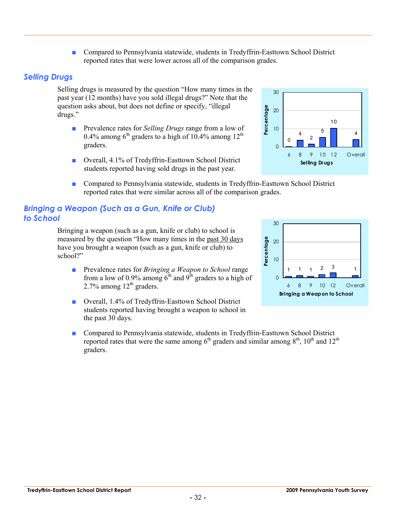■ Compared to Pennsylvania statewide, students in Tredyffrin-Easttown School District reported rates that were lower across all of the comparison grades.

#### *Selling Drugs*

Selling drugs is measured by the question "How many times in the past year (12 months) have you sold illegal drugs?" Note that the question asks about, but does not define or specify, "illegal drugs."

- Prevalence rates for *Selling Drugs* range from a low of 0.4% among  $6<sup>th</sup>$  graders to a high of 10.4% among 12<sup>th</sup> graders.
- Overall, 4.1% of Tredyffrin-Easttown School District students reported having sold drugs in the past year.
- Compared to Pennsylvania statewide, students in Tredyffrin-Easttown School District reported rates that were similar across all of the comparison grades.

#### *Bringing a Weapon (Such as a Gun, Knife or Club) to School*

Bringing a weapon (such as a gun, knife or club) to school is measured by the question "How many times in the past 30 days have you brought a weapon (such as a gun, knife or club) to school?"

- Prevalence rates for *Bringing a Weapon to School* range from a low of 0.9% among  $6<sup>th</sup>$  and 9<sup>th</sup> graders to a high of  $2.7\%$  among  $12<sup>th</sup>$  graders.
- Overall, 1.4% of Tredyffrin-Easttown School District students reported having brought a weapon to school in the past 30 days.
- Compared to Pennsylvania statewide, students in Tredyffrin-Easttown School District reported rates that were the same among  $6<sup>th</sup>$  graders and similar among  $8<sup>th</sup>$ ,  $10<sup>th</sup>$  and  $12<sup>th</sup>$ graders.



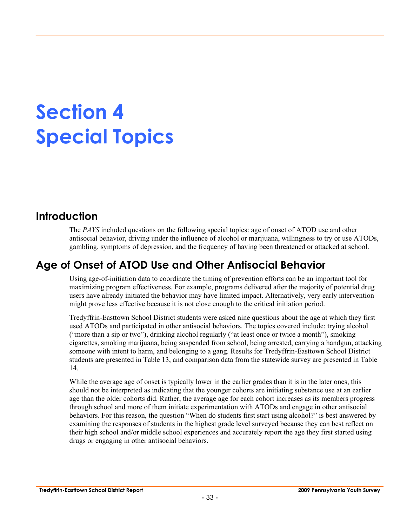# **Section 4 Special Topics**

## **Introduction**

The *PAYS* included questions on the following special topics: age of onset of ATOD use and other antisocial behavior, driving under the influence of alcohol or marijuana, willingness to try or use ATODs, gambling, symptoms of depression, and the frequency of having been threatened or attacked at school.

## **Age of Onset of ATOD Use and Other Antisocial Behavior**

Using age-of-initiation data to coordinate the timing of prevention efforts can be an important tool for maximizing program effectiveness. For example, programs delivered after the majority of potential drug users have already initiated the behavior may have limited impact. Alternatively, very early intervention might prove less effective because it is not close enough to the critical initiation period.

Tredyffrin-Easttown School District students were asked nine questions about the age at which they first used ATODs and participated in other antisocial behaviors. The topics covered include: trying alcohol ("more than a sip or two"), drinking alcohol regularly ("at least once or twice a month"), smoking cigarettes, smoking marijuana, being suspended from school, being arrested, carrying a handgun, attacking someone with intent to harm, and belonging to a gang. Results for Tredyffrin-Easttown School District students are presented in Table 13, and comparison data from the statewide survey are presented in Table 14.

While the average age of onset is typically lower in the earlier grades than it is in the later ones, this should not be interpreted as indicating that the younger cohorts are initiating substance use at an earlier age than the older cohorts did. Rather, the average age for each cohort increases as its members progress through school and more of them initiate experimentation with ATODs and engage in other antisocial behaviors. For this reason, the question "When do students first start using alcohol?" is best answered by examining the responses of students in the highest grade level surveyed because they can best reflect on their high school and/or middle school experiences and accurately report the age they first started using drugs or engaging in other antisocial behaviors.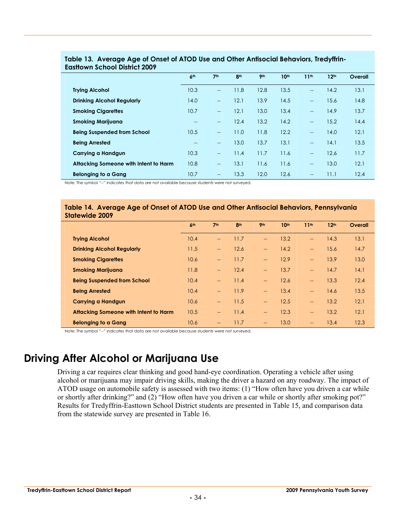|                                       | 6 <sup>th</sup> | 7 <sup>th</sup>          | 8 <sup>th</sup> | 9 <sub>th</sub> | 10 <sup>th</sup> | 11 <sup>th</sup>         | 12 <sup>th</sup> | Overall |
|---------------------------------------|-----------------|--------------------------|-----------------|-----------------|------------------|--------------------------|------------------|---------|
| <b>Trying Alcohol</b>                 | 10.3            | $\overline{a}$           | 11.8            | 12.8            | 13.5             | $\overline{\phantom{a}}$ | 14.2             | 13.1    |
| <b>Drinking Alcohol Regularly</b>     | 14.0            | $\overline{a}$           | 12.1            | 13.9            | 14.5             | $\overline{\phantom{a}}$ | 15.6             | 14.8    |
| <b>Smoking Cigarettes</b>             | 10.7            | $\overline{\phantom{a}}$ | 12.1            | 13.0            | 13.4             | $\overline{\phantom{a}}$ | 14.9             | 13.7    |
| <b>Smoking Marijuana</b>              | $-$             | $-$                      | 12.4            | 13.2            | 14.2             | $\overline{\phantom{a}}$ | 15.2             | 14.4    |
| <b>Being Suspended from School</b>    | 10.5            | $\overline{a}$           | 11.0            | 11.8            | 12.2             | $\overline{\phantom{a}}$ | 14.0             | 12.1    |
| <b>Being Arrested</b>                 | $--$            | $\overline{a}$           | 13.0            | 13.7            | 13.1             | $\overline{\phantom{a}}$ | 14.1             | 13.5    |
| Carrying a Handgun                    | 10.3            | $\overline{a}$           | 11.4            | 11.7            | 11.6             | $\overline{\phantom{a}}$ | 12.6             | 11.7    |
| Attacking Someone with Intent to Harm | 10.8            | $\overline{\phantom{a}}$ | 13.1            | 11.6            | 11.6             | $\overline{\phantom{a}}$ | 13.0             | 12.1    |
| <b>Belonging to a Gang</b>            | 10.7            | $-$                      | 13.3            | 12.0            | 12.6             | $\overline{\phantom{a}}$ | 11.1             | 12.4    |

#### **Table 13. Average Age of Onset of ATOD Use and Other Antisocial Behaviors, Tredyffrin-Easttown School District 2009**

Note: The symbol "--" indicates that data are not available because students were not surveyed.

#### **Table 14. Average Age of Onset of ATOD Use and Other Antisocial Behaviors, Pennsylvania Statewide 2009**

|                                       | 6 <sup>th</sup> | 7 <sup>th</sup>                        | 8 <sup>th</sup> | 9 <sub>th</sub>          | 10 <sup>th</sup> | 11 <sup>th</sup>         | 12 <sup>th</sup> | Overall |
|---------------------------------------|-----------------|----------------------------------------|-----------------|--------------------------|------------------|--------------------------|------------------|---------|
| <b>Trying Alcohol</b>                 | 10.4            | $\qquad \qquad -$                      | 11.7            | <u></u>                  | 13.2             | $\overline{\phantom{a}}$ | 14.3             | 13.1    |
| <b>Drinking Alcohol Regularly</b>     | 11.5            | $\overline{\phantom{a}}$               | 12.6            | $\overline{\phantom{a}}$ | 14.2             | $\overline{\phantom{a}}$ | 15.6             | 14.7    |
| <b>Smoking Cigarettes</b>             | 10.6            | $\overline{\phantom{a}}$               | 11.7            | $\overline{\phantom{a}}$ | 12.9             | $\overline{\phantom{a}}$ | 13.9             | 13.0    |
| <b>Smoking Marijuana</b>              | 11.8            | $\hspace{0.05cm} \rule{0.5cm}{0.15cm}$ | 12.4            | $\overline{\phantom{a}}$ | 13.7             | $\overline{\phantom{a}}$ | 14.7             | 14.1    |
| <b>Being Suspended from School</b>    | 10.4            | $\hspace{0.05cm} \rule{0.5cm}{0.15cm}$ | 11.4            | $\overline{\phantom{a}}$ | 12.6             | $\overline{\phantom{a}}$ | 13.3             | 12.4    |
| <b>Being Arrested</b>                 | 10.4            | $\sim$                                 | 11.9            | $\overline{\phantom{0}}$ | 13.4             | $\sim$                   | 14.6             | 13.5    |
| <b>Carrying a Handgun</b>             | 10.6            | $\hspace{0.05cm} \rule{0.5cm}{0.15cm}$ | 11.5            | $\overline{\phantom{a}}$ | 12.5             | $\overline{\phantom{a}}$ | 13.2             | 12.1    |
| Attacking Someone with Intent to Harm | 10.5            | $\overline{\phantom{a}}$               | 11.4            | $\overline{\phantom{a}}$ | 12.3             | $\overline{\phantom{a}}$ | 13.2             | 12.1    |
| <b>Belonging to a Gang</b>            | 10.6            | $\overline{\phantom{m}}$               | 11.7            | $\overline{\phantom{m}}$ | 13.0             | $--$                     | 13.4             | 12.3    |

Note: The symbol "--" indicates that data are not available because students were not surveyed.

## **Driving After Alcohol or Marijuana Use**

Driving a car requires clear thinking and good hand-eye coordination. Operating a vehicle after using alcohol or marijuana may impair driving skills, making the driver a hazard on any roadway. The impact of ATOD usage on automobile safety is assessed with two items: (1) "How often have you driven a car while or shortly after drinking?" and (2) "How often have you driven a car while or shortly after smoking pot?" Results for Tredyffrin-Easttown School District students are presented in Table 15, and comparison data from the statewide survey are presented in Table 16.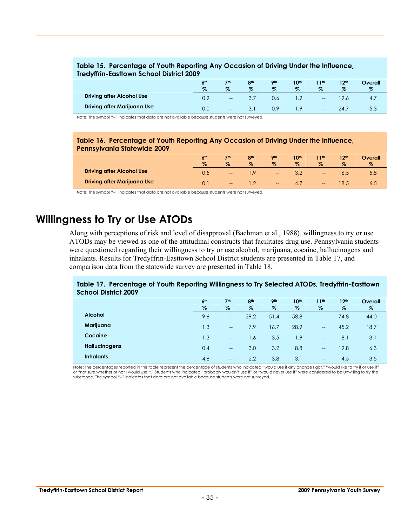#### **Table 15. Percentage of Youth Reporting Any Occasion of Driving Under the Influence, Tredyffrin-Easttown School District 2009**

|                                  | 6 <sup>th</sup><br>$\%$ | 7 <sub>th</sub><br>$\%$           | 8 <sup>th</sup><br>$\%$ | <b>9th</b><br>$\%$ | 10 <sup>th</sup><br>$\%$ | 11 <sup>th</sup><br>$\%$              | 12 <sup>th</sup><br>$\%$ | Overall<br>$\%$ |
|----------------------------------|-------------------------|-----------------------------------|-------------------------|--------------------|--------------------------|---------------------------------------|--------------------------|-----------------|
| <b>Driving after Alcohol Use</b> | 0.9                     | $\hspace{0.05cm}$                 | 3.,                     | 0.6                |                          | $\rightarrow$                         |                          | 4.7             |
| Driving after Marijuana Use      | 0.0                     | $\hspace{0.05cm} \dashrightarrow$ | 3.1                     | 0.9                |                          | $\hspace{0.05cm}$ – $\hspace{0.05cm}$ | 24.                      | 5.3             |

Note: The symbol "--" indicates that data are not available because students were not surveyed.

#### **Table 16. Percentage of Youth Reporting Any Occasion of Driving Under the Influence, Pennsylvania Statewide 2009**

|                                    | 6 <sup>th</sup> | 7th               | 8 <sub>th</sub> | <b>9th</b>                           | 10th           | 11th  | 12 <sup>th</sup> | <b>Overall</b> |
|------------------------------------|-----------------|-------------------|-----------------|--------------------------------------|----------------|-------|------------------|----------------|
|                                    | $\%$            | $\%$              | $\%$            | $\%$                                 | $\%$           | $\%$  | $\%$             |                |
| <b>Driving after Alcohol Use</b>   | U.5             | $\qquad \qquad -$ |                 | $\qquad \qquad \qquad \qquad \qquad$ |                | $- -$ |                  | 5.8            |
| <b>Driving after Marijuana Use</b> |                 | $\hspace{0.05cm}$ |                 | $\hspace{0.05cm}$                    | $\overline{4}$ | $--$  | 8.5              |                |

Note: The symbol "--" indicates that data are not available because students were not surveyed.

## **Willingness to Try or Use ATODs**

Along with perceptions of risk and level of disapproval (Bachman et al., 1988), willingness to try or use ATODs may be viewed as one of the attitudinal constructs that facilitates drug use. Pennsylvania students were questioned regarding their willingness to try or use alcohol, marijuana, cocaine, hallucinogens and inhalants. Results for Tredyffrin-Easttown School District students are presented in Table 17, and comparison data from the statewide survey are presented in Table 18.

#### **Table 17. Percentage of Youth Reporting Willingness to Try Selected ATODs, Tredyffrin-Easttown School District 2009**

|                      | 6 <sup>th</sup><br>$\%$ | 7 <sup>th</sup><br>$\%$ | 8 <sup>th</sup><br>$\%$ | 9 <sub>th</sub><br>$\%$ | 10 <sup>th</sup><br>$\%$ | 11th<br>$\%$                          | 12 <sup>th</sup><br>$\%$ | Overall<br>$\%$ |
|----------------------|-------------------------|-------------------------|-------------------------|-------------------------|--------------------------|---------------------------------------|--------------------------|-----------------|
| <b>Alcohol</b>       | 9.6                     | $- -$                   | 29.2                    | 51.4                    | 58.8                     | $\hspace{0.05cm}$ – $\hspace{0.05cm}$ | 74.8                     | 44.0            |
| Marijuana            | 1.3                     | $-$                     | 7.9                     | 16.7                    | 28.9                     | $\hspace{0.05cm}$ – $\hspace{0.05cm}$ | 45.2                     | 18.7            |
| Cocaine              | 1.3                     | $-$                     | 1.6                     | 3.5                     | 1.9                      | $\hspace{0.05cm}$                     | 8.1                      | 3.1             |
| <b>Hallucinogens</b> | 0.4                     | $\hspace{0.05cm}$       | 3.0                     | 3.2                     | 8.8                      | $\overline{\phantom{a}}$              | 19.8                     | 6.3             |
| <b>Inhalants</b>     | 4.6                     | $\qquad \qquad -$       | 2.2                     | 3.8                     | 3.1                      | $\hspace{0.05cm} \textbf{--}$         | 4.5                      | 3.5             |

Note: The percentages reported in this table represent the percentage of students who indicated "would use it any chance I got," "would like to try it or use it"<br>or "not sure whether or not I would use it." Students who in substance. The symbol "--" indicates that data are not available because students were not surveyed.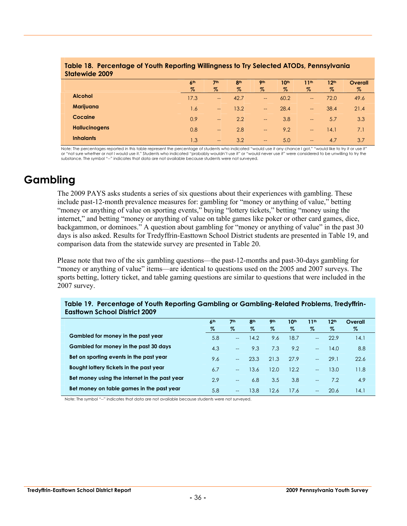| ----<br>-------<br>-- -<br>_ _, _ _ _ _ _ _ _ _ _ _ _ _<br><b>Statewide 2009</b> |                         |                         |                         |                          |                          |                          |                          |                        |  |  |
|----------------------------------------------------------------------------------|-------------------------|-------------------------|-------------------------|--------------------------|--------------------------|--------------------------|--------------------------|------------------------|--|--|
|                                                                                  | 6 <sup>th</sup><br>$\%$ | 7 <sup>th</sup><br>$\%$ | 8 <sup>th</sup><br>$\%$ | 9 <sub>th</sub><br>%     | 10 <sup>th</sup><br>$\%$ | 11 <sup>th</sup><br>$\%$ | 12 <sup>th</sup><br>$\%$ | <b>Overall</b><br>$\%$ |  |  |
| <b>Alcohol</b>                                                                   | 17.3                    | $\qquad \qquad -$       | 42.7                    | $\overline{\phantom{a}}$ | 60.2                     | $\overline{\phantom{m}}$ | 72.0                     | 49.6                   |  |  |
| Marijuana                                                                        | 1.6                     | $\qquad \qquad -$       | 13.2                    | $\hspace{0.05cm}$        | 28.4                     | $--$                     | 38.4                     | 21.4                   |  |  |
| Cocaine                                                                          | 0.9                     | $\qquad \qquad -$       | 2.2                     | $-\!$                    | 3.8                      | $\hspace{0.05cm}$        | 5.7                      | 3.3                    |  |  |
| <b>Hallucinogens</b>                                                             | 0.8                     | $\qquad \qquad -$       | 2.8                     | $\hspace{0.05cm}$        | 9.2                      | $\overline{\phantom{m}}$ | 14.1                     | 7.1                    |  |  |
| <b>Inhalants</b>                                                                 | 1.3                     | $\hspace{0.05cm}$       | 3.2                     | $\hspace{0.05cm}$        | 5.0                      | $--$                     | 4.7                      | 3.7                    |  |  |

## **Table 18. Percentage of Youth Reporting Willingness to Try Selected ATODs, Pennsylvania**

Note: The percentages reported in this table represent the percentage of students who indicated "would use it any chance I got," "would like to try it or use it" or "not sure whether or not I would use it." Students who indicated "probably wouldn't use it" or "would never use it" were considered to be unwilling to try the<br>substance. The symbol "--" indicates that data are not avail

## **Gambling**

The 2009 PAYS asks students a series of six questions about their experiences with gambling. These include past-12-month prevalence measures for: gambling for "money or anything of value," betting "money or anything of value on sporting events," buying "lottery tickets," betting "money using the internet," and betting "money or anything of value on table games like poker or other card games, dice, backgammon, or dominoes." A question about gambling for "money or anything of value" in the past 30 days is also asked. Results for Tredyffrin-Easttown School District students are presented in Table 19, and comparison data from the statewide survey are presented in Table 20.

Please note that two of the six gambling questions—the past-12-months and past-30-days gambling for "money or anything of value" items—are identical to questions used on the 2005 and 2007 surveys. The sports betting, lottery ticket, and table gaming questions are similar to questions that were included in the 2007 survey.

| <b>Eastlown School District 2009</b>          |                 |                          |                 |                 |                  |                  |                  |         |  |  |
|-----------------------------------------------|-----------------|--------------------------|-----------------|-----------------|------------------|------------------|------------------|---------|--|--|
|                                               | 6 <sup>th</sup> | 7 <sup>th</sup>          | 8 <sup>th</sup> | 9 <sub>th</sub> | 10 <sup>th</sup> | 11 <sup>th</sup> | 12 <sup>th</sup> | Overall |  |  |
|                                               | %               | %                        | %               | %               | %                | %                | $\%$             | $\%$    |  |  |
| Gambled for money in the past year            | 5.8             | $\overline{\phantom{a}}$ | 14.2            | 9.6             | 18.7             | $-$              | 22.9             | 14.1    |  |  |
| Gambled for money in the past 30 days         | 4.3             | $-$                      | 9.3             | 7.3             | 9.2              | $-$              | 14.0             | 8.8     |  |  |
| Bet on sporting events in the past year       | 9.6             | $\overline{\phantom{a}}$ | 23.3            | 21.3            | 27.9             | $-$              | 29.1             | 22.6    |  |  |
| Bought lottery tickets in the past year       | 6.7             | $-$                      | 13.6            | 12.0            | 12.2             | $-$              | 13.0             | 11.8    |  |  |
| Bet money using the internet in the past year | 2.9             | $- -$                    | 6.8             | 3.5             | 3.8              | $- -$            | 7.2              | 4.9     |  |  |
| Bet money on table games in the past year     | 5.8             | $- -$                    | 13.8            | 12.6            | 17.6             | $- -$            | 20.6             | 14.1    |  |  |

## **Table 19. Percentage of Youth Reporting Gambling or Gambling-Related Problems, Tredyffrin-**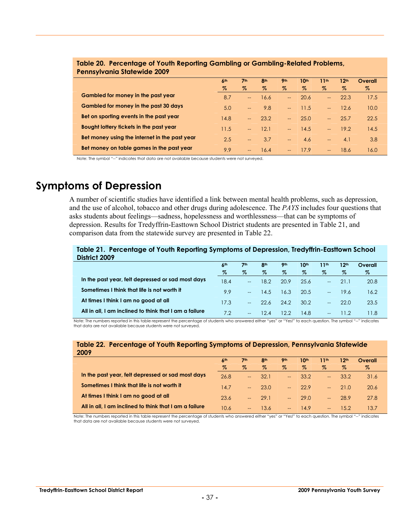|                                               | 6 <sup>th</sup> | 7 <sup>th</sup>          | 8 <sup>th</sup> | <b>9th</b>               | 10 <sup>th</sup> | 11th                     | 12 <sup>th</sup> | Overall |  |
|-----------------------------------------------|-----------------|--------------------------|-----------------|--------------------------|------------------|--------------------------|------------------|---------|--|
|                                               | %               | $\%$                     | $\%$            | $\%$                     | $\%$             | $\%$                     | $\%$             | $\%$    |  |
| Gambled for money in the past year            | 8.7             | $-$                      | 16.6            | $\overline{a}$           | 20.6             |                          | 22.3             | 17.5    |  |
| Gambled for money in the past 30 days         | 5.0             | $\overline{\phantom{m}}$ | 9.8             | $\overline{a}$           | 11.5             | $\overline{a}$           | 12.6             | 10.0    |  |
| Bet on sporting events in the past year       | 14.8            | $--$                     | 23.2            | $\overline{a}$           | 25.0             | $- -$                    | 25.7             | 22.5    |  |
| Bought lottery tickets in the past year       | 11.5            | $--$                     | 12.1            | $\overline{\phantom{a}}$ | 14.5             | $\sim$                   | 19.2             | 14.5    |  |
| Bet money using the internet in the past year | 2.5             | $--$                     | 3.7             | $\sim$                   | 4.6              | $\overline{\phantom{m}}$ | 4.1              | 3.8     |  |
| Bet money on table games in the past year     | 9.9             | $\hspace{0.05cm}$        | 16.4            | $\overline{\phantom{a}}$ | 17.9             | $\overline{\phantom{a}}$ | 18.6             | 16.0    |  |

#### **Table 20. Percentage of Youth Reporting Gambling or Gambling-Related Problems, Pennsylvania Statewide 2009**

Note: The symbol "--" indicates that data are not available because students were not surveyed.

## **Symptoms of Depression**

A number of scientific studies have identified a link between mental health problems, such as depression, and the use of alcohol, tobacco and other drugs during adolescence. The *PAYS* includes four questions that asks students about feelings—sadness, hopelessness and worthlessness—that can be symptoms of depression. Results for Tredyffrin-Easttown School District students are presented in Table 21, and comparison data from the statewide survey are presented in Table 22.

#### **Table 21. Percentage of Youth Reporting Symptoms of Depression, Tredyffrin-Easttown School District 2009**

|                                                        | 6 <sup>th</sup> | 7 <sup>th</sup> | 8 <sup>th</sup> | 9 <sub>th</sub> | 10th | 11th           | 12th | Overall |
|--------------------------------------------------------|-----------------|-----------------|-----------------|-----------------|------|----------------|------|---------|
|                                                        | %               | %               | Z               | Z               | %    | %              | $\%$ | %       |
| In the past year, felt depressed or sad most days      | 18.4            | $-$             | 18.2            | 20.9            | 25.6 | $\overline{a}$ | 21.1 | 20.8    |
| Sometimes I think that life is not worth it            | 99              | $\overline{a}$  | 14.5            | 16.3            | 20.5 | $-$            | 19.6 | 16.2    |
| At times I think I am no good at all                   | 17.3            | $-$             | 22.6            | 24.2            | 30.2 | $-$            | 22.0 | 23.5    |
| All in all, I am inclined to think that I am a failure | 7.2             | $-$             | 12.4            | 12.2            | 14.8 | $-$            | 11 2 | l 1.8   |

Note: The numbers reported in this table represent the percentage of students who answered either "yes" or "Yes!" to each question. The symbol "--" indicates that data are not available because students were not surveyed.

#### **Table 22. Percentage of Youth Reporting Symptoms of Depression, Pennsylvania Statewide 2009**

|                                                        | $\mathsf{A}^{\mathsf{th}}$<br>Z. | 7th<br>$\%$ | 8 <sup>th</sup><br>Z | 9 <sub>th</sub><br>% | 10 <sup>th</sup><br>Z. | 11th<br>$\%$   | 12 <sup>th</sup><br>$\%$ | Overall<br>Z |
|--------------------------------------------------------|----------------------------------|-------------|----------------------|----------------------|------------------------|----------------|--------------------------|--------------|
| In the past year, felt depressed or sad most days      | 26.8                             | $--$        | 32.1                 | $-$                  | 33.2                   | $\sim$ $\sim$  | 33.2                     | 31.6         |
| Sometimes I think that life is not worth it            | 14.7                             | $-$         | 23.0                 | <b>Section</b>       | 229                    | <b>Section</b> | 21.O                     | 20.6         |
| At times I think I am no good at all                   | 23.6                             | $---$       | 29.1                 | <b>Section</b>       | 290                    | <b>Service</b> | 28.9                     | 27.8         |
| All in all, I am inclined to think that I am a failure | 10.6                             | $- -$       | 13.6                 | $---$                | 14.9                   | $--$           | 15.2                     | 13.7         |

Note: The numbers reported in this table represent the percentage of students who answered either "yes" or "Yes!" to each question. The symbol "--" indicates that data are not available because students were not surveyed.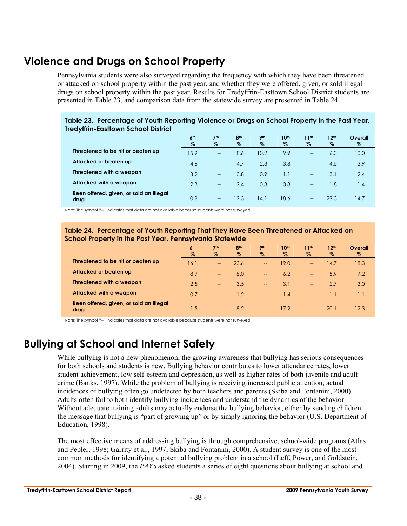## **Violence and Drugs on School Property**

Pennsylvania students were also surveyed regarding the frequency with which they have been threatened or attacked on school property within the past year, and whether they were offered, given, or sold illegal drugs on school property within the past year. Results for Tredyffrin-Easttown School District students are presented in Table 23, and comparison data from the statewide survey are presented in Table 24.

#### **Table 23. Percentage of Youth Reporting Violence or Drugs on School Property in the Past Year, Tredyffrin-Easttown School District**

|                                                 | 6 <sup>th</sup><br>$\%$ | 7 <sup>th</sup><br>$\%$  | 8 <sup>th</sup><br>$\%$ | <b>9th</b><br>$\%$ | 10th<br>$\%$ | 11 <sup>th</sup><br>$\%$ | 12 <sup>th</sup><br>% | Overall<br>% |
|-------------------------------------------------|-------------------------|--------------------------|-------------------------|--------------------|--------------|--------------------------|-----------------------|--------------|
| Threatened to be hit or beaten up               | 15.9                    | $\overline{a}$           | 8.6                     | 10.2               | 9.9          | $\equiv$                 | 6.3                   | 10.0         |
| Attacked or beaten up                           | 4.6                     | $\overline{\phantom{a}}$ | 4.7                     | 2.3                | 3.8          | $\rightarrow$            | 4.5                   | 3.9          |
| Threatened with a weapon                        | 3.2                     | $\overline{\phantom{a}}$ | 3.8                     | 0.9                | 1.1          | $\rightarrow$            | 3.1                   | 2.4          |
| Attacked with a weapon                          | 2.3                     | $\overline{a}$           | 2.4                     | 0.3                | 0.8          | $ -$                     | 1.8                   | 1.4          |
| Been offered, given, or sold an illegal<br>drug | 0.9                     | $\overline{a}$           | 12.3                    | 14.1               | 18.6         | $\qquad \qquad -$        | 29.3                  | 14.7         |

Note: The symbol "--" indicates that data are not available because students were not surveyed.

#### **Table 24. Percentage of Youth Reporting That They Have Been Threatened or Attacked on School Property in the Past Year, Pennsylvania Statewide**

|                                                 | 6 <sup>th</sup> | 7 <sup>th</sup>          | 8 <sup>th</sup> | 9 <sub>th</sub>          | 10 <sup>th</sup> | 11 <sup>th</sup>         | 12 <sup>th</sup> | Overall |
|-------------------------------------------------|-----------------|--------------------------|-----------------|--------------------------|------------------|--------------------------|------------------|---------|
|                                                 | %               | $\%$                     | $\%$            | $\%$                     | %                | $\%$                     | $\%$             | $\%$    |
| Threatened to be hit or beaten up               | 16.1            | $\overline{\phantom{a}}$ | 23.6            | $\overline{\phantom{a}}$ | 19.0             | $\qquad \qquad -$        | 14.7             | 18.3    |
| Attacked or beaten up                           | 8.9             | $\overline{\phantom{a}}$ | 8.0             | $\overline{\phantom{a}}$ | 6.2              | $\qquad \qquad -$        | 5.9              | 7.2     |
| Threatened with a weapon                        | 2.5             | $\overline{\phantom{a}}$ | 3.5             | $\overline{\phantom{a}}$ | 3.1              | $\overline{\phantom{a}}$ | 2.7              | 3.0     |
| Attacked with a weapon                          | 0.7             | $\overline{\phantom{m}}$ | 1.2             | $\overline{\phantom{a}}$ | 1.4              | $\overline{\phantom{a}}$ | 1.1              | 1.1     |
| Been offered, given, or sold an illegal<br>drug | 1.5             | $\overline{\phantom{m}}$ | 8.2             | $\overline{\phantom{a}}$ | 17.2             | $\overline{\phantom{m}}$ | 20.1             | 12.3    |

Note: The symbol "--" indicates that data are not available because students were not surveyed.

## **Bullying at School and Internet Safety**

While bullying is not a new phenomenon, the growing awareness that bullying has serious consequences for both schools and students is new. Bullying behavior contributes to lower attendance rates, lower student achievement, low self-esteem and depression, as well as higher rates of both juvenile and adult crime (Banks, 1997). While the problem of bullying is receiving increased public attention, actual incidences of bullying often go undetected by both teachers and parents (Skiba and Fontanini, 2000). Adults often fail to both identify bullying incidences and understand the dynamics of the behavior. Without adequate training adults may actually endorse the bullying behavior, either by sending children the message that bullying is "part of growing up" or by simply ignoring the behavior (U.S. Department of Education, 1998).

The most effective means of addressing bullying is through comprehensive, school-wide programs (Atlas and Pepler, 1998; Garrity et al., 1997; Skiba and Fontanini, 2000). A student survey is one of the most common methods for identifying a potential bullying problem in a school (Leff, Power, and Goldstein, 2004). Starting in 2009, the *PAYS* asked students a series of eight questions about bullying at school and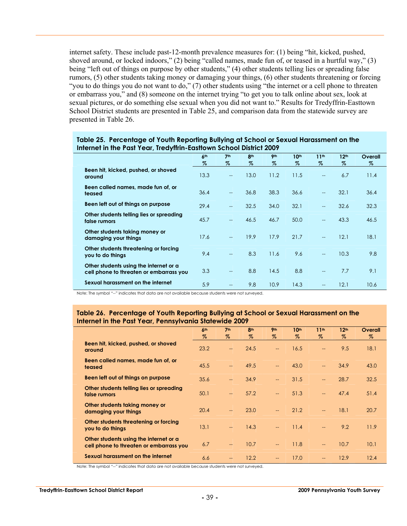internet safety. These include past-12-month prevalence measures for: (1) being "hit, kicked, pushed, shoved around, or locked indoors," (2) being "called names, made fun of, or teased in a hurtful way," (3) being "left out of things on purpose by other students," (4) other students telling lies or spreading false rumors, (5) other students taking money or damaging your things, (6) other students threatening or forcing "you to do things you do not want to do," (7) other students using "the internet or a cell phone to threaten or embarrass you," and (8) someone on the internet trying "to get you to talk online about sex, look at sexual pictures, or do something else sexual when you did not want to." Results for Tredyffrin-Easttown School District students are presented in Table 25, and comparison data from the statewide survey are presented in Table 26.

|                                                                                   | 6 <sup>th</sup><br>$\%$ | 7 <sup>th</sup><br>$\%$  | <b>Ath</b><br>$\%$ | 9 <sub>th</sub><br>Z | 10 <sup>th</sup><br>% | 11 <sup>th</sup><br>$\%$    | 12 <sup>th</sup><br>$\%$ | Overall<br>$\%$ |
|-----------------------------------------------------------------------------------|-------------------------|--------------------------|--------------------|----------------------|-----------------------|-----------------------------|--------------------------|-----------------|
| Been hit, kicked, pushed, or shoved<br>around                                     | 13.3                    | $-$                      | 13.0               | 11.2                 | 11.5                  | $\overline{\phantom{a}}$    | 6.7                      | 11.4            |
| Been called names, made fun of, or<br>teased                                      | 36.4                    | $-$                      | 36.8               | 38.3                 | 36.6                  | $\overline{\phantom{a}}$    | 32.1                     | 36.4            |
| Been left out of things on purpose                                                | 29.4                    | $-$                      | 32.5               | 34.0                 | 32.1                  | $\overline{\phantom{a}}$    | 32.6                     | 32.3            |
| Other students telling lies or spreading<br>false rumors                          | 45.7                    | $\overline{\phantom{a}}$ | 46.5               | 46.7                 | 50.0                  | $\mathcal{L}_{\mathcal{A}}$ | 43.3                     | 46.5            |
| Other students taking money or<br>damaging your things                            | 17.6                    | $-$                      | 19.9               | 17.9                 | 21.7                  | $\overline{\phantom{a}}$    | 12.1                     | 18.1            |
| Other students threatening or forcing<br>you to do things                         | 9.4                     |                          | 8.3                | 11.6                 | 9.6                   | $\overline{\phantom{a}}$    | 10.3                     | 9.8             |
| Other students using the internet or a<br>cell phone to threaten or embarrass you | 3.3                     | $-$                      | 8.8                | 14.5                 | 8.8                   | $\overline{a}$              | 7.7                      | 9.1             |
| Sexual harassment on the internet                                                 | 5.9                     |                          | 9.8                | 10.9                 | 14.3                  |                             | 12.1                     | 10.6            |

#### **Table 25. Percentage of Youth Reporting Bullying at School or Sexual Harassment on the Internet in the Past Year, Tredyffrin-Easttown School District 2009**

Note: The symbol "--" indicates that data are not available because students were not surveyed.

#### **Table 26. Percentage of Youth Reporting Bullying at School or Sexual Harassment on the Internet in the Past Year, Pennsylvania Statewide 2009**

|                                                                                   | 6 <sup>th</sup> | 7 <sup>th</sup>                        | 8 <sup>th</sup> | <b>9th</b>               | 10 <sup>th</sup> | 11 <sup>th</sup>         | 12 <sup>th</sup> | Overall |
|-----------------------------------------------------------------------------------|-----------------|----------------------------------------|-----------------|--------------------------|------------------|--------------------------|------------------|---------|
|                                                                                   | $\%$            | Z                                      | $\%$            | $\%$                     | Z                | $\%$                     | $\%$             | $\%$    |
| Been hit, kicked, pushed, or shoved<br>around                                     | 23.2            | $\hspace{0.05cm} \rule{0.5cm}{0.15cm}$ | 24.5            | $\overline{\phantom{0}}$ | 16.5             | $\overline{\phantom{a}}$ | 9.5              | 18.1    |
| Been called names, made fun of, or<br>teased                                      | 45.5            | $\sim$                                 | 49.5            | $\qquad \qquad -$        | 43.0             | $\overline{\phantom{a}}$ | 34.9             | 43.0    |
| Been left out of things on purpose                                                | 35.6            | $-$                                    | 34.9            | $\overline{\phantom{0}}$ | 31.5             | $\overline{\phantom{a}}$ | 28.7             | 32.5    |
| Other students telling lies or spreading<br>false rumors                          | 50.1            | $\hspace{0.05cm} \rule{0.5cm}{0.15cm}$ | 57.2            | $\overline{\phantom{a}}$ | 51.3             | $\overline{\phantom{a}}$ | 47.4             | 51.4    |
| Other students taking money or<br>damaging your things                            | 20.4            |                                        | 23.0            | $-$                      | 21.2             | $\overline{\phantom{a}}$ | 18.1             | 20.7    |
| Other students threatening or forcing<br>you to do things                         | 13.1            | $\overline{\phantom{a}}$               | 14.3            | $-$                      | 11.4             | $\overline{\phantom{0}}$ | 9.2              | 11.9    |
| Other students using the internet or a<br>cell phone to threaten or embarrass you | 6.7             | $\qquad \qquad -$                      | 10.7            | $\qquad \qquad -$        | 11.8             | $\overline{\phantom{a}}$ | 10.7             | 10.1    |
| Sexual harassment on the internet                                                 | 6.6             | $\qquad \qquad -$                      | 12.2            | $\qquad \qquad -$        | 17.0             | $-$                      | 12.9             | 12.4    |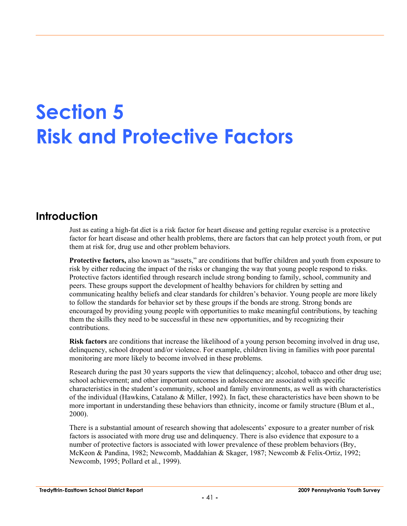# **Section 5 Risk and Protective Factors**

## **Introduction**

Just as eating a high-fat diet is a risk factor for heart disease and getting regular exercise is a protective factor for heart disease and other health problems, there are factors that can help protect youth from, or put them at risk for, drug use and other problem behaviors.

**Protective factors,** also known as "assets," are conditions that buffer children and youth from exposure to risk by either reducing the impact of the risks or changing the way that young people respond to risks. Protective factors identified through research include strong bonding to family, school, community and peers. These groups support the development of healthy behaviors for children by setting and communicating healthy beliefs and clear standards for children's behavior. Young people are more likely to follow the standards for behavior set by these groups if the bonds are strong. Strong bonds are encouraged by providing young people with opportunities to make meaningful contributions, by teaching them the skills they need to be successful in these new opportunities, and by recognizing their contributions.

**Risk factors** are conditions that increase the likelihood of a young person becoming involved in drug use, delinquency, school dropout and/or violence. For example, children living in families with poor parental monitoring are more likely to become involved in these problems.

Research during the past 30 years supports the view that delinquency; alcohol, tobacco and other drug use; school achievement; and other important outcomes in adolescence are associated with specific characteristics in the student's community, school and family environments, as well as with characteristics of the individual (Hawkins, Catalano & Miller, 1992). In fact, these characteristics have been shown to be more important in understanding these behaviors than ethnicity, income or family structure (Blum et al., 2000).

There is a substantial amount of research showing that adolescents' exposure to a greater number of risk factors is associated with more drug use and delinquency. There is also evidence that exposure to a number of protective factors is associated with lower prevalence of these problem behaviors (Bry, McKeon & Pandina, 1982; Newcomb, Maddahian & Skager, 1987; Newcomb & Felix-Ortiz, 1992; Newcomb, 1995; Pollard et al., 1999).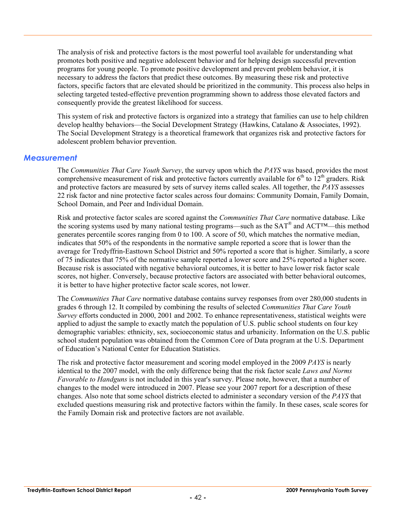The analysis of risk and protective factors is the most powerful tool available for understanding what promotes both positive and negative adolescent behavior and for helping design successful prevention programs for young people. To promote positive development and prevent problem behavior, it is necessary to address the factors that predict these outcomes. By measuring these risk and protective factors, specific factors that are elevated should be prioritized in the community. This process also helps in selecting targeted tested-effective prevention programming shown to address those elevated factors and consequently provide the greatest likelihood for success.

This system of risk and protective factors is organized into a strategy that families can use to help children develop healthy behaviors—the Social Development Strategy (Hawkins, Catalano & Associates, 1992). The Social Development Strategy is a theoretical framework that organizes risk and protective factors for adolescent problem behavior prevention.

#### *Measurement*

The *Communities That Care Youth Survey*, the survey upon which the *PAYS* was based, provides the most comprehensive measurement of risk and protective factors currently available for  $6<sup>th</sup>$  to  $12<sup>th</sup>$  graders. Risk and protective factors are measured by sets of survey items called scales. All together, the *PAYS* assesses 22 risk factor and nine protective factor scales across four domains: Community Domain, Family Domain, School Domain, and Peer and Individual Domain.

Risk and protective factor scales are scored against the *Communities That Care* normative database. Like the scoring systems used by many national testing programs—such as the SAT® and ACT™—this method generates percentile scores ranging from 0 to 100. A score of 50, which matches the normative median, indicates that 50% of the respondents in the normative sample reported a score that is lower than the average for Tredyffrin-Easttown School District and 50% reported a score that is higher. Similarly, a score of 75 indicates that 75% of the normative sample reported a lower score and 25% reported a higher score. Because risk is associated with negative behavioral outcomes, it is better to have lower risk factor scale scores, not higher. Conversely, because protective factors are associated with better behavioral outcomes, it is better to have higher protective factor scale scores, not lower.

The *Communities That Care* normative database contains survey responses from over 280,000 students in grades 6 through 12. It compiled by combining the results of selected *Communities That Care Youth Survey* efforts conducted in 2000, 2001 and 2002. To enhance representativeness, statistical weights were applied to adjust the sample to exactly match the population of U.S. public school students on four key demographic variables: ethnicity, sex, socioeconomic status and urbanicity. Information on the U.S. public school student population was obtained from the Common Core of Data program at the U.S. Department of Education's National Center for Education Statistics.

The risk and protective factor measurement and scoring model employed in the 2009 *PAYS* is nearly identical to the 2007 model, with the only difference being that the risk factor scale *Laws and Norms Favorable to Handguns* is not included in this year's survey. Please note, however, that a number of changes to the model were introduced in 2007. Please see your 2007 report for a description of these changes. Also note that some school districts elected to administer a secondary version of the *PAYS* that excluded questions measuring risk and protective factors within the family. In these cases, scale scores for the Family Domain risk and protective factors are not available.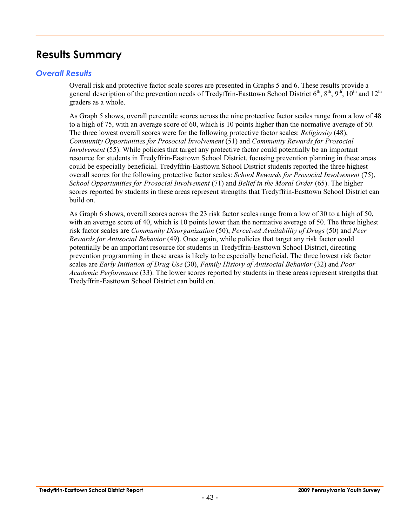## **Results Summary**

#### *Overall Results*

Overall risk and protective factor scale scores are presented in Graphs 5 and 6. These results provide a general description of the prevention needs of Tredyffrin-Easttown School District  $6^{th}$ ,  $8^{th}$ ,  $9^{th}$ ,  $10^{th}$  and  $12^{th}$ graders as a whole.

As Graph 5 shows, overall percentile scores across the nine protective factor scales range from a low of 48 to a high of 75, with an average score of 60, which is 10 points higher than the normative average of 50. The three lowest overall scores were for the following protective factor scales: *Religiosity* (48), *Community Opportunities for Prosocial Involvement* (51) and *Community Rewards for Prosocial Involvement* (55). While policies that target any protective factor could potentially be an important resource for students in Tredyffrin-Easttown School District, focusing prevention planning in these areas could be especially beneficial. Tredyffrin-Easttown School District students reported the three highest overall scores for the following protective factor scales: *School Rewards for Prosocial Involvement* (75), *School Opportunities for Prosocial Involvement* (71) and *Belief in the Moral Order* (65). The higher scores reported by students in these areas represent strengths that Tredyffrin-Easttown School District can build on.

As Graph 6 shows, overall scores across the 23 risk factor scales range from a low of 30 to a high of 50, with an average score of 40, which is 10 points lower than the normative average of 50. The three highest risk factor scales are *Community Disorganization* (50), *Perceived Availability of Drugs* (50) and *Peer Rewards for Antisocial Behavior* (49). Once again, while policies that target any risk factor could potentially be an important resource for students in Tredyffrin-Easttown School District, directing prevention programming in these areas is likely to be especially beneficial. The three lowest risk factor scales are *Early Initiation of Drug Use* (30), *Family History of Antisocial Behavior* (32) and *Poor Academic Performance* (33). The lower scores reported by students in these areas represent strengths that Tredyffrin-Easttown School District can build on.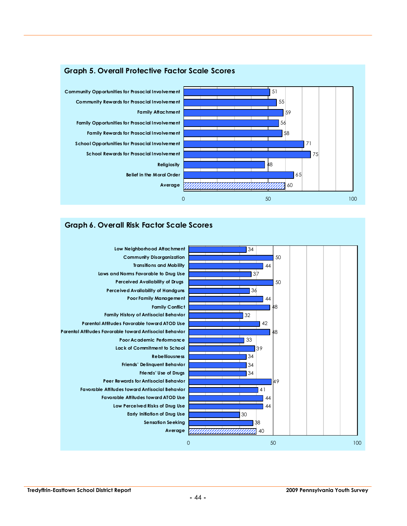

## **Graph 6. Overall Risk Factor Scale Scores**

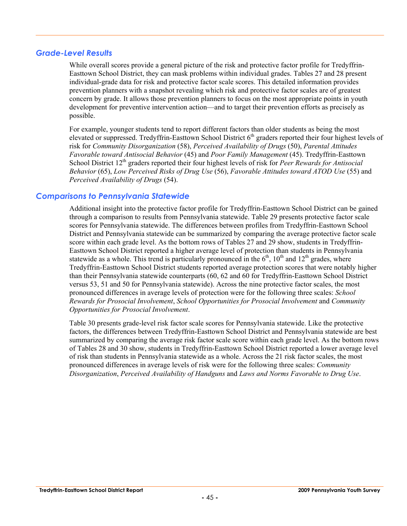#### *Grade-Level Results*

While overall scores provide a general picture of the risk and protective factor profile for Tredyffrin-Easttown School District, they can mask problems within individual grades. Tables 27 and 28 present individual-grade data for risk and protective factor scale scores. This detailed information provides prevention planners with a snapshot revealing which risk and protective factor scales are of greatest concern by grade. It allows those prevention planners to focus on the most appropriate points in youth development for preventive intervention action—and to target their prevention efforts as precisely as possible.

For example, younger students tend to report different factors than older students as being the most elevated or suppressed. Tredyffrin-Easttown School District  $6<sup>th</sup>$  graders reported their four highest levels of risk for *Community Disorganization* (58), *Perceived Availability of Drugs* (50), *Parental Attitudes Favorable toward Antisocial Behavior* (45) and *Poor Family Management* (45). Tredyffrin-Easttown School District 12<sup>th</sup> graders reported their four highest levels of risk for *Peer Rewards for Antisocial Behavior* (65), *Low Perceived Risks of Drug Use* (56), *Favorable Attitudes toward ATOD Use* (55) and *Perceived Availability of Drugs* (54).

#### *Comparisons to Pennsylvania Statewide*

Additional insight into the protective factor profile for Tredyffrin-Easttown School District can be gained through a comparison to results from Pennsylvania statewide. Table 29 presents protective factor scale scores for Pennsylvania statewide. The differences between profiles from Tredyffrin-Easttown School District and Pennsylvania statewide can be summarized by comparing the average protective factor scale score within each grade level. As the bottom rows of Tables 27 and 29 show, students in Tredyffrin-Easttown School District reported a higher average level of protection than students in Pennsylvania statewide as a whole. This trend is particularly pronounced in the  $6<sup>th</sup>$ ,  $10<sup>th</sup>$  and  $12<sup>th</sup>$  grades, where Tredyffrin-Easttown School District students reported average protection scores that were notably higher than their Pennsylvania statewide counterparts (60, 62 and 60 for Tredyffrin-Easttown School District versus 53, 51 and 50 for Pennsylvania statewide). Across the nine protective factor scales, the most pronounced differences in average levels of protection were for the following three scales: *School Rewards for Prosocial Involvement*, *School Opportunities for Prosocial Involvement* and *Community Opportunities for Prosocial Involvement*.

Table 30 presents grade-level risk factor scale scores for Pennsylvania statewide. Like the protective factors, the differences between Tredyffrin-Easttown School District and Pennsylvania statewide are best summarized by comparing the average risk factor scale score within each grade level. As the bottom rows of Tables 28 and 30 show, students in Tredyffrin-Easttown School District reported a lower average level of risk than students in Pennsylvania statewide as a whole. Across the 21 risk factor scales, the most pronounced differences in average levels of risk were for the following three scales: *Community Disorganization*, *Perceived Availability of Handguns* and *Laws and Norms Favorable to Drug Use*.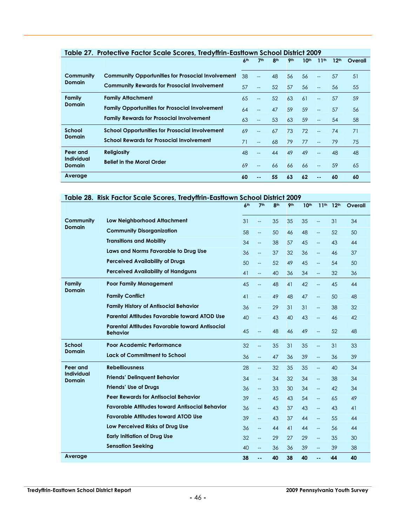|                                    | Table 27. Profective Factor Scale Scores, Treayfirin-Eastrown School District 2007 |                 |                          |                 |                 |                  |                          |                  |         |
|------------------------------------|------------------------------------------------------------------------------------|-----------------|--------------------------|-----------------|-----------------|------------------|--------------------------|------------------|---------|
|                                    |                                                                                    | 6 <sup>th</sup> | 7 <sup>th</sup>          | 8 <sup>th</sup> | 9 <sub>th</sub> | 10 <sup>th</sup> | 11 <sup>th</sup>         | 12 <sup>th</sup> | Overall |
| Community                          | <b>Community Opportunities for Prosocial Involvement</b>                           | 38              |                          | 48              | 56              | 56               | --                       | 57               | 51      |
| <b>Domain</b>                      | <b>Community Rewards for Prosocial Involvement</b>                                 | 57              | $\overline{\phantom{a}}$ | 52              | 57              | 56               | $-$                      | 56               | 55      |
| Family                             | <b>Family Attachment</b>                                                           | 65              | $\overline{a}$           | 52              | 63              | 61               | $-$                      | 57               | 59      |
| <b>Domain</b>                      | <b>Family Opportunities for Prosocial Involvement</b>                              | 64              | $-$                      | 47              | 59              | 59               | $-$                      | 57               | 56      |
|                                    | <b>Family Rewards for Prosocial Involvement</b>                                    | 63              | $-$                      | 53              | 63              | 59               | --                       | 54               | 58      |
| School                             | <b>School Opportunities for Prosocial Involvement</b>                              | 69              | $\overline{a}$           | 67              | 73              | 72               | $-$                      | 74               | 71      |
| <b>Domain</b>                      | <b>School Rewards for Prosocial Involvement</b>                                    | 71              |                          | 68              | 79              | 77               | $-$                      | 79               | 75      |
| Peer and                           | <b>Religiosity</b>                                                                 | 48              | --                       | 44              | 49              | 49               | --                       | 48               | 48      |
| <b>Individual</b><br><b>Domain</b> | <b>Belief in the Moral Order</b>                                                   | 69              | $-$                      | 66              | 66              | 66               | $-$                      | 59               | 65      |
| Average                            |                                                                                    | 60              |                          | 55              | 63              | 62               | $\overline{\phantom{a}}$ | 60               | 60      |

#### **Table 27. Protective Factor Scale Scores, Tredyffrin-Easttown School District 2009**

#### **Table 28. Risk Factor Scale Scores, Tredyffrin-Easttown School District 2009**

|                                    |                                                                          | 6 <sup>th</sup> | 7 <sup>th</sup>          | 8 <sup>th</sup> | 9 <sub>th</sub> | 10th | 11 <sup>th</sup>         | 12 <sup>th</sup> | Overall |
|------------------------------------|--------------------------------------------------------------------------|-----------------|--------------------------|-----------------|-----------------|------|--------------------------|------------------|---------|
| Community                          | <b>Low Neighborhood Attachment</b>                                       | 31              | $\overline{\phantom{a}}$ | 35              | 35              | 35   | $\overline{\phantom{a}}$ | 31               | 34      |
| <b>Domain</b>                      | <b>Community Disorganization</b>                                         | 58              | $\overline{\phantom{a}}$ | 50              | 46              | 48   | Щ,                       | 52               | 50      |
|                                    | <b>Transitions and Mobility</b>                                          | 34              | $\overline{\phantom{0}}$ | 38              | 57              | 45   | Щ,                       | 43               | 44      |
|                                    | Laws and Norms Favorable to Drug Use                                     | 36              | $-$                      | 37              | 32              | 36   | $\overline{\phantom{a}}$ | 46               | 37      |
|                                    | <b>Perceived Availability of Drugs</b>                                   | 50              | $\overline{\phantom{a}}$ | 52              | 49              | 45   | --                       | 54               | 50      |
|                                    | <b>Perceived Availability of Handguns</b>                                | 41              | $-$                      | 40              | 36              | 34   | $-$                      | 32               | 36      |
| Family<br><b>Domain</b>            | <b>Poor Family Management</b>                                            | 45              | $\overline{\phantom{a}}$ | 48              | 41              | 42   | ш,                       | 45               | 44      |
|                                    | <b>Family Conflict</b>                                                   | 41              | $\qquad \qquad -$        | 49              | 48              | 47   | <u></u>                  | 50               | 48      |
|                                    | <b>Family History of Antisocial Behavior</b>                             | 36              | $\overline{\phantom{a}}$ | 29              | 31              | 31   | $\overline{\phantom{0}}$ | 38               | 32      |
|                                    | <b>Parental Attitudes Favorable toward ATOD Use</b>                      | 40              | $-$                      | 43              | 40              | 43   | $\overline{\phantom{0}}$ | 46               | 42      |
|                                    | <b>Parental Attitudes Favorable toward Antisocial</b><br><b>Behavior</b> | 45              | $\overline{\phantom{0}}$ | 48              | 46              | 49   | <u></u>                  | 52               | 48      |
| School                             | Poor Academic Performance                                                | 32              | $-$                      | 35              | 31              | 35   | --                       | 31               | 33      |
| Domain                             | Lack of Commitment to School                                             | 36              | $\overline{\phantom{m}}$ | 47              | 36              | 39   | Щ,                       | 36               | 39      |
| Peer and                           | <b>Rebelliousness</b>                                                    | 28              | $\overline{\phantom{m}}$ | 32              | 35              | 35   | <u></u>                  | 40               | 34      |
| <b>Individual</b><br><b>Domain</b> | <b>Friends' Delinguent Behavior</b>                                      | 34              | $\overline{\phantom{a}}$ | 34              | 32              | 34   | --                       | 38               | 34      |
|                                    | <b>Friends' Use of Drugs</b>                                             | 36              | $\overline{\phantom{m}}$ | 33              | 30              | 34   | $\overline{\phantom{a}}$ | 42               | 34      |
|                                    | <b>Peer Rewards for Antisocial Behavior</b>                              | 39              | $-$                      | 45              | 43              | 54   | $\overline{\phantom{0}}$ | 65               | 49      |
|                                    | <b>Favorable Attitudes toward Antisocial Behavior</b>                    | 36              | $\overline{\phantom{a}}$ | 43              | 37              | 43   | --                       | 43               | 41      |
|                                    | <b>Favorable Attitudes toward ATOD Use</b>                               | 39              | $\overline{a}$           | 43              | 37              | 44   | $\overline{\phantom{a}}$ | 55               | 44      |
|                                    | Low Perceived Risks of Drug Use                                          | 36              | $-$                      | 44              | 41              | 44   | --                       | 56               | 44      |
|                                    | <b>Early Initiation of Drug Use</b>                                      | 32              | $\overline{\phantom{m}}$ | 29              | 27              | 29   | Щ,                       | 35               | 30      |
|                                    | <b>Sensation Seeking</b>                                                 | 40              | $-$                      | 36              | 36              | 39   | --                       | 39               | 38      |
| Average                            |                                                                          | 38              | ۰.                       | 40              | 38              | 40   | ۰.                       | 44               | 40      |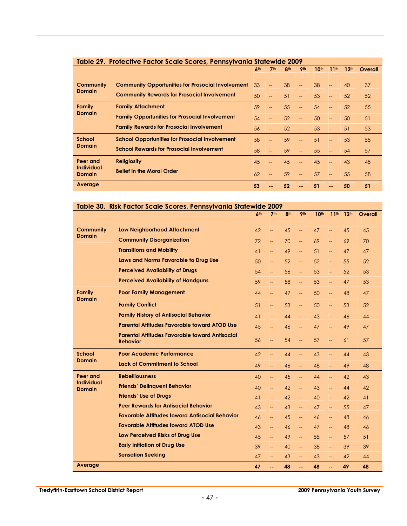| Table 29. Protective Factor Scale Scores, Pennsylvania Statewide 2009 |                                                          |                 |                 |                 |                 |                  |                          |                  |         |  |
|-----------------------------------------------------------------------|----------------------------------------------------------|-----------------|-----------------|-----------------|-----------------|------------------|--------------------------|------------------|---------|--|
|                                                                       |                                                          | 6 <sup>th</sup> | 7 <sup>th</sup> | 8 <sup>th</sup> | 9 <sub>th</sub> | 10 <sup>th</sup> | 11 <sup>th</sup>         | 12 <sup>th</sup> | Overall |  |
| Community                                                             | <b>Community Opportunities for Prosocial Involvement</b> | 33              | $\overline{a}$  | 38              | --              | 38               | <u>__</u>                | 40               | 37      |  |
| <b>Domain</b>                                                         | <b>Community Rewards for Prosocial Involvement</b>       |                 | --              | 51              | $--$            | 53               | $\overline{\phantom{a}}$ | 52               | 52      |  |
| Family                                                                | <b>Family Attachment</b>                                 | 59              | --              | 55              | $--$            | 54               | <b>LL</b>                | 52               | 55      |  |
| Domain                                                                | <b>Family Opportunities for Prosocial Involvement</b>    | 54              | $-$             | 52              | $--$            | 50               | L.                       | 50               | 51      |  |
|                                                                       | <b>Family Rewards for Prosocial Involvement</b>          | 56              |                 | 52              | $--$            | 53               | $\overline{\phantom{a}}$ | 51               | 53      |  |
| <b>School</b>                                                         | <b>School Opportunities for Prosocial Involvement</b>    | 58              | $-$             | 59              | $--$            | 51               | --                       | 53               | 55      |  |
| <b>Domain</b>                                                         | <b>School Rewards for Prosocial Involvement</b>          | 58              |                 | 59              | $--$            | 55               | $\overline{\phantom{a}}$ | 54               | 57      |  |
| Peer and                                                              | <b>Religiosity</b>                                       | 45              | $-$             | 45              | $--$            | 45               | L.                       | 43               | 45      |  |
| <b>Individual</b><br><b>Domain</b>                                    | <b>Belief in the Moral Order</b>                         | 62              | $-$             | 59              | $--$            | 57               | LL.                      | 55               | 58      |  |
| Average                                                               |                                                          | 53              |                 | 52              |                 | 51               | --                       | 50               | 51      |  |

|  | Table 30. Risk Factor Scale Scores, Pennsylvania Statewide 2009 |  |  |
|--|-----------------------------------------------------------------|--|--|
|  |                                                                 |  |  |

|                                    |                                                                          | 6 <sup>th</sup> | 7 <sup>th</sup>          | 8 <sup>th</sup> | <b>9th</b>                                          | 10 <sup>th</sup> | 11 <sup>th</sup>         | 12 <sup>th</sup> | Overall |
|------------------------------------|--------------------------------------------------------------------------|-----------------|--------------------------|-----------------|-----------------------------------------------------|------------------|--------------------------|------------------|---------|
| <b>Community</b>                   | <b>Low Neighborhood Attachment</b>                                       | 42              | <u></u>                  | 45              | $\overline{\phantom{a}}$                            | 47               | $--$                     | 45               | 45      |
| <b>Domain</b>                      | <b>Community Disorganization</b>                                         | 72              | $\overline{\phantom{a}}$ | 70              | $\overline{\phantom{m}}$                            | 69               | $\overline{\phantom{m}}$ | 69               | 70      |
|                                    | <b>Transitions and Mobility</b>                                          | 41              | --                       | 49              | $\overline{\phantom{a}}$                            | 51               | $\overline{\phantom{a}}$ | 47               | 47      |
|                                    | Laws and Norms Favorable to Drug Use                                     | 50              | Щ,                       | 52              | Щ,                                                  | 52               | Щ,                       | 55               | 52      |
|                                    | <b>Perceived Availability of Drugs</b>                                   | 54              | $\overline{\phantom{a}}$ | 56              | $\overline{\phantom{a}}$                            | 53               | $\overline{\phantom{0}}$ | 52               | 53      |
|                                    | <b>Perceived Availability of Handguns</b>                                | 59              | $\overline{\phantom{a}}$ | 58              | $\overline{\phantom{a}}$                            | 53               | $\overline{\phantom{a}}$ | 47               | 53      |
| <b>Family</b><br><b>Domain</b>     | <b>Poor Family Management</b>                                            | 44              | <u>.,</u>                | 47              | u.                                                  | 50               | Щ,                       | 48               | 47      |
|                                    | <b>Family Conflict</b>                                                   | 51              | $\overline{\phantom{a}}$ | 53              | $\hspace{0.05cm} -\hspace{0.05cm} -\hspace{0.05cm}$ | 50               | Щ,                       | 53               | 52      |
|                                    | <b>Family History of Antisocial Behavior</b>                             | 41              | --                       | 44              | $\overline{\phantom{m}}$                            | 43               | $\overline{\phantom{m}}$ | 46               | 44      |
|                                    | <b>Parental Attitudes Favorable toward ATOD Use</b>                      | 45              | --                       | 46              | $\overline{\phantom{m}}$                            | 47               | $\overline{\phantom{0}}$ | 49               | 47      |
|                                    | <b>Parental Attitudes Favorable toward Antisocial</b><br><b>Behavior</b> | 56              | <u></u>                  | 54              | $\overline{\phantom{m}}$                            | 57               | $\overline{\phantom{a}}$ | 61               | 57      |
| <b>School</b>                      | <b>Poor Academic Performance</b>                                         | 42              | $\overline{\phantom{a}}$ | 44              | $\mathbb{L} \mathbb{L}$                             | 43               | $\overline{\phantom{m}}$ | 44               | 43      |
| <b>Domain</b>                      | <b>Lack of Commitment to School</b>                                      | 49              | $\overline{\phantom{0}}$ | 46              | $\overline{\phantom{a}}$                            | 48               | u.                       | 49               | 48      |
| Peer and                           | <b>Rebelliousness</b>                                                    | 40              | --                       | 45              | $\overline{\phantom{a}}$                            | 44               | <u></u>                  | 42               | 43      |
| <b>Individual</b><br><b>Domain</b> | <b>Friends' Delinguent Behavior</b>                                      | 40              | $\overline{\phantom{0}}$ | 42              | $\mathbb{L} \mathbb{L}$                             | 43               | $\overline{\phantom{0}}$ | 44               | 42      |
|                                    | <b>Friends' Use of Drugs</b>                                             | 41              | Ш,                       | 42              | $\overline{\phantom{0}}$                            | 40               | u.                       | 42               | 41      |
|                                    | <b>Peer Rewards for Antisocial Behavior</b>                              | 43              | ΞĒ,                      | 43              | $\overline{\phantom{a}}$                            | 47               | $\overline{\phantom{0}}$ | 55               | 47      |
|                                    | <b>Favorable Attitudes toward Antisocial Behavior</b>                    | 46              | --                       | 45              | $\overline{\phantom{m}}$                            | 46               | $\overline{\phantom{m}}$ | 48               | 46      |
|                                    | <b>Favorable Attitudes toward ATOD Use</b>                               | 43              | Щ,                       | 46              | $\overline{\phantom{m}}$                            | 47               | $\overline{\phantom{0}}$ | 48               | 46      |
|                                    | Low Perceived Risks of Drug Use                                          | 45              | <u>.,</u>                | 49              | Щ,                                                  | 55               | <u></u>                  | 57               | 51      |
|                                    | <b>Early Initiation of Drug Use</b>                                      | 39              | --                       | 40              | --                                                  | 38               | $\overline{\phantom{a}}$ | 39               | 39      |
|                                    | <b>Sensation Seeking</b>                                                 | 47              | --                       | 43              | --                                                  | 43               | $\overline{\phantom{0}}$ | 42               | 44      |
| Average                            |                                                                          | 47              | ۵۵                       | 48              | 44                                                  | 48               | ц.                       | 49               | 48      |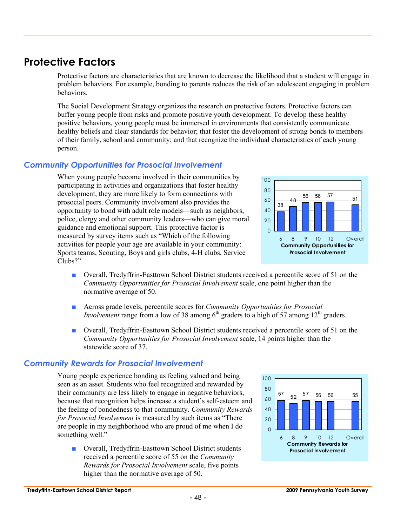## **Protective Factors**

Protective factors are characteristics that are known to decrease the likelihood that a student will engage in problem behaviors. For example, bonding to parents reduces the risk of an adolescent engaging in problem behaviors.

The Social Development Strategy organizes the research on protective factors. Protective factors can buffer young people from risks and promote positive youth development. To develop these healthy positive behaviors, young people must be immersed in environments that consistently communicate healthy beliefs and clear standards for behavior; that foster the development of strong bonds to members of their family, school and community; and that recognize the individual characteristics of each young person.

#### *Community Opportunities for Prosocial Involvement*

When young people become involved in their communities by participating in activities and organizations that foster healthy development, they are more likely to form connections with prosocial peers. Community involvement also provides the opportunity to bond with adult role models—such as neighbors, police, clergy and other community leaders—who can give moral guidance and emotional support. This protective factor is measured by survey items such as "Which of the following activities for people your age are available in your community: Sports teams, Scouting, Boys and girls clubs, 4-H clubs, Service Clubs?"

- Overall, Tredyffrin-Easttown School District students received a percentile score of 51 on the *Community Opportunities for Prosocial Involvement* scale, one point higher than the normative average of 50.
- Across grade levels, percentile scores for *Community Opportunities for Prosocial Involvement* range from a low of 38 among  $6<sup>th</sup>$  graders to a high of 57 among 12<sup>th</sup> graders.
- Overall, Tredyffrin-Easttown School District students received a percentile score of 51 on the *Community Opportunities for Prosocial Involvement* scale, 14 points higher than the statewide score of 37.

#### *Community Rewards for Prosocial Involvement*

Young people experience bonding as feeling valued and being seen as an asset. Students who feel recognized and rewarded by their community are less likely to engage in negative behaviors, because that recognition helps increase a student's self-esteem and the feeling of bondedness to that community. *Community Rewards for Prosocial Involvement* is measured by such items as "There are people in my neighborhood who are proud of me when I do something well."

■ Overall, Tredyffrin-Easttown School District students received a percentile score of 55 on the *Community Rewards for Prosocial Involvement* scale, five points higher than the normative average of 50.





100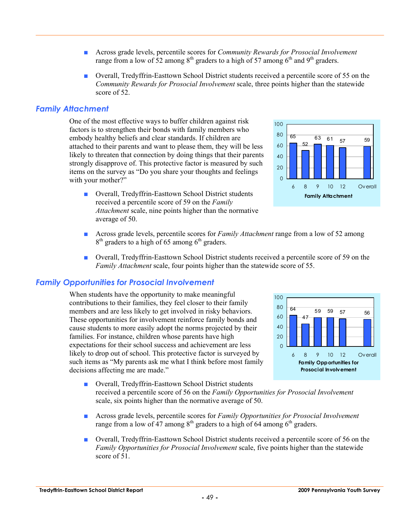- Across grade levels, percentile scores for *Community Rewards for Prosocial Involvement* range from a low of 52 among  $8<sup>th</sup>$  graders to a high of 57 among  $6<sup>th</sup>$  and  $9<sup>th</sup>$  graders.
- Overall, Tredyffrin-Easttown School District students received a percentile score of 55 on the *Community Rewards for Prosocial Involvement* scale, three points higher than the statewide score of 52.

#### *Family Attachment*

One of the most effective ways to buffer children against risk factors is to strengthen their bonds with family members who embody healthy beliefs and clear standards. If children are attached to their parents and want to please them, they will be less likely to threaten that connection by doing things that their parents strongly disapprove of. This protective factor is measured by such items on the survey as "Do you share your thoughts and feelings with your mother?"

■ Overall, Tredyffrin-Easttown School District students received a percentile score of 59 on the *Family Attachment* scale, nine points higher than the normative average of 50.



- Across grade levels, percentile scores for *Family Attachment* range from a low of 52 among  $8<sup>th</sup>$  graders to a high of 65 among  $6<sup>th</sup>$  graders.
- Overall, Tredyffrin-Easttown School District students received a percentile score of 59 on the *Family Attachment* scale, four points higher than the statewide score of 55.

#### *Family Opportunities for Prosocial Involvement*

When students have the opportunity to make meaningful contributions to their families, they feel closer to their family members and are less likely to get involved in risky behaviors. These opportunities for involvement reinforce family bonds and cause students to more easily adopt the norms projected by their families. For instance, children whose parents have high expectations for their school success and achievement are less likely to drop out of school. This protective factor is surveyed by such items as "My parents ask me what I think before most family decisions affecting me are made."



- Overall, Tredyffrin-Easttown School District students received a percentile score of 56 on the *Family Opportunities for Prosocial Involvement* scale, six points higher than the normative average of 50.
- Across grade levels, percentile scores for *Family Opportunities for Prosocial Involvement* range from a low of  $47$  among  $8<sup>th</sup>$  graders to a high of 64 among  $6<sup>th</sup>$  graders.
- Overall, Tredyffrin-Easttown School District students received a percentile score of 56 on the *Family Opportunities for Prosocial Involvement* scale, five points higher than the statewide score of 51.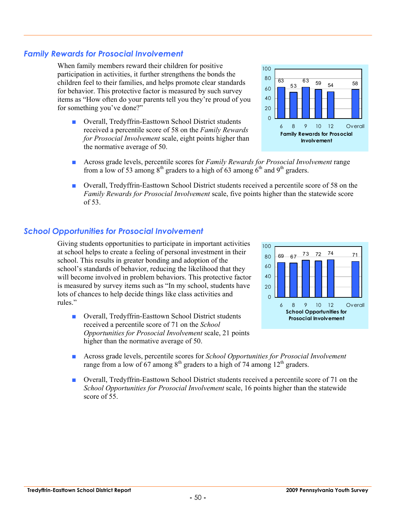#### *Family Rewards for Prosocial Involvement*

When family members reward their children for positive participation in activities, it further strengthens the bonds the children feel to their families, and helps promote clear standards for behavior. This protective factor is measured by such survey items as "How often do your parents tell you they're proud of you for something you've done?"

- Overall, Tredyffrin-Easttown School District students received a percentile score of 58 on the *Family Rewards for Prosocial Involvement* scale, eight points higher than the normative average of 50.
- Across grade levels, percentile scores for *Family Rewards for Prosocial Involvement* range from a low of 53 among  $8<sup>th</sup>$  graders to a high of 63 among  $6<sup>th</sup>$  and  $9<sup>th</sup>$  graders.
- Overall, Tredyffrin-Easttown School District students received a percentile score of 58 on the *Family Rewards for Prosocial Involvement* scale, five points higher than the statewide score of 53.

#### *School Opportunities for Prosocial Involvement*

Giving students opportunities to participate in important activities at school helps to create a feeling of personal investment in their school. This results in greater bonding and adoption of the school's standards of behavior, reducing the likelihood that they will become involved in problem behaviors. This protective factor is measured by survey items such as "In my school, students have lots of chances to help decide things like class activities and rules."

- Overall, Tredyffrin-Easttown School District students received a percentile score of 71 on the *School Opportunities for Prosocial Involvement* scale, 21 points higher than the normative average of 50.
- Across grade levels, percentile scores for *School Opportunities for Prosocial Involvement* range from a low of 67 among  $8<sup>th</sup>$  graders to a high of 74 among 12<sup>th</sup> graders.
- Overall, Tredyffrin-Easttown School District students received a percentile score of 71 on the *School Opportunities for Prosocial Involvement* scale, 16 points higher than the statewide score of 55





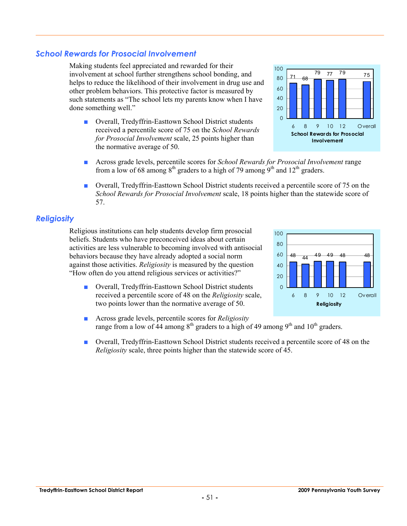#### *School Rewards for Prosocial Involvement*

Making students feel appreciated and rewarded for their involvement at school further strengthens school bonding, and helps to reduce the likelihood of their involvement in drug use and other problem behaviors. This protective factor is measured by such statements as "The school lets my parents know when I have done something well."

- Overall, Tredyffrin-Easttown School District students received a percentile score of 75 on the *School Rewards for Prosocial Involvement* scale, 25 points higher than the normative average of 50.
- Across grade levels, percentile scores for *School Rewards for Prosocial Involvement* range from a low of 68 among  $8<sup>th</sup>$  graders to a high of 79 among  $9<sup>th</sup>$  and  $12<sup>th</sup>$  graders.
- Overall, Tredyffrin-Easttown School District students received a percentile score of 75 on the *School Rewards for Prosocial Involvement* scale, 18 points higher than the statewide score of 57.

#### *Religiosity*

Religious institutions can help students develop firm prosocial beliefs. Students who have preconceived ideas about certain activities are less vulnerable to becoming involved with antisocial behaviors because they have already adopted a social norm against those activities. *Religiosity* is measured by the question "How often do you attend religious services or activities?"

- Overall, Tredyffrin-Easttown School District students received a percentile score of 48 on the *Religiosity* scale, two points lower than the normative average of 50.
- Across grade levels, percentile scores for *Religiosity* range from a low of  $44$  among  $8<sup>th</sup>$  graders to a high of 49 among  $9<sup>th</sup>$  and  $10<sup>th</sup>$  graders. **Religiosity**

 $\Omega$ 20

■ Overall, Tredyffrin-Easttown School District students received a percentile score of 48 on the *Religiosity* scale, three points higher than the statewide score of 45.



6 8 9 10 12 Overall

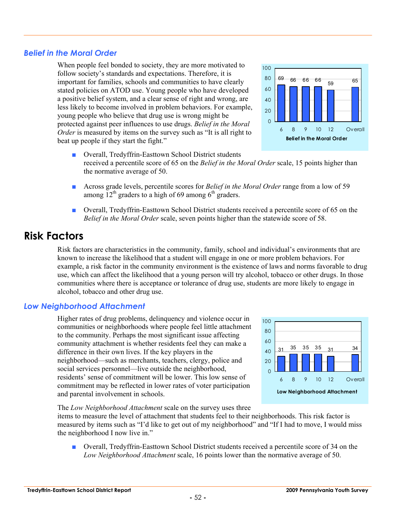#### *Belief in the Moral Order*

When people feel bonded to society, they are more motivated to follow society's standards and expectations. Therefore, it is important for families, schools and communities to have clearly stated policies on ATOD use. Young people who have developed a positive belief system, and a clear sense of right and wrong, are less likely to become involved in problem behaviors. For example, young people who believe that drug use is wrong might be protected against peer influences to use drugs. *Belief in the Moral Order* is measured by items on the survey such as "It is all right to beat up people if they start the fight."

- Overall, Tredyffrin-Easttown School District students received a percentile score of 65 on the *Belief in the Moral Order* scale, 15 points higher than the normative average of 50.
- Across grade levels, percentile scores for *Belief in the Moral Order* range from a low of 59 among  $12^{th}$  graders to a high of 69 among 6<sup>th</sup> graders.
- Overall, Tredyffrin-Easttown School District students received a percentile score of 65 on the *Belief in the Moral Order* scale, seven points higher than the statewide score of 58.

## **Risk Factors**

Risk factors are characteristics in the community, family, school and individual's environments that are known to increase the likelihood that a student will engage in one or more problem behaviors. For example, a risk factor in the community environment is the existence of laws and norms favorable to drug use, which can affect the likelihood that a young person will try alcohol, tobacco or other drugs. In those communities where there is acceptance or tolerance of drug use, students are more likely to engage in alcohol, tobacco and other drug use.

#### *Low Neighborhood Attachment*

Higher rates of drug problems, delinquency and violence occur in communities or neighborhoods where people feel little attachment to the community. Perhaps the most significant issue affecting community attachment is whether residents feel they can make a difference in their own lives. If the key players in the neighborhood—such as merchants, teachers, clergy, police and social services personnel—live outside the neighborhood, residents' sense of commitment will be lower. This low sense of commitment may be reflected in lower rates of voter participation and parental involvement in schools.

The *Low Neighborhood Attachment* scale on the survey uses three

items to measure the level of attachment that students feel to their neighborhoods. This risk factor is measured by items such as "I'd like to get out of my neighborhood" and "If I had to move, I would miss the neighborhood I now live in."

■ Overall, Tredyffrin-Easttown School District students received a percentile score of 34 on the *Low Neighborhood Attachment* scale, 16 points lower than the normative average of 50.





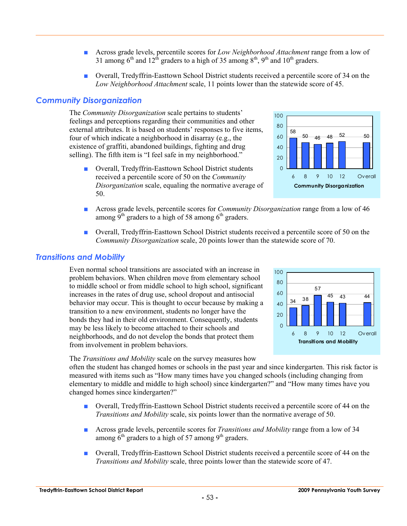- Across grade levels, percentile scores for *Low Neighborhood Attachment* range from a low of 31 among  $6<sup>th</sup>$  and  $12<sup>th</sup>$  graders to a high of 35 among  $8<sup>th</sup>$ , 9<sup>th</sup> and  $10<sup>th</sup>$  graders.
- Overall, Tredyffrin-Easttown School District students received a percentile score of 34 on the *Low Neighborhood Attachment* scale, 11 points lower than the statewide score of 45.

#### *Community Disorganization*

The *Community Disorganization* scale pertains to students' feelings and perceptions regarding their communities and other external attributes. It is based on students' responses to five items, four of which indicate a neighborhood in disarray (e.g., the existence of graffiti, abandoned buildings, fighting and drug selling). The fifth item is "I feel safe in my neighborhood."

■ Overall, Tredyffrin-Easttown School District students received a percentile score of 50 on the *Community Disorganization* scale, equaling the normative average of 50.



- Across grade levels, percentile scores for *Community Disorganization* range from a low of 46 among  $9<sup>th</sup>$  graders to a high of 58 among  $6<sup>th</sup>$  graders.
- Overall, Tredyffrin-Easttown School District students received a percentile score of 50 on the *Community Disorganization* scale, 20 points lower than the statewide score of 70.

#### *Transitions and Mobility*

Even normal school transitions are associated with an increase in problem behaviors. When children move from elementary school to middle school or from middle school to high school, significant increases in the rates of drug use, school dropout and antisocial behavior may occur. This is thought to occur because by making a transition to a new environment, students no longer have the bonds they had in their old environment. Consequently, students may be less likely to become attached to their schools and neighborhoods, and do not develop the bonds that protect them from involvement in problem behaviors.



The *Transitions and Mobility* scale on the survey measures how

often the student has changed homes or schools in the past year and since kindergarten. This risk factor is measured with items such as "How many times have you changed schools (including changing from elementary to middle and middle to high school) since kindergarten?" and "How many times have you changed homes since kindergarten?"

- Overall, Tredyffrin-Easttown School District students received a percentile score of 44 on the *Transitions and Mobility* scale, six points lower than the normative average of 50.
- Across grade levels, percentile scores for *Transitions and Mobility* range from a low of 34 among  $6<sup>th</sup>$  graders to a high of 57 among  $9<sup>th</sup>$  graders.
- Overall, Tredyffrin-Easttown School District students received a percentile score of 44 on the *Transitions and Mobility* scale, three points lower than the statewide score of 47.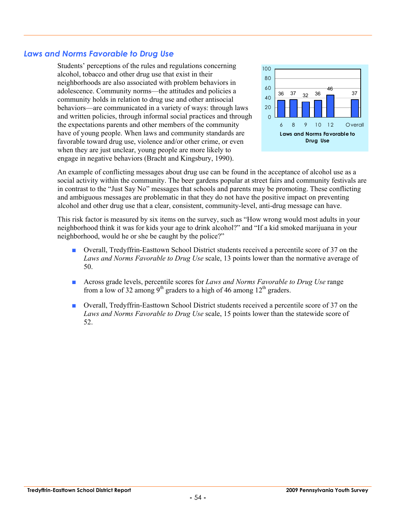#### *Laws and Norms Favorable to Drug Use*

Students' perceptions of the rules and regulations concerning alcohol, tobacco and other drug use that exist in their neighborhoods are also associated with problem behaviors in adolescence. Community norms—the attitudes and policies a community holds in relation to drug use and other antisocial behaviors—are communicated in a variety of ways: through laws and written policies, through informal social practices and through the expectations parents and other members of the community have of young people. When laws and community standards are favorable toward drug use, violence and/or other crime, or even when they are just unclear, young people are more likely to engage in negative behaviors (Bracht and Kingsbury, 1990).



An example of conflicting messages about drug use can be found in the acceptance of alcohol use as a social activity within the community. The beer gardens popular at street fairs and community festivals are in contrast to the "Just Say No" messages that schools and parents may be promoting. These conflicting and ambiguous messages are problematic in that they do not have the positive impact on preventing alcohol and other drug use that a clear, consistent, community-level, anti-drug message can have.

This risk factor is measured by six items on the survey, such as "How wrong would most adults in your neighborhood think it was for kids your age to drink alcohol?" and "If a kid smoked marijuana in your neighborhood, would he or she be caught by the police?"

- Overall, Tredyffrin-Easttown School District students received a percentile score of 37 on the *Laws and Norms Favorable to Drug Use* scale, 13 points lower than the normative average of 50.
- Across grade levels, percentile scores for *Laws and Norms Favorable to Drug Use* range from a low of 32 among 9<sup>th</sup> graders to a high of 46 among  $12<sup>th</sup>$  graders.
- Overall, Tredyffrin-Easttown School District students received a percentile score of 37 on the *Laws and Norms Favorable to Drug Use* scale, 15 points lower than the statewide score of 52.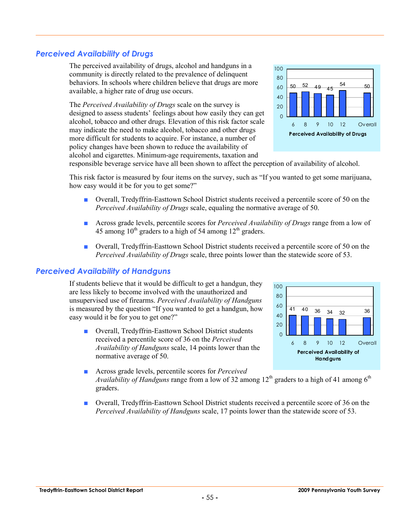#### *Perceived Availability of Drugs*

The perceived availability of drugs, alcohol and handguns in a community is directly related to the prevalence of delinquent behaviors. In schools where children believe that drugs are more available, a higher rate of drug use occurs.

The *Perceived Availability of Drugs* scale on the survey is designed to assess students' feelings about how easily they can get alcohol, tobacco and other drugs. Elevation of this risk factor scale may indicate the need to make alcohol, tobacco and other drugs more difficult for students to acquire. For instance, a number of policy changes have been shown to reduce the availability of alcohol and cigarettes. Minimum-age requirements, taxation and



responsible beverage service have all been shown to affect the perception of availability of alcohol.

This risk factor is measured by four items on the survey, such as "If you wanted to get some marijuana, how easy would it be for you to get some?"

- Overall, Tredyffrin-Easttown School District students received a percentile score of 50 on the *Perceived Availability of Drugs* scale, equaling the normative average of 50.
- Across grade levels, percentile scores for *Perceived Availability of Drugs* range from a low of 45 among  $10^{th}$  graders to a high of 54 among  $12^{th}$  graders.
- Overall, Tredyffrin-Easttown School District students received a percentile score of 50 on the *Perceived Availability of Drugs* scale, three points lower than the statewide score of 53.

#### *Perceived Availability of Handguns*

If students believe that it would be difficult to get a handgun, they are less likely to become involved with the unauthorized and unsupervised use of firearms. *Perceived Availability of Handguns* is measured by the question "If you wanted to get a handgun, how easy would it be for you to get one?"

■ Overall, Tredyffrin-Easttown School District students received a percentile score of 36 on the *Perceived Availability of Handguns* scale, 14 points lower than the normative average of 50.



- Across grade levels, percentile scores for *Perceived Availability of Handguns* range from a low of 32 among 12<sup>th</sup> graders to a high of 41 among 6<sup>th</sup> graders.
- Overall, Tredyffrin-Easttown School District students received a percentile score of 36 on the *Perceived Availability of Handguns* scale, 17 points lower than the statewide score of 53.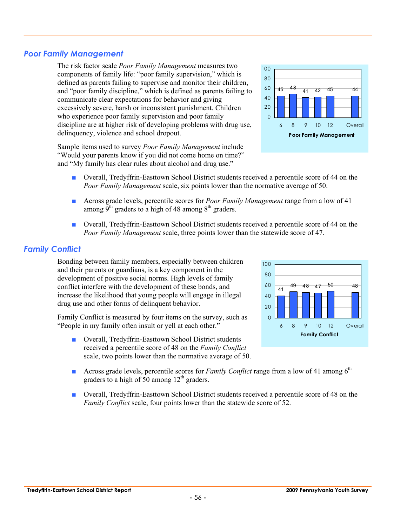#### *Poor Family Management*

The risk factor scale *Poor Family Management* measures two components of family life: "poor family supervision," which is defined as parents failing to supervise and monitor their children, and "poor family discipline," which is defined as parents failing to communicate clear expectations for behavior and giving excessively severe, harsh or inconsistent punishment. Children who experience poor family supervision and poor family discipline are at higher risk of developing problems with drug use, delinquency, violence and school dropout.

Sample items used to survey *Poor Family Management* include "Would your parents know if you did not come home on time?" and "My family has clear rules about alcohol and drug use."

- Overall, Tredyffrin-Easttown School District students received a percentile score of 44 on the *Poor Family Management* scale, six points lower than the normative average of 50.
- Across grade levels, percentile scores for *Poor Family Management* range from a low of 41 among  $9<sup>th</sup>$  graders to a high of 48 among  $8<sup>th</sup>$  graders.
- Overall, Tredyffrin-Easttown School District students received a percentile score of 44 on the *Poor Family Management* scale, three points lower than the statewide score of 47.

#### *Family Conflict*

Bonding between family members, especially between children and their parents or guardians, is a key component in the development of positive social norms. High levels of family conflict interfere with the development of these bonds, and increase the likelihood that young people will engage in illegal drug use and other forms of delinquent behavior.

Family Conflict is measured by four items on the survey, such as "People in my family often insult or yell at each other."

- Overall, Tredyffrin-Easttown School District students received a percentile score of 48 on the *Family Conflict* scale, two points lower than the normative average of 50.
- **■** Across grade levels, percentile scores for *Family Conflict* range from a low of 41 among 6<sup>th</sup> graders to a high of 50 among  $12<sup>th</sup>$  graders.
- Overall, Tredyffrin-Easttown School District students received a percentile score of 48 on the *Family Conflict* scale, four points lower than the statewide score of 52.



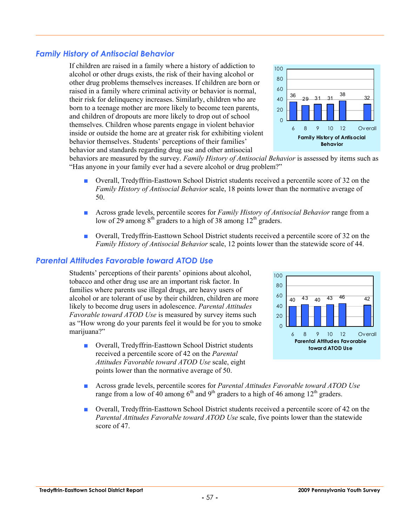#### *Family History of Antisocial Behavior*

If children are raised in a family where a history of addiction to alcohol or other drugs exists, the risk of their having alcohol or other drug problems themselves increases. If children are born or raised in a family where criminal activity or behavior is normal, their risk for delinquency increases. Similarly, children who are born to a teenage mother are more likely to become teen parents, and children of dropouts are more likely to drop out of school themselves. Children whose parents engage in violent behavior inside or outside the home are at greater risk for exhibiting violent behavior themselves. Students' perceptions of their families' behavior and standards regarding drug use and other antisocial



behaviors are measured by the survey. *Family History of Antisocial Behavior* is assessed by items such as "Has anyone in your family ever had a severe alcohol or drug problem?"

- Overall, Tredyffrin-Easttown School District students received a percentile score of 32 on the *Family History of Antisocial Behavior* scale, 18 points lower than the normative average of 50.
- Across grade levels, percentile scores for *Family History of Antisocial Behavior* range from a low of 29 among  $8<sup>th</sup>$  graders to a high of 38 among  $12<sup>th</sup>$  graders.
- Overall, Tredyffrin-Easttown School District students received a percentile score of 32 on the *Family History of Antisocial Behavior* scale, 12 points lower than the statewide score of 44.

#### *Parental Attitudes Favorable toward ATOD Use*

Students' perceptions of their parents' opinions about alcohol, tobacco and other drug use are an important risk factor. In families where parents use illegal drugs, are heavy users of alcohol or are tolerant of use by their children, children are more likely to become drug users in adolescence. *Parental Attitudes Favorable toward ATOD Use* is measured by survey items such as "How wrong do your parents feel it would be for you to smoke marijuana?"

■ Overall, Tredyffrin-Easttown School District students received a percentile score of 42 on the *Parental Attitudes Favorable toward ATOD Use* scale, eight points lower than the normative average of 50.



- Across grade levels, percentile scores for *Parental Attitudes Favorable toward ATOD Use* range from a low of 40 among  $6<sup>th</sup>$  and  $9<sup>th</sup>$  graders to a high of 46 among  $12<sup>th</sup>$  graders.
- Overall, Tredyffrin-Easttown School District students received a percentile score of 42 on the *Parental Attitudes Favorable toward ATOD Use* scale, five points lower than the statewide score of 47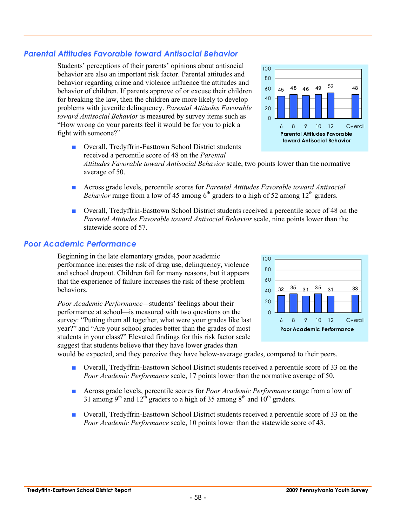### *Parental Attitudes Favorable toward Antisocial Behavior*

Students' perceptions of their parents' opinions about antisocial behavior are also an important risk factor. Parental attitudes and behavior regarding crime and violence influence the attitudes and behavior of children. If parents approve of or excuse their children for breaking the law, then the children are more likely to develop problems with juvenile delinquency. *Parental Attitudes Favorable toward Antisocial Behavior* is measured by survey items such as "How wrong do your parents feel it would be for you to pick a fight with someone?"

- Overall, Tredyffrin-Easttown School District students received a percentile score of 48 on the *Parental Attitudes Favorable toward Antisocial Behavior* scale, two points lower than the normative average of 50.
- Across grade levels, percentile scores for *Parental Attitudes Favorable toward Antisocial Behavior* range from a low of 45 among  $6<sup>th</sup>$  graders to a high of 52 among  $12<sup>th</sup>$  graders.
- Overall, Tredyffrin-Easttown School District students received a percentile score of 48 on the *Parental Attitudes Favorable toward Antisocial Behavior* scale, nine points lower than the statewide score of 57.

#### *Poor Academic Performance*

Beginning in the late elementary grades, poor academic performance increases the risk of drug use, delinquency, violence and school dropout. Children fail for many reasons, but it appears that the experience of failure increases the risk of these problem behaviors.

*Poor Academic Performance—*students' feelings about their performance at school*—*is measured with two questions on the survey: "Putting them all together, what were your grades like last year?" and "Are your school grades better than the grades of most students in your class?" Elevated findings for this risk factor scale suggest that students believe that they have lower grades than

would be expected, and they perceive they have below-average grades, compared to their peers.

- Overall, Tredyffrin-Easttown School District students received a percentile score of 33 on the *Poor Academic Performance* scale, 17 points lower than the normative average of 50.
- Across grade levels, percentile scores for *Poor Academic Performance* range from a low of 31 among 9<sup>th</sup> and 12<sup>th</sup> graders to a high of 35 among 8<sup>th</sup> and 10<sup>th</sup> graders.
- Overall, Tredyffrin-Easttown School District students received a percentile score of 33 on the *Poor Academic Performance* scale, 10 points lower than the statewide score of 43.





100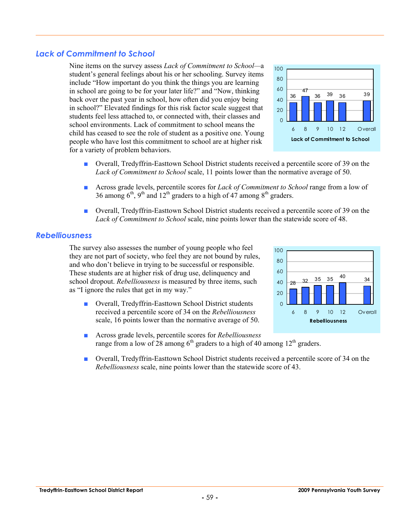## *Lack of Commitment to School*

Nine items on the survey assess *Lack of Commitment to School—*a student's general feelings about his or her schooling. Survey items include "How important do you think the things you are learning in school are going to be for your later life?" and "Now, thinking back over the past year in school, how often did you enjoy being in school?" Elevated findings for this risk factor scale suggest that students feel less attached to, or connected with, their classes and school environments. Lack of commitment to school means the child has ceased to see the role of student as a positive one. Young people who have lost this commitment to school are at higher risk for a variety of problem behaviors.



- Overall, Tredyffrin-Easttown School District students received a percentile score of 39 on the *Lack of Commitment to School* scale, 11 points lower than the normative average of 50.
- Across grade levels, percentile scores for *Lack of Commitment to School* range from a low of 36 among  $6<sup>th</sup>$ , 9<sup>th</sup> and 12<sup>th</sup> graders to a high of 47 among  $8<sup>th</sup>$  graders.
- Overall, Tredyffrin-Easttown School District students received a percentile score of 39 on the *Lack of Commitment to School* scale, nine points lower than the statewide score of 48.

#### *Rebelliousness*

The survey also assesses the number of young people who feel they are not part of society, who feel they are not bound by rules, and who don't believe in trying to be successful or responsible. These students are at higher risk of drug use, delinquency and school dropout. *Rebelliousness* is measured by three items, such as "I ignore the rules that get in my way."

■ Overall, Tredyffrin-Easttown School District students received a percentile score of 34 on the *Rebelliousness* scale, 16 points lower than the normative average of 50.



- Across grade levels, percentile scores for *Rebelliousness* range from a low of 28 among  $6<sup>th</sup>$  graders to a high of 40 among 12<sup>th</sup> graders.
- Overall, Tredyffrin-Easttown School District students received a percentile score of 34 on the *Rebelliousness* scale, nine points lower than the statewide score of 43.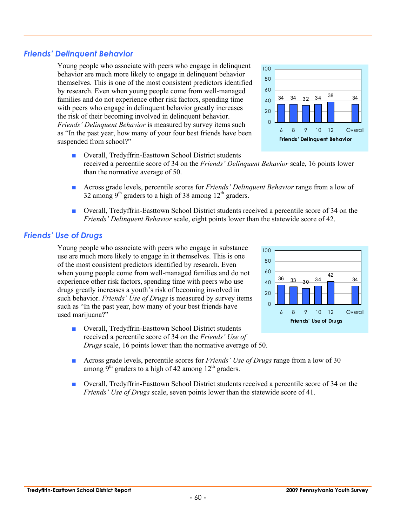## *Friends' Delinquent Behavior*

Young people who associate with peers who engage in delinquent behavior are much more likely to engage in delinquent behavior themselves. This is one of the most consistent predictors identified by research. Even when young people come from well-managed families and do not experience other risk factors, spending time with peers who engage in delinquent behavior greatly increases the risk of their becoming involved in delinquent behavior. *Friends' Delinquent Behavior* is measured by survey items such as "In the past year, how many of your four best friends have been suspended from school?"

- Overall, Tredyffrin-Easttown School District students received a percentile score of 34 on the *Friends' Delinquent Behavior* scale, 16 points lower than the normative average of 50.
- Across grade levels, percentile scores for *Friends' Delinquent Behavior* range from a low of 32 among 9<sup>th</sup> graders to a high of 38 among  $12<sup>th</sup>$  graders.
- Overall, Tredyffrin-Easttown School District students received a percentile score of 34 on the *Friends' Delinquent Behavior* scale, eight points lower than the statewide score of 42.

#### *Friends' Use of Drugs*

Young people who associate with peers who engage in substance use are much more likely to engage in it themselves. This is one of the most consistent predictors identified by research. Even when young people come from well-managed families and do not experience other risk factors, spending time with peers who use drugs greatly increases a youth's risk of becoming involved in such behavior. *Friends' Use of Drugs* is measured by survey items such as "In the past year, how many of your best friends have used marijuana?"

- Overall, Tredyffrin-Easttown School District students received a percentile score of 34 on the *Friends' Use of Drugs* scale, 16 points lower than the normative average of 50.
- Across grade levels, percentile scores for *Friends' Use of Drugs* range from a low of 30 among  $\bar{9}^{th}$  graders to a high of 42 among  $12^{th}$  graders.
- Overall, Tredyffrin-Easttown School District students received a percentile score of 34 on the *Friends' Use of Drugs* scale, seven points lower than the statewide score of 41.





100

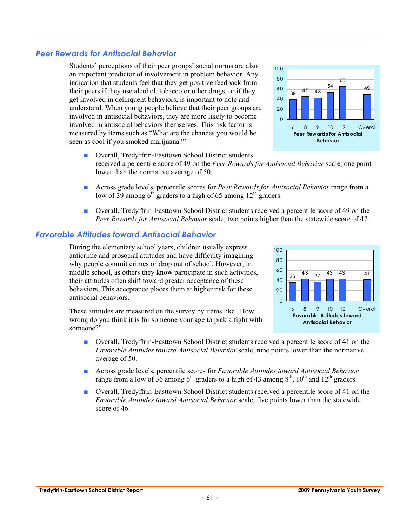#### *Peer Rewards for Antisocial Behavior*

Students' perceptions of their peer groups' social norms are also an important predictor of involvement in problem behavior. Any indication that students feel that they get positive feedback from their peers if they use alcohol, tobacco or other drugs, or if they get involved in delinquent behaviors, is important to note and understand. When young people believe that their peer groups are involved in antisocial behaviors, they are more likely to become involved in antisocial behaviors themselves. This risk factor is measured by items such as "What are the chances you would be seen as cool if you smoked marijuana?"

- Overall, Tredyffrin-Easttown School District students received a percentile score of 49 on the *Peer Rewards for Antisocial Behavior* scale, one point lower than the normative average of 50.
- Across grade levels, percentile scores for *Peer Rewards for Antisocial Behavior* range from a low of 39 among  $6<sup>th</sup>$  graders to a high of 65 among 12<sup>th</sup> graders.
- Overall, Tredyffrin-Easttown School District students received a percentile score of 49 on the *Peer Rewards for Antisocial Behavior* scale, two points higher than the statewide score of 47.

#### *Favorable Attitudes toward Antisocial Behavior*

During the elementary school years, children usually express anticrime and prosocial attitudes and have difficulty imagining why people commit crimes or drop out of school. However, in middle school, as others they know participate in such activities, their attitudes often shift toward greater acceptance of these behaviors. This acceptance places them at higher risk for these antisocial behaviors.

These attitudes are measured on the survey by items like "How wrong do you think it is for someone your age to pick a fight with someone?"

- Overall, Tredyffrin-Easttown School District students received a percentile score of 41 on the *Favorable Attitudes toward Antisocial Behavior* scale, nine points lower than the normative average of 50.
- Across grade levels, percentile scores for *Favorable Attitudes toward Antisocial Behavior* range from a low of  $36$  among  $6<sup>th</sup>$  graders to a high of 43 among  $8<sup>th</sup>$ ,  $10<sup>th</sup>$  and  $12<sup>th</sup>$  graders.
- Overall, Tredyffrin-Easttown School District students received a percentile score of 41 on the *Favorable Attitudes toward Antisocial Behavior* scale, five points lower than the statewide score of 46.



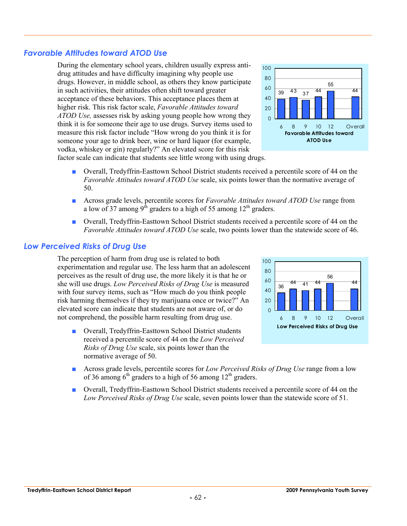#### *Favorable Attitudes toward ATOD Use*



vodka, whiskey or gin) regularly?" An elevated score for this risk factor scale can indicate that students see little wrong with using drugs.

drug attitudes and have difficulty imagining why people use

in such activities, their attitudes often shift toward greater acceptance of these behaviors. This acceptance places them at higher risk. This risk factor scale, *Favorable Attitudes toward* 

- Overall, Tredyffrin-Easttown School District students received a percentile score of 44 on the *Favorable Attitudes toward ATOD Use* scale, six points lower than the normative average of 50.
- Across grade levels, percentile scores for *Favorable Attitudes toward ATOD Use* range from a low of 37 among  $9<sup>th</sup>$  graders to a high of 55 among 12<sup>th</sup> graders.
- Overall, Tredyffrin-Easttown School District students received a percentile score of 44 on the *Favorable Attitudes toward ATOD Use* scale, two points lower than the statewide score of 46.

#### *Low Perceived Risks of Drug Use*

The perception of harm from drug use is related to both experimentation and regular use. The less harm that an adolescent perceives as the result of drug use, the more likely it is that he or she will use drugs. *Low Perceived Risks of Drug Use* is measured with four survey items, such as "How much do you think people risk harming themselves if they try marijuana once or twice?" An elevated score can indicate that students are not aware of, or do not comprehend, the possible harm resulting from drug use.

■ Overall, Tredyffrin-Easttown School District students received a percentile score of 44 on the *Low Perceived Risks of Drug Use* scale, six points lower than the normative average of 50.



- Across grade levels, percentile scores for *Low Perceived Risks of Drug Use* range from a low of 36 among  $6<sup>th</sup>$  graders to a high of 56 among 12<sup>th</sup> graders.
- Overall, Tredyffrin-Easttown School District students received a percentile score of 44 on the *Low Perceived Risks of Drug Use* scale, seven points lower than the statewide score of 51.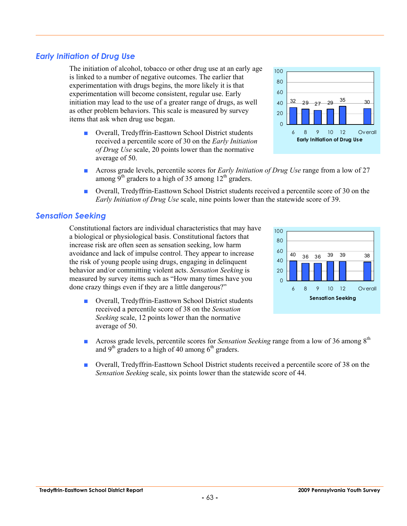#### *Early Initiation of Drug Use*

The initiation of alcohol, tobacco or other drug use at an early age is linked to a number of negative outcomes. The earlier that experimentation with drugs begins, the more likely it is that experimentation will become consistent, regular use. Early initiation may lead to the use of a greater range of drugs, as well as other problem behaviors. This scale is measured by survey items that ask when drug use began.

- Overall, Tredyffrin-Easttown School District students received a percentile score of 30 on the *Early Initiation of Drug Use* scale, 20 points lower than the normative average of 50.
- Across grade levels, percentile scores for *Early Initiation of Drug Use* range from a low of 27 among 9<sup>th</sup> graders to a high of 35 among  $12<sup>th</sup>$  graders.
- Overall, Tredyffrin-Easttown School District students received a percentile score of 30 on the *Early Initiation of Drug Use* scale, nine points lower than the statewide score of 39.

#### *Sensation Seeking*

Constitutional factors are individual characteristics that may have a biological or physiological basis. Constitutional factors that increase risk are often seen as sensation seeking, low harm avoidance and lack of impulse control. They appear to increase the risk of young people using drugs, engaging in delinquent behavior and/or committing violent acts. *Sensation Seeking* is measured by survey items such as "How many times have you done crazy things even if they are a little dangerous?"

- Overall, Tredyffrin-Easttown School District students received a percentile score of 38 on the *Sensation Seeking* scale, 12 points lower than the normative average of 50.
- **■** Across grade levels, percentile scores for *Sensation Seeking* range from a low of 36 among 8<sup>th</sup> and  $9<sup>th</sup>$  graders to a high of 40 among  $6<sup>th</sup>$  graders.
- Overall, Tredyffrin-Easttown School District students received a percentile score of 38 on the *Sensation Seeking* scale, six points lower than the statewide score of 44.





60 80 100

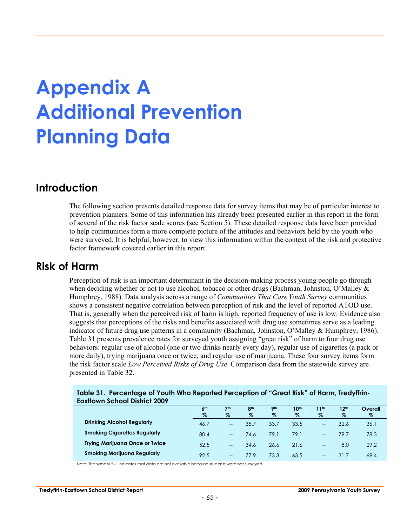# **Appendix A Additional Prevention Planning Data**

## **Introduction**

The following section presents detailed response data for survey items that may be of particular interest to prevention planners. Some of this information has already been presented earlier in this report in the form of several of the risk factor scale scores (see Section 5). These detailed response data have been provided to help communities form a more complete picture of the attitudes and behaviors held by the youth who were surveyed. It is helpful, however, to view this information within the context of the risk and protective factor framework covered earlier in this report.

### **Risk of Harm**

Perception of risk is an important determinant in the decision-making process young people go through when deciding whether or not to use alcohol, tobacco or other drugs (Bachman, Johnston, O'Malley & Humphrey, 1988). Data analysis across a range of *Communities That Care Youth Survey* communities shows a consistent negative correlation between perception of risk and the level of reported ATOD use. That is, generally when the perceived risk of harm is high, reported frequency of use is low. Evidence also suggests that perceptions of the risks and benefits associated with drug use sometimes serve as a leading indicator of future drug use patterns in a community (Bachman, Johnston, O'Malley & Humphrey, 1986). Table 31 presents prevalence rates for surveyed youth assigning "great risk" of harm to four drug use behaviors: regular use of alcohol (one or two drinks nearly every day), regular use of cigarettes (a pack or more daily), trying marijuana once or twice, and regular use of marijuana. These four survey items form the risk factor scale *Low Perceived Risks of Drug Use*. Comparison data from the statewide survey are presented in Table 32.

| Table 31. Percentage of Youth Who Reported Perception of "Great Risk" of Harm, Tredyffrin- |  |
|--------------------------------------------------------------------------------------------|--|
| <b>Eastlown School District 2009</b>                                                       |  |

|                                       | 6 <sup>th</sup> | 7 <sup>th</sup>   | 8 <sup>th</sup> | <b>9th</b> | 10th | 11th              | 12 <sup>th</sup> | Overall |
|---------------------------------------|-----------------|-------------------|-----------------|------------|------|-------------------|------------------|---------|
|                                       | $\%$            | $\%$              | %               | $\%$       | $\%$ | $\%$              | $\%$             | $\%$    |
| <b>Drinking Alcohol Regularly</b>     | 46.7            | $\qquad \qquad -$ | 35.7            | 33.7       | 33.5 | $-$               | 32.6             | 36.1    |
| <b>Smoking Cigarettes Regularly</b>   | 80.4            | $- -$             | 74.6            | 79.1       | 79.1 | $- -$             | 79.7             | 78.3    |
| <b>Trying Marijuana Once or Twice</b> | 52.5            | $\qquad \qquad -$ | 34.6            | 26.6       | 21.6 | $\qquad \qquad -$ | 8.0              | 29.2    |
| Smoking Marijuana Regularly           | 92.5            | $\qquad \qquad -$ | 77.9            | 73.3       | 63.5 | $- -$             | 31.7             | 69.4    |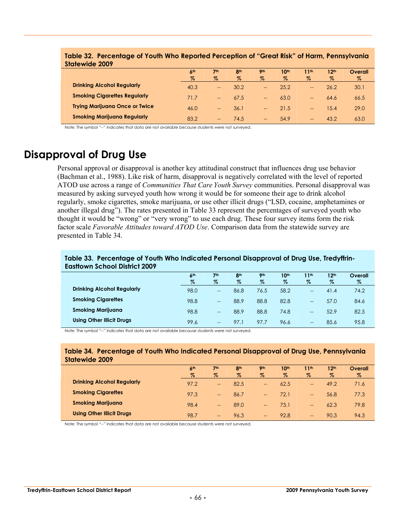| Statewide 2009                        |                 |                   |                 |                          |      |                  |                  |         |
|---------------------------------------|-----------------|-------------------|-----------------|--------------------------|------|------------------|------------------|---------|
|                                       | 6 <sup>th</sup> | 7 <sub>th</sub>   | 8 <sup>th</sup> | 9 <sub>th</sub>          | 10th | 11 <sub>th</sub> | 12 <sup>th</sup> | Overall |
|                                       | $\%$            | $\%$              | $\%$            | $\%$                     | $\%$ | $\%$             | $\%$             | $\%$    |
| <b>Drinking Alcohol Regularly</b>     | 40.3            | $\qquad \qquad -$ | 30.2            | $\overline{\phantom{a}}$ | 25.2 | $- -$            | 26.2             | 30.1    |
| <b>Smoking Cigarettes Regularly</b>   | 71.7            | $\qquad \qquad -$ | 67.5            | $\overline{\phantom{a}}$ | 63.0 | $- -$            | 64.6             | 66.5    |
| <b>Trying Marijuana Once or Twice</b> | 46.0            | $- -$             | 36.1            | $\overline{\phantom{a}}$ | 21.5 | $- -$            | 15.4             | 29.0    |
| <b>Smoking Marijuana Regularly</b>    | 83.2            | --                | 74.5            | $\hspace{0.05cm}$        | 54.9 | $- -$            | 43.2             | 63.0    |

**Table 32. Percentage of Youth Who Reported Perception of "Great Risk" of Harm, Pennsylvania Statewide 2009** 

Note: The symbol "--" indicates that data are not available because students were not surveyed.

## **Disapproval of Drug Use**

Personal approval or disapproval is another key attitudinal construct that influences drug use behavior (Bachman et al., 1988). Like risk of harm, disapproval is negatively correlated with the level of reported ATOD use across a range of *Communities That Care Youth Survey* communities. Personal disapproval was measured by asking surveyed youth how wrong it would be for someone their age to drink alcohol regularly, smoke cigarettes, smoke marijuana, or use other illicit drugs ("LSD, cocaine, amphetamines or another illegal drug"). The rates presented in Table 33 represent the percentages of surveyed youth who thought it would be "wrong" or "very wrong" to use each drug. These four survey items form the risk factor scale *Favorable Attitudes toward ATOD Use*. Comparison data from the statewide survey are presented in Table 34.

#### **Table 33. Percentage of Youth Who Indicated Personal Disapproval of Drug Use, Tredyffrin-Easttown School District 2009**

|                                   | 6 <sup>th</sup> | 7 <sup>th</sup>          | 8 <sup>th</sup> | Oth  | 10 <sup>th</sup> | 11th                     | 12 <sup>th</sup> | Overall |
|-----------------------------------|-----------------|--------------------------|-----------------|------|------------------|--------------------------|------------------|---------|
|                                   | $\%$            | %                        | $\%$            | $\%$ | $\%$             | $\%$                     | $\%$             | %       |
| <b>Drinking Alcohol Regularly</b> | 98.0            | $\overline{\phantom{a}}$ | 86.8            | 76.5 | 58.2             | $\qquad \qquad -$        | 41.4             | 74.2    |
| <b>Smoking Cigarettes</b>         | 98.8            | $\overline{\phantom{a}}$ | 88.9            | 88.8 | 82.8             | $\qquad \qquad \qquad -$ | 57.0             | 84.6    |
| <b>Smoking Marijuana</b>          | 98.8            | $\overline{\phantom{a}}$ | 88.9            | 88.8 | 74.8             | $- -$                    | 52.9             | 82.5    |
| <b>Using Other Illicit Drugs</b>  | 99.6            | $\hspace{0.05cm}$        | 97.1            | 97.7 | 96.6             | $- -$                    | 85.6             | 95.8    |

Note: The symbol "--" indicates that data are not available because students were not surveyed.

#### **Table 34. Percentage of Youth Who Indicated Personal Disapproval of Drug Use, Pennsylvania Statewide 2009**

|                                   | 6 <sup>th</sup><br>$\%$ | 7 <sup>th</sup><br>$\%$ | 8 <sup>th</sup><br>$\%$ | <b>9th</b><br>$\%$       | 10 <sup>th</sup><br>$\%$ | 11 <sup>th</sup><br>$\%$      | 12 <sup>th</sup><br>$\%$ | Overall<br>% |
|-----------------------------------|-------------------------|-------------------------|-------------------------|--------------------------|--------------------------|-------------------------------|--------------------------|--------------|
| <b>Drinking Alcohol Regularly</b> | 97.2                    | $-$                     | 82.5                    | $\overline{\phantom{m}}$ | 62.5                     | $\overline{\phantom{m}}$      | 49.2                     | 71.6         |
| <b>Smoking Cigarettes</b>         | 97.3                    | --                      | 86.7                    | $\hspace{0.05cm}$        | 72.1                     | $--$                          | 56.8                     | 77.3         |
| <b>Smoking Marijuana</b>          | 98.4                    | --                      | 89.0                    | $\hspace{0.05cm}$        | 73.1                     | $\qquad \qquad \cdots$        | 62.3                     | 79.8         |
| <b>Using Other Illicit Drugs</b>  | 98.7                    | $-$                     | 96.3                    | $\hspace{0.05cm}$        | 92.8                     | $\qquad \qquad \qquad \qquad$ | 90.3                     | 94.3         |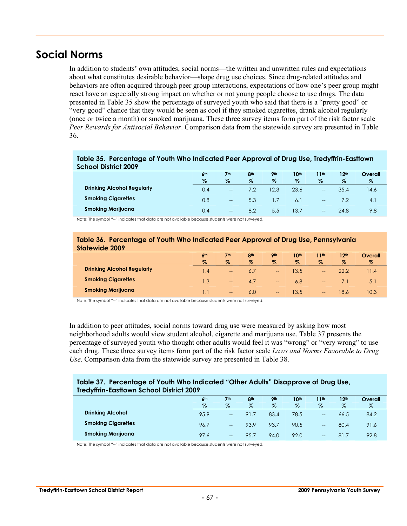## **Social Norms**

In addition to students' own attitudes, social norms—the written and unwritten rules and expectations about what constitutes desirable behavior—shape drug use choices. Since drug-related attitudes and behaviors are often acquired through peer group interactions, expectations of how one's peer group might react have an especially strong impact on whether or not young people choose to use drugs. The data presented in Table 35 show the percentage of surveyed youth who said that there is a "pretty good" or "very good" chance that they would be seen as cool if they smoked cigarettes, drank alcohol regularly (once or twice a month) or smoked marijuana. These three survey items form part of the risk factor scale *Peer Rewards for Antisocial Behavior*. Comparison data from the statewide survey are presented in Table 36.

#### **Table 35. Percentage of Youth Who Indicated Peer Approval of Drug Use, Tredyffrin-Easttown School District 2009**

|                                   | 6 <sup>th</sup> | 7 <sup>th</sup>   | 8 <sup>th</sup> | 9 <sub>th</sub> | 10th | 11th                                  | 12 <sup>th</sup> | Overall        |  |
|-----------------------------------|-----------------|-------------------|-----------------|-----------------|------|---------------------------------------|------------------|----------------|--|
|                                   | $\%$            | $\%$              | $\%$            | $\%$            | $\%$ | $\%$                                  | $\%$             | $\%$           |  |
| <b>Drinking Alcohol Regularly</b> | 0.4             | $\hspace{0.05cm}$ |                 | 12.3            | 23.6 | $\hspace{0.05cm}$                     | 35.4             | 14.6           |  |
| <b>Smoking Cigarettes</b>         | 0.8             | $\hspace{0.05cm}$ | 5.3             | $\overline{.7}$ | 6.1  | $\hspace{0.05cm}$ – $\hspace{0.05cm}$ |                  | $\mathbf{4}$ . |  |
| <b>Smoking Marijuana</b>          | 0.4             | $\hspace{0.05cm}$ | 8.2             | 5.5             | 13.7 | $\qquad \qquad \qquad -$              | 24.8             | 9.8            |  |

Note: The symbol "--" indicates that data are not available because students were not surveyed.

#### **Table 36. Percentage of Youth Who Indicated Peer Approval of Drug Use, Pennsylvania Statewide 2009**

|                                   | 6 <sup>th</sup><br>$\%$ | 7 <sub>th</sub><br>$\%$ | 8th<br>$\%$ | <b>9th</b><br>%   | 10 <sup>th</sup><br>$\%$ | 11th<br>$\%$                  | 12 <sup>th</sup><br>$\%$ | Overall<br>$\%$ |
|-----------------------------------|-------------------------|-------------------------|-------------|-------------------|--------------------------|-------------------------------|--------------------------|-----------------|
| <b>Drinking Alcohol Regularly</b> | $\mathsf{I}$ .4         | $\qquad \qquad -$       | 6.7         | $\hspace{0.05cm}$ | 13.5                     | $- -$                         | 22.2                     | $\vert A$       |
| <b>Smoking Cigarettes</b>         | 1.3                     | $--$                    | 4.7         | $\hspace{0.05cm}$ | 6.8                      | $\qquad \qquad \qquad \qquad$ |                          | 5.1             |
| <b>Smoking Marijuana</b>          |                         | $\qquad \qquad -$       | 6.0         | $\hspace{0.05cm}$ | 13.5                     | $\qquad \qquad \qquad \qquad$ | 18.6                     | 10.3            |

Note: The symbol "--" indicates that data are not available because students were not surveyed.

In addition to peer attitudes, social norms toward drug use were measured by asking how most neighborhood adults would view student alcohol, cigarette and marijuana use. Table 37 presents the percentage of surveyed youth who thought other adults would feel it was "wrong" or "very wrong" to use each drug. These three survey items form part of the risk factor scale *Laws and Norms Favorable to Drug Use*. Comparison data from the statewide survey are presented in Table 38.

#### **Table 37. Percentage of Youth Who Indicated "Other Adults" Disapprove of Drug Use, Tredyffrin-Easttown School District 2009**

| . .                       | 6 <sup>th</sup><br>$\%$ | 7 <sup>th</sup><br>$\%$  | 8 <sup>th</sup><br>$\%$ | <b>9th</b><br>$\%$ | 10th<br>$\%$ | 1 <sup>th</sup><br>$\%$ | 12 <sup>th</sup><br>% | Overall<br>$\%$ |
|---------------------------|-------------------------|--------------------------|-------------------------|--------------------|--------------|-------------------------|-----------------------|-----------------|
| <b>Drinking Alcohol</b>   | 95.9                    | $\hspace{0.05cm}$        | 91.7                    | 83.4               | 78.5         | $\qquad \qquad -$       | 66.5                  | 84.2            |
| <b>Smoking Cigarettes</b> | 96.7                    | $\overline{\phantom{m}}$ | 93.9                    | 93.7               | 90.5         | $\hspace{0.05cm}$       | 80.4                  | 91.6            |
| <b>Smoking Marijuana</b>  | 97.6                    | $\hspace{0.05cm}$        | 95.7                    | 94.0               | 92.0         | $- -$                   | 81.7                  | 92.8            |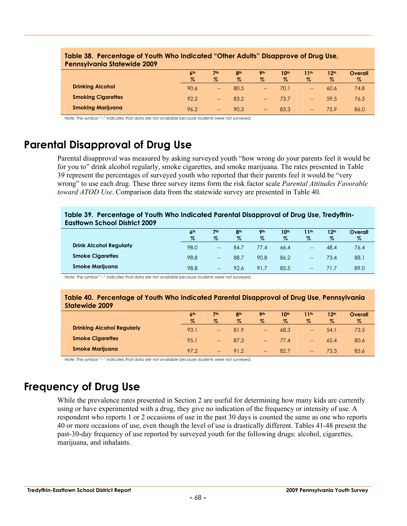| <u>table 50. Telectriciae of Touril Milo indicated. Offici Addits, bisapplove of biog use,</u><br><b>Pennsylvania Statewide 2009</b> |                 |                   |                 |                   |                  |                          |                  |         |  |
|--------------------------------------------------------------------------------------------------------------------------------------|-----------------|-------------------|-----------------|-------------------|------------------|--------------------------|------------------|---------|--|
|                                                                                                                                      | 6 <sup>th</sup> | 7th               | 8 <sup>th</sup> | <b>9th</b>        | 10 <sup>th</sup> | 11 <sup>th</sup>         | 12 <sup>th</sup> | Overall |  |
|                                                                                                                                      | $\%$            | $\%$              | $\%$            | $\%$              | $\%$             | $\%$                     | $\%$             | $\%$    |  |
| <b>Drinking Alcohol</b>                                                                                                              | 90.6            | $\qquad \qquad -$ | 80.5            | --                | 70.1             | $\overline{\phantom{a}}$ | 60.6             | 74.8    |  |
| <b>Smoking Cigarettes</b>                                                                                                            | 92.2            | $\qquad \qquad -$ | 83.2            | --                | 73.7             | $\overline{\phantom{a}}$ | 59.5             | 76.5    |  |
| <b>Smoking Marijuana</b>                                                                                                             | 96.2            | $\qquad \qquad -$ | 90.3            | $\hspace{0.05cm}$ | 83.3             | $\qquad \qquad -$        | 75.9             | 86.0    |  |

## **Table 38. Percentage of Youth Who Indicated "Other Adults" Disapprove of Drug Use,**

Note: The symbol "--" indicates that data are not available because students were not surveyed.

## **Parental Disapproval of Drug Use**

Parental disapproval was measured by asking surveyed youth "how wrong do your parents feel it would be for you to" drink alcohol regularly, smoke cigarettes, and smoke marijuana. The rates presented in Table 39 represent the percentages of surveyed youth who reported that their parents feel it would be "very wrong" to use each drug. These three survey items form the risk factor scale *Parental Attitudes Favorable toward ATOD Use*. Comparison data from the statewide survey are presented in Table 40.

#### **Table 39. Percentage of Youth Who Indicated Parental Disapproval of Drug Use, Tredyffrin-Easttown School District 2009**

|                                | 6 <sup>th</sup> | 7 <sup>th</sup>                     | 8 <sub>th</sub> | <b>9th</b> | 10th | 1 <sub>th</sub>   | 12 <sup>th</sup> | Overall |
|--------------------------------|-----------------|-------------------------------------|-----------------|------------|------|-------------------|------------------|---------|
|                                | $\%$            | $\%$                                | $\%$            | $\%$       | $\%$ | $\%$              | $\%$             | $\%$    |
| <b>Drink Alcohol Regularly</b> | 98.0            | $- -$                               | 84.7            | 77.4       | 66.4 | $\qquad \qquad -$ | 48.4             | 76.4    |
| <b>Smoke Cigarettes</b>        | 98.8            | $-$                                 | 88.7            | 90.8       | 86.2 | $- -$             | 73.4             | 88.1    |
| <b>Smoke Marijuana</b>         | 98.8            | $\hspace{0.05cm}$ $\hspace{0.05cm}$ | 92.6            | 91.7       | 85.5 | $\hspace{0.05cm}$ |                  | 89.0    |

Note: The symbol "--" indicates that data are not available because students were not surveyed.

#### **Table 40. Percentage of Youth Who Indicated Parental Disapproval of Drug Use, Pennsylvania Statewide 2009**

|                                   | 6 <sup>th</sup><br>$\%$ | 7 <sup>th</sup><br>$\%$ | 8 <sup>th</sup><br>$\%$ | <b>9th</b><br>$\%$                   | 10th<br>$\%$ | 11th<br>$\%$                  | 12 <sup>th</sup><br>$\%$ | Overall<br>% |
|-----------------------------------|-------------------------|-------------------------|-------------------------|--------------------------------------|--------------|-------------------------------|--------------------------|--------------|
| <b>Drinking Alcohol Regularly</b> | 93.1                    | $\qquad \qquad -$       | 81.9                    | $\qquad \qquad -$                    | 68.3         | $\qquad \qquad \qquad \qquad$ | 54.1                     | 73.5         |
| <b>Smoke Cigarettes</b>           | 95.1                    | $\qquad \qquad -$       | 87.3                    | --                                   | 77.4         | $\qquad \qquad \qquad \qquad$ | 65.4                     | 80.6         |
| <b>Smoke Marijuana</b>            | 97.2                    | $- -$                   | 91.2                    | $\qquad \qquad \qquad \qquad \qquad$ | 82.7         | $- -$                         | 73.3                     | 85.6         |

Note: The symbol "--" indicates that data are not available because students were not surveyed.

## **Frequency of Drug Use**

While the prevalence rates presented in Section 2 are useful for determining how many kids are currently using or have experimented with a drug, they give no indication of the frequency or intensity of use. A respondent who reports 1 or 2 occasions of use in the past 30 days is counted the same as one who reports 40 or more occasions of use, even though the level of use is drastically different. Tables 41-48 present the past-30-day frequency of use reported by surveyed youth for the following drugs: alcohol, cigarettes, marijuana, and inhalants.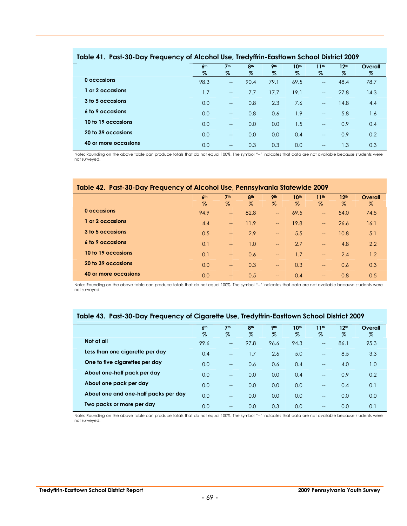|                      | 6 <sup>th</sup> | 7 <sup>th</sup>          | 8 <sup>th</sup> | <b>9th</b> | 10 <sup>th</sup> | 11 <sup>th</sup>         | 12 <sup>th</sup> | Overall |
|----------------------|-----------------|--------------------------|-----------------|------------|------------------|--------------------------|------------------|---------|
|                      | %               | $\%$                     | $\%$            | $\%$       | %                | %                        | %                | $\%$    |
| 0 occasions          | 98.3            | $\overline{\phantom{a}}$ | 90.4            | 79.1       | 69.5             | $\hspace{0.05cm}$        | 48.4             | 78.7    |
| 1 or 2 occasions     | 1.7             | $\overline{\phantom{a}}$ | 7.7             | 17.7       | 19.1             | $\overline{\phantom{a}}$ | 27.8             | 14.3    |
| 3 to 5 occasions     | 0.0             | $\overline{a}$           | 0.8             | 2.3        | 7.6              | $\overline{a}$           | 14.8             | 4.4     |
| 6 to 9 occasions     | 0.0             | $\overline{\phantom{a}}$ | 0.8             | 0.6        | 1.9              | $\overline{\phantom{a}}$ | 5.8              | 1.6     |
| 10 to 19 occasions   | 0.0             | $\overline{\phantom{a}}$ | 0.0             | 0.0        | 1.5              | $\overline{\phantom{a}}$ | 0.9              | 0.4     |
| 20 to 39 occasions   | 0.0             | $\overline{\phantom{a}}$ | 0.0             | 0.0        | 0.4              | $\overline{a}$           | 0.9              | 0.2     |
| 40 or more occasions | 0.0             | $\overline{\phantom{a}}$ | 0.3             | 0.3        | 0.0              | $-$                      | 1.3              | 0.3     |

#### **Table 41. Past-30-Day Frequency of Alcohol Use, Tredyffrin-Easttown School District 2009**

Note: Rounding on the above table can produce totals that do not equal 100%. The symbol "--" indicates that data are not available because students were not surveyed.

#### **Table 42. Past-30-Day Frequency of Alcohol Use, Pennsylvania Statewide 2009**

|                      | 6 <sup>th</sup> | 7 <sup>th</sup>          | 8 <sup>th</sup> | 9 <sub>th</sub>          | 10 <sup>th</sup> | 11 <sup>th</sup>         | 12 <sup>th</sup> | Overall |
|----------------------|-----------------|--------------------------|-----------------|--------------------------|------------------|--------------------------|------------------|---------|
|                      | $\%$            | $\%$                     | $\%$            | $\%$                     | $\%$             | $\%$                     | $\%$             | $\%$    |
| 0 occasions          | 94.9            | $\overline{\phantom{a}}$ | 82.8            | $\overline{\phantom{0}}$ | 69.5             | $\overline{\phantom{m}}$ | 54.0             | 74.5    |
| or 2 occasions       | 4.4             | $\overline{\phantom{a}}$ | 11.9            | $\overline{\phantom{0}}$ | 19.8             | $\rightarrow$            | 26.6             | 16.1    |
| 3 to 5 occasions     | 0.5             | $\overline{\phantom{a}}$ | 2.9             | $\overline{\phantom{0}}$ | 5.5              | $\equiv$                 | 10.8             | 5.1     |
| 6 to 9 occasions     | 0.1             | $\overline{\phantom{a}}$ | 1.0             | $\overline{\phantom{a}}$ | 2.7              | $\rightarrow$            | 4.8              | 2.2     |
| 10 to 19 occasions   | 0.1             | $\overline{\phantom{a}}$ | 0.6             | $\overline{\phantom{a}}$ | 1.7              | $\equiv$                 | 2.4              | 1.2     |
| 20 to 39 occasions   | 0.0             | $\overline{\phantom{a}}$ | 0.3             | $\overline{\phantom{a}}$ | 0.3              | $\overline{\phantom{m}}$ | 0.6              | 0.3     |
| 40 or more occasions | 0.0             | $\qquad \qquad -$        | 0.5             | --                       | 0.4              | $\overline{\phantom{m}}$ | 0.8              | 0.5     |

Note: Rounding on the above table can produce totals that do not equal 100%. The symbol "--" indicates that data are not available because students were not surveyed.

#### **Table 43. Past-30-Day Frequency of Cigarette Use, Tredyffrin-Easttown School District 2009**

|                                      | 6 <sup>th</sup> | 7 <sup>th</sup> | 8 <sup>th</sup> | <b>9th</b> | 10 <sup>th</sup> | 11 <sup>th</sup>         | 12 <sup>th</sup> | Overall |
|--------------------------------------|-----------------|-----------------|-----------------|------------|------------------|--------------------------|------------------|---------|
|                                      | $\%$            | $\%$            | $\%$            | $\%$       | $\%$             | $\%$                     | $\%$             | $\%$    |
| Not at all                           | 99.6            | $-$             | 97.8            | 96.6       | 94.3             | $\overline{a}$           | 86.1             | 95.3    |
| Less than one cigarette per day      | 0.4             | $-$             | 1.7             | 2.6        | 5.0              | $\overline{\phantom{a}}$ | 8.5              | 3.3     |
| One to five cigarettes per day       | 0.0             | $-$             | 0.6             | 0.6        | 0.4              | $\overline{\phantom{a}}$ | 4.0              | 1.0     |
| About one-half pack per day          | 0.0             | $-$             | 0.0             | 0.0        | 0.4              | $\overline{\phantom{a}}$ | 0.9              | 0.2     |
| About one pack per day               | 0.0             | $-$             | 0.0             | 0.0        | 0.0              | $\overline{\phantom{a}}$ | 0.4              | 0.1     |
| About one and one-half packs per day | 0.0             | $\overline{a}$  | 0.0             | 0.0        | 0.0              | $-$                      | 0.0              | 0.0     |
| Two packs or more per day            | 0.0             | $-$             | 0.0             | 0.3        | 0.0              | $-$                      | 0.0              | 0.1     |

Note: Rounding on the above table can produce totals that do not equal 100%. The symbol "--" indicates that data are not available because students were not surveyed.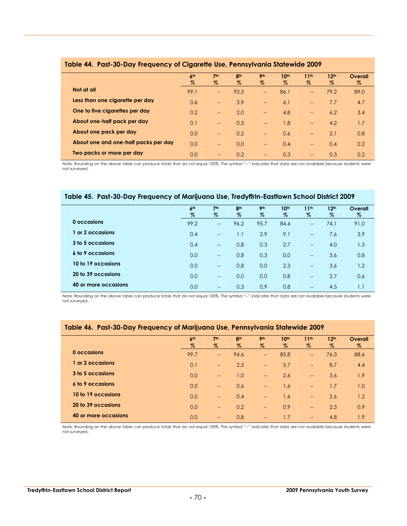|                                      | 6 <sup>th</sup> | 7 <sup>th</sup>          | 8 <sup>th</sup> | 9 <sub>th</sub>          | 10 <sup>th</sup> | 11 <sup>th</sup>         | 12 <sup>th</sup> | Overall |
|--------------------------------------|-----------------|--------------------------|-----------------|--------------------------|------------------|--------------------------|------------------|---------|
|                                      | $\%$            | $\%$                     | $\%$            | $\%$                     | $\%$             | $\%$                     | $\%$             | $\%$    |
| Not at all                           | 99.1            | $\overline{\phantom{a}}$ | 93.3            | $\overline{\phantom{a}}$ | 86.1             | $-$                      | 79.2             | 89.0    |
| Less than one cigarette per day      | 0.6             | $\overline{\phantom{a}}$ | 3.9             | $\overline{\phantom{a}}$ | 6.1              | $\overline{\phantom{m}}$ | 7.7              | 4.7     |
| One to five cigarettes per day       | 0.2             | $\overline{\phantom{a}}$ | 2.0             | $\overline{\phantom{a}}$ | 4.8              | $\overline{\phantom{m}}$ | 6.2              | 3.4     |
| About one-half pack per day          | 0.1             | $-$                      | 0.3             | $-$                      | 1.8              | $\overline{\phantom{a}}$ | 4.2              | 1.7     |
| About one pack per day               | 0.0             | $-$                      | 0.2             | $- -$                    | 0.6              | $--$                     | 2.1              | 0.8     |
| About one and one-half packs per day | 0.0             | $-$                      | 0.0             | $\overline{\phantom{a}}$ | 0.4              | $\overline{\phantom{m}}$ | 0.4              | 0.2     |
| Two packs or more per day            | 0.0             | $\qquad \qquad -$        | 0.2             | $\qquad \qquad -$        | 0.3              | $- -$                    | 0.3              | 0.2     |

#### **Table 44. Past-30-Day Frequency of Cigarette Use, Pennsylvania Statewide 2009**

Note: Rounding on the above table can produce totals that do not equal 100%. The symbol "--" indicates that data are not available because students were not surveyed.

#### **Table 45. Past-30-Day Frequency of Marijuana Use, Tredyffrin-Easttown School District 2009**

|                      | 6 <sup>th</sup> | 7 <sup>th</sup>          | 8 <sup>th</sup> | 9 <sub>th</sub> | 10 <sup>th</sup> | 11 <sup>th</sup>         | 12 <sup>th</sup> | Overall |
|----------------------|-----------------|--------------------------|-----------------|-----------------|------------------|--------------------------|------------------|---------|
|                      | %               | $\%$                     | $\%$            | $\%$            | %                | $\%$                     | $\%$             | $\%$    |
| 0 occasions          | 99.2            | $\overline{\phantom{a}}$ | 96.2            | 95.7            | 84.4             | $\hspace{0.05cm}$        | 74.1             | 91.0    |
| or 2 occasions       | 0.4             | $\hspace{0.05cm}$        | 1.1             | 2.9             | 9.1              | $\hspace{0.05cm}$        | 7.6              | 3.9     |
| 3 to 5 occasions     | 0.4             | $\sim$                   | 0.8             | 0.3             | 2.7              | $\hspace{0.05cm}$        | 4.0              | 1.5     |
| 6 to 9 occasions     | 0.0             | $\overline{\phantom{a}}$ | 0.8             | 0.3             | 0.0              | $\overline{\phantom{a}}$ | 3.6              | 0.8     |
| 10 to 19 occasions   | 0.0             | $\overline{\phantom{a}}$ | 0.8             | 0.0             | 2.3              | $\overline{\phantom{a}}$ | 3.6              | 1.2     |
| 20 to 39 occasions   | 0.0             | $\overline{\phantom{a}}$ | 0.0             | 0.0             | 0.8              | $\hspace{0.05cm}$        | 2.7              | 0.6     |
| 40 or more occasions | 0.0             | $\overline{\phantom{a}}$ | 0.3             | 0.9             | 0.8              | $\overline{\phantom{a}}$ | 4.5              | 1.1     |

Note: Rounding on the above table can produce totals that do not equal 100%. The symbol "--" indicates that data are not available because students were not surveyed.

#### **Table 46. Past-30-Day Frequency of Marijuana Use, Pennsylvania Statewide 2009**

|                      | 6 <sup>th</sup> | 7 <sup>th</sup>          | 8 <sup>th</sup> | <b>9th</b>               | 10 <sup>th</sup> | 11 <sup>th</sup>         | 12 <sup>th</sup> | Overall |
|----------------------|-----------------|--------------------------|-----------------|--------------------------|------------------|--------------------------|------------------|---------|
|                      | $\%$            | $\%$                     | $\%$            | $\%$                     | $\%$             | $\%$                     | $\%$             | $\%$    |
| 0 occasions          | 99.7            | $\overline{\phantom{a}}$ | 94.6            | $\overline{\phantom{a}}$ | 85.8             | $\overline{\phantom{m}}$ | 76.3             | 88.6    |
| 1 or 2 occasions     | 0.1             | $\overline{\phantom{a}}$ | 2.5             | $\overline{\phantom{0}}$ | 5.7              | $\equiv$                 | 8.7              | 4.4     |
| 3 to 5 occasions     | 0.0             | $\overline{\phantom{a}}$ | 1.0             | $\overline{\phantom{a}}$ | 2.6              | $\overline{\phantom{m}}$ | 3.6              | 1.9     |
| 6 to 9 occasions     | 0.0             | $\overline{\phantom{a}}$ | 0.6             | $\overline{\phantom{a}}$ | 1.6              | $\rightarrow$            | 1.7              | 1.0     |
| 10 to 19 occasions   | 0.0             | $\overline{\phantom{a}}$ | 0.4             | $\overline{\phantom{0}}$ | 1.6              | $\overline{\phantom{m}}$ | 2.6              | 1.2     |
| 20 to 39 occasions   | 0.0             | $\qquad \qquad -$        | 0.2             | $\overline{\phantom{0}}$ | 0.9              | $\overline{\phantom{m}}$ | 2.3              | 0.9     |
| 40 or more occasions | 0.0             | $-$                      | 0.8             | $- -$                    | 1.7              | $\qquad \qquad -$        | 4.8              | 1.9     |

Note: Rounding on the above table can produce totals that do not equal 100%. The symbol "--" indicates that data are not available because students were not surveyed.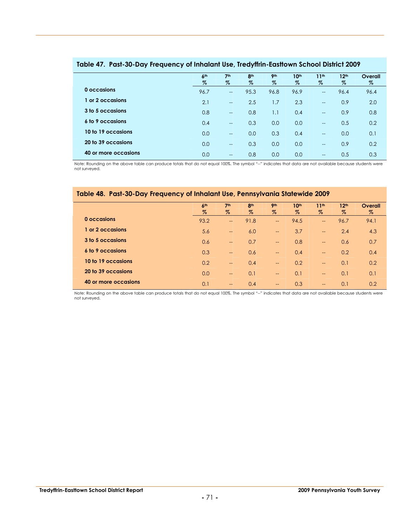|                      | 6 <sup>th</sup><br>$\%$ | 7 <sup>th</sup><br>$\%$  | 8 <sup>th</sup><br>% | 9 <sub>th</sub><br>$\%$ | 10th<br>$\%$ | 11 <sup>th</sup><br>%                 | 12 <sup>th</sup><br>% | Overall<br>$\%$ |
|----------------------|-------------------------|--------------------------|----------------------|-------------------------|--------------|---------------------------------------|-----------------------|-----------------|
| 0 occasions          | 96.7                    | $\sim$                   | 95.3                 | 96.8                    | 96.9         | $\overline{\phantom{a}}$              | 96.4                  | 96.4            |
| or 2 occasions       | 2.1                     | $\overline{\phantom{a}}$ | 2.5                  | 1.7                     | 2.3          | $\hspace{0.05cm}$ – $\hspace{0.05cm}$ | 0.9                   | 2.0             |
| 3 to 5 occasions     | 0.8                     | $\overline{\phantom{a}}$ | 0.8                  | 1.1                     | 0.4          | $\overline{\phantom{a}}$              | 0.9                   | 0.8             |
| 6 to 9 occasions     | 0.4                     | $\overline{\phantom{a}}$ | 0.3                  | 0.0                     | 0.0          | $\overline{\phantom{a}}$              | 0.5                   | 0.2             |
| 10 to 19 occasions   | 0.0                     | $\sim$                   | 0.0                  | 0.3                     | 0.4          | $\overline{a}$                        | 0.0                   | 0.1             |
| 20 to 39 occasions   | 0.0                     | $\sim$                   | 0.3                  | 0.0                     | 0.0          | $-$                                   | 0.9                   | 0.2             |
| 40 or more occasions | 0.0                     | $-$                      | 0.8                  | 0.0                     | 0.0          | $\qquad \qquad -$                     | 0.5                   | 0.3             |

#### **Table 47. Past-30-Day Frequency of Inhalant Use, Tredyffrin-Easttown School District 2009**

Note: Rounding on the above table can produce totals that do not equal 100%. The symbol "--" indicates that data are not available because students were not surveyed.

#### **Table 48. Past-30-Day Frequency of Inhalant Use, Pennsylvania Statewide 2009**

|                      | 6 <sup>th</sup> | 7 <sup>th</sup>          | 8 <sup>th</sup> | <b>9th</b>               | 10 <sup>th</sup> | 11 <sup>th</sup> | 12 <sup>th</sup> | Overall |
|----------------------|-----------------|--------------------------|-----------------|--------------------------|------------------|------------------|------------------|---------|
|                      | $\%$            | $\%$                     | %               | $\%$                     | $\%$             | $\%$             | $\%$             | %       |
| 0 occasions          | 93.2            | $\overline{\phantom{a}}$ | 91.8            | $\overline{\phantom{a}}$ | 94.5             | $\rightarrow$    | 96.7             | 94.1    |
| 1 or 2 occasions     | 5.6             | $\qquad \qquad -$        | 6.0             | $\qquad \qquad -$        | 3.7              | $\rightarrow$    | 2.4              | 4.3     |
| 3 to 5 occasions     | 0.6             | $-$                      | 0.7             | $\overline{\phantom{a}}$ | 0.8              | $\equiv$         | 0.6              | 0.7     |
| 6 to 9 occasions     | 0.3             | $\overline{\phantom{a}}$ | 0.6             | $\overline{\phantom{a}}$ | 0.4              | $\equiv$         | 0.2              | 0.4     |
| 10 to 19 occasions   | 0.2             | $-$                      | 0.4             | $\overline{\phantom{a}}$ | 0.2              | $\rightarrow$    | 0.1              | 0.2     |
| 20 to 39 occasions   | 0.0             | $\qquad \qquad -$        | 0.1             | $\overline{\phantom{m}}$ | 0.1              | $\rightarrow$    | 0.1              | 0.1     |
| 40 or more occasions | 0.1             | $\qquad \qquad -$        | 0.4             | $\overline{\phantom{a}}$ | 0.3              | $\rightarrow$    | 0.1              | 0.2     |

Note: Rounding on the above table can produce totals that do not equal 100%. The symbol "--" indicates that data are not available because students were not surveyed.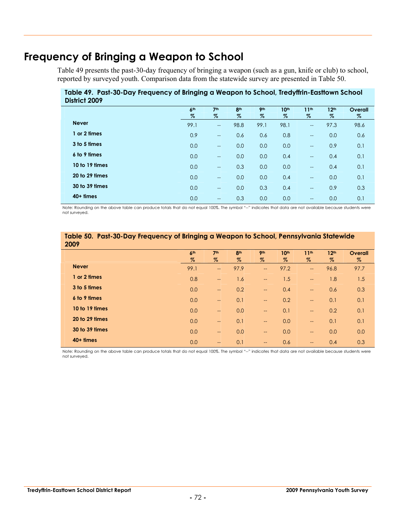# **Frequency of Bringing a Weapon to School**

Table 49 presents the past-30-day frequency of bringing a weapon (such as a gun, knife or club) to school, reported by surveyed youth. Comparison data from the statewide survey are presented in Table 50.

**Table 49. Past-30-Day Frequency of Bringing a Weapon to School, Tredyffrin-Easttown School District 2009**

| PRINT - 2007   |                 |                                                     |                 |                 |                  |                                       |                  |         |
|----------------|-----------------|-----------------------------------------------------|-----------------|-----------------|------------------|---------------------------------------|------------------|---------|
|                | 6 <sup>th</sup> | 7 <sup>th</sup>                                     | 8 <sup>th</sup> | 9 <sub>th</sub> | 10 <sup>th</sup> | 11 <sup>th</sup>                      | 12 <sup>th</sup> | Overall |
|                | $\%$            | $\%$                                                | %               | %               | $\%$             | %                                     | %                | %       |
| <b>Never</b>   | 99.1            | $\overline{\phantom{a}}$                            | 98.8            | 99.1            | 98.1             | $\hspace{0.05cm}$                     | 97.3             | 98.6    |
| 1 or 2 times   | 0.9             | $\overline{\phantom{a}}$                            | 0.6             | 0.6             | 0.8              | $\overline{\phantom{m}}$              | 0.0              | 0.6     |
| 3 to 5 times   | 0.0             | $\overline{\phantom{a}}$                            | 0.0             | 0.0             | 0.0              | $\overline{\phantom{a}}$              | 0.9              | 0.1     |
| 6 to 9 times   | 0.0             | $\hspace{0.05cm} -\hspace{0.05cm} -\hspace{0.05cm}$ | 0.0             | 0.0             | 0.4              | $\overline{\phantom{a}}$              | 0.4              | 0.1     |
| 10 to 19 times | 0.0             | $\overline{\phantom{a}}$                            | 0.3             | 0.0             | 0.0              | $-$                                   | 0.4              | 0.1     |
| 20 to 29 times | 0.0             | $\overline{\phantom{a}}$                            | 0.0             | 0.0             | 0.4              | $\overline{\phantom{a}}$              | 0.0              | 0.1     |
| 30 to 39 times | 0.0             | $\overline{\phantom{a}}$                            | 0.0             | 0.3             | 0.4              | $\overline{\phantom{a}}$              | 0.9              | 0.3     |
| $40+$ times    | 0.0             | $\overline{\phantom{a}}$                            | 0.3             | 0.0             | 0.0              | $\hspace{0.05cm}$ – $\hspace{0.05cm}$ | 0.0              | 0.1     |

Note: Rounding on the above table can produce totals that do not equal 100%. The symbol "--" indicates that data are not available because students were not surveyed.

| Table 50. Past-30-Day Frequency of Bringing a Weapon to School, Pennsylvania Statewide<br>2009 |            |                          |                 |                          |                  |                          |                  |         |  |  |
|------------------------------------------------------------------------------------------------|------------|--------------------------|-----------------|--------------------------|------------------|--------------------------|------------------|---------|--|--|
|                                                                                                | <b>Ath</b> | 7 <sup>th</sup>          | 8 <sup>th</sup> | 9 <sub>th</sub>          | 10 <sup>th</sup> | 11 <sup>th</sup>         | 12 <sup>th</sup> | Overall |  |  |
|                                                                                                | $\%$       | Z                        | $\%$            | $\%$                     | $\%$             | %                        | $\%$             | $\%$    |  |  |
| <b>Never</b>                                                                                   | 99.1       | $-$                      | 97.9            | $-$                      | 97.2             | $--$                     | 96.8             | 97.7    |  |  |
| 1 or 2 times                                                                                   | 0.8        | --                       | 1.6             | $\overline{\phantom{a}}$ | 1.5              | $\overline{\phantom{a}}$ | 1.8              | 1.5     |  |  |
| 3 to 5 times                                                                                   | 0.0        | $\overline{\phantom{a}}$ | 0.2             | $\overline{\phantom{a}}$ | 0.4              | $\overline{\phantom{a}}$ | 0.6              | 0.3     |  |  |
| 6 to 9 times                                                                                   | 0.0        | $-$                      | 0.1             | $\overline{\phantom{m}}$ | 0.2              | $\overline{\phantom{a}}$ | 0.1              | 0.1     |  |  |
| 10 to 19 times                                                                                 | 0.0        | $-$                      | 0.0             | $-$                      | 0.1              | $\overline{\phantom{a}}$ | 0.2              | 0.1     |  |  |
| 20 to 29 times                                                                                 | 0.0        | $-$                      | 0.1             | $\overline{\phantom{a}}$ | 0.0              | $--$                     | 0.1              | 0.1     |  |  |
| 30 to 39 times                                                                                 | 0.0        | $-$                      | 0.0             | $-$                      | 0.0              | $--$                     | 0.0              | 0.0     |  |  |
| $40+$ times                                                                                    | 0.0        | $\qquad \qquad -$        | 0.1             | $\hspace{0.05cm}$        | 0.6              | $--$                     | 0.4              | 0.3     |  |  |

Note: Rounding on the above table can produce totals that do not equal 100%. The symbol "--" indicates that data are not available because students were not surveyed.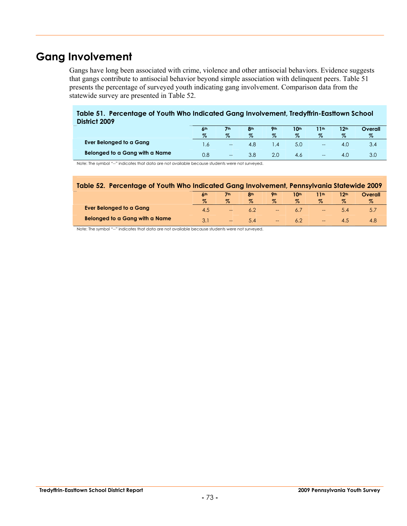# **Gang Involvement**

Gangs have long been associated with crime, violence and other antisocial behaviors. Evidence suggests that gangs contribute to antisocial behavior beyond simple association with delinquent peers. Table 51 presents the percentage of surveyed youth indicating gang involvement. Comparison data from the statewide survey are presented in Table 52.

#### **Table 51. Percentage of Youth Who Indicated Gang Involvement, Tredyffrin-Easttown School District 2009**

|                                | 6 <sup>th</sup> | 7 <sub>th</sub><br>$\%$  | 8 <sub>th</sub><br>$\%$ | Oth<br>$\%$ | 10 <sup>th</sup><br>$\%$ | 1th<br>$\%$ | 12 <sup>th</sup><br>$\%$ | Overall |
|--------------------------------|-----------------|--------------------------|-------------------------|-------------|--------------------------|-------------|--------------------------|---------|
| Ever Belonged to a Gang        |                 | $\hspace{0.05cm}$        | 4.8                     | ∣.4         | 5.0                      | $- -$       | $-4.6$                   | 3.4     |
| Belonged to a Gang with a Name |                 | $\overline{\phantom{m}}$ |                         |             | 4.6                      | $- -$       | $-4.1$                   | 3.0     |

Note: The symbol "--" indicates that data are not available because students were not surveyed.

| Table 52. Percentage of Youth Who Indicated Gang Involvement, Pennsylvania Statewide 2009 |                            |                 |            |                          |                  |                          |       |         |  |  |
|-------------------------------------------------------------------------------------------|----------------------------|-----------------|------------|--------------------------|------------------|--------------------------|-------|---------|--|--|
|                                                                                           | $\mathsf{A}^{\mathsf{th}}$ | 7 <sub>th</sub> | <b>Ath</b> | <b>Qth</b>               | 10 <sup>th</sup> | 11th                     | 1 9th | Overall |  |  |
|                                                                                           |                            | $\%$            | $\%$       | Z                        | $\%$             | $\%$                     | $\%$  |         |  |  |
| Ever Belonged to a Gang                                                                   | 4.5                        |                 |            | $- -$                    | 6.1              | $\overline{\phantom{a}}$ |       | 5.1     |  |  |
| Belonged to a Gang with a Name                                                            |                            | $-$             | 5.4        | $\overline{\phantom{a}}$ | 6.2              | $\overline{\phantom{m}}$ |       | 4.8     |  |  |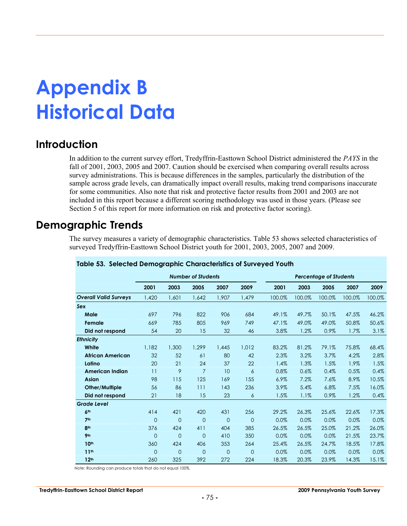# **Appendix B Historical Data**

## **Introduction**

In addition to the current survey effort, Tredyffrin-Easttown School District administered the *PAYS* in the fall of 2001, 2003, 2005 and 2007. Caution should be exercised when comparing overall results across survey administrations. This is because differences in the samples, particularly the distribution of the sample across grade levels, can dramatically impact overall results, making trend comparisons inaccurate for some communities. Also note that risk and protective factor results from 2001 and 2003 are not included in this report because a different scoring methodology was used in those years. (Please see Section 5 of this report for more information on risk and protective factor scoring).

## **Demographic Trends**

The survey measures a variety of demographic characteristics. Table 53 shows selected characteristics of surveyed Tredyffrin-Easttown School District youth for 2001, 2003, 2005, 2007 and 2009.

|                              |                |                | <b>Number of Students</b> |                |                |        |        | <b>Percentage of Students</b> |        |        |
|------------------------------|----------------|----------------|---------------------------|----------------|----------------|--------|--------|-------------------------------|--------|--------|
|                              | 2001           | 2003           | 2005                      | 2007           | 2009           | 2001   | 2003   | 2005                          | 2007   | 2009   |
| <b>Overall Valid Surveys</b> | 1.420          | 1,601          | 1,642                     | 1,907          | 1,479          | 100.0% | 100.0% | 100.0%                        | 100.0% | 100.0% |
| Sex                          |                |                |                           |                |                |        |        |                               |        |        |
| Male                         | 697            | 796            | 822                       | 906            | 684            | 49.1%  | 49.7%  | 50.1%                         | 47.5%  | 46.2%  |
| Female                       | 669            | 785            | 805                       | 969            | 749            | 47.1%  | 49.0%  | 49.0%                         | 50.8%  | 50.6%  |
| Did not respond              | 54             | 20             | 15                        | 32             | 46             | 3.8%   | 1.2%   | 0.9%                          | 1.7%   | 3.1%   |
| <b>Ethnicity</b>             |                |                |                           |                |                |        |        |                               |        |        |
| White                        | 1,182          | 1,300          | 1,299                     | 1.445          | 1.012          | 83.2%  | 81.2%  | 79.1%                         | 75.8%  | 68.4%  |
| <b>African American</b>      | 32             | 52             | 61                        | 80             | 42             | 2.3%   | 3.2%   | 3.7%                          | 4.2%   | 2.8%   |
| Latino                       | 20             | 21             | 24                        | 37             | 22             | 1.4%   | 1.3%   | 1.5%                          | 1.9%   | 1.5%   |
| <b>American Indian</b>       | 11             | 9              | $\overline{7}$            | 10             | 6              | 0.8%   | 0.6%   | 0.4%                          | 0.5%   | 0.4%   |
| Asian                        | 98             | 115            | 125                       | 169            | 155            | 6.9%   | 7.2%   | 7.6%                          | 8.9%   | 10.5%  |
| Other/Multiple               | 56             | 86             | 111                       | 143            | 236            | 3.9%   | 5.4%   | 6.8%                          | 7.5%   | 16.0%  |
| Did not respond              | 21             | 18             | 15                        | 23             | 6              | 1.5%   | 1.1%   | 0.9%                          | 1.2%   | 0.4%   |
| <b>Grade Level</b>           |                |                |                           |                |                |        |        |                               |        |        |
| 6 <sup>th</sup>              | 414            | 421            | 420                       | 431            | 256            | 29.2%  | 26.3%  | 25.6%                         | 22.6%  | 17.3%  |
| 7 <sup>th</sup>              | $\overline{0}$ | $\overline{0}$ | $\overline{0}$            | $\overline{0}$ | $\overline{0}$ | 0.0%   | 0.0%   | 0.0%                          | 0.0%   | 0.0%   |
| 8 <sup>th</sup>              | 376            | 424            | 411                       | 404            | 385            | 26.5%  | 26.5%  | 25.0%                         | 21.2%  | 26.0%  |
| 9 <sub>th</sub>              | $\overline{0}$ | $\overline{0}$ | $\mathbf{0}$              | 410            | 350            | 0.0%   | 0.0%   | 0.0%                          | 21.5%  | 23.7%  |
| 10 <sup>th</sup>             | 360            | 424            | 406                       | 353            | 264            | 25.4%  | 26.5%  | 24.7%                         | 18.5%  | 17.8%  |
| 11 <sup>th</sup>             | $\overline{0}$ | $\overline{0}$ | $\overline{0}$            | $\overline{0}$ | $\overline{0}$ | 0.0%   | 0.0%   | 0.0%                          | 0.0%   | 0.0%   |
| 12 <sup>th</sup>             | 260            | 325            | 392                       | 272            | 224            | 18.3%  | 20.3%  | 23.9%                         | 14.3%  | 15.1%  |

#### **Table 53. Selected Demographic Characteristics of Surveyed Youth**

Note: Rounding can produce totals that do not equal 100%.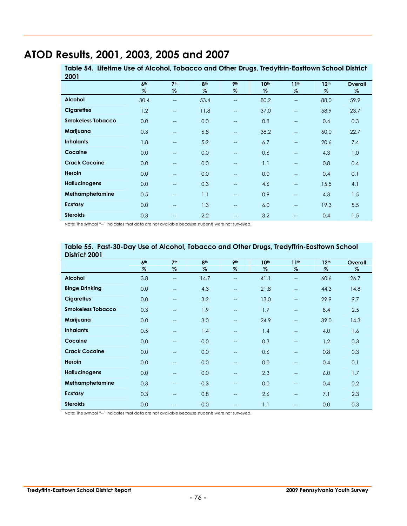## **ATOD Results, 2001, 2003, 2005 and 2007**

**Table 54. Lifetime Use of Alcohol, Tobacco and Other Drugs, Tredyffrin-Easttown School District 2001**

| <u>_vvi</u>              | 6 <sup>th</sup> | 7 <sup>th</sup>          | 8 <sup>th</sup> | 9 <sub>th</sub>          | 10 <sup>th</sup> | 11 <sup>th</sup>         | 12 <sup>th</sup> | Overall |
|--------------------------|-----------------|--------------------------|-----------------|--------------------------|------------------|--------------------------|------------------|---------|
|                          | $\%$            | %                        | $\%$            | $\%$                     | $\%$             | $\%$                     | $\%$             | %       |
| <b>Alcohol</b>           | 30.4            | --                       | 53.4            | $\qquad \qquad -$        | 80.2             | $\overline{\phantom{a}}$ | 88.0             | 59.9    |
| <b>Cigarettes</b>        | 1.2             | $\overline{\phantom{a}}$ | 11.8            | $\hspace{0.05cm} \ldots$ | 37.0             | $\overline{\phantom{a}}$ | 58.9             | 23.7    |
| <b>Smokeless Tobacco</b> | 0.0             | --                       | 0.0             | $\hspace{0.05cm} \ldots$ | 0.8              | $-$                      | 0.4              | 0.3     |
| Marijuana                | 0.3             | --                       | 6.8             | $\hspace{0.05cm} \ldots$ | 38.2             | $\overline{\phantom{a}}$ | 60.0             | 22.7    |
| <b>Inhalants</b>         | 1.8             | $\overline{\phantom{0}}$ | 5.2             | $\overline{\phantom{a}}$ | 6.7              | $\overline{a}$           | 20.6             | 7.4     |
| Cocaine                  | 0.0             | $-$                      | 0.0             | $\hspace{0.05cm} \ldots$ | 0.6              | $-$                      | 4.3              | 1.0     |
| <b>Crack Cocaine</b>     | 0.0             | --                       | 0.0             | $\hspace{0.05cm} \ldots$ | 1.1              | $\overline{\phantom{a}}$ | 0.8              | 0.4     |
| Heroin                   | 0.0             | --                       | 0.0             | $\hspace{0.05cm} \ldots$ | 0.0              | $\overline{\phantom{a}}$ | 0.4              | 0.1     |
| <b>Hallucinogens</b>     | 0.0             | $\overline{\phantom{0}}$ | 0.3             | $--$                     | 4.6              | $-$                      | 15.5             | 4.1     |
| Methamphetamine          | 0.5             | --                       | 1.1             | $\hspace{0.05cm} \ldots$ | 0.9              | $\overline{\phantom{a}}$ | 4.3              | 1.5     |
| Ecstasy                  | 0.0             | --                       | 1.3             | $\hspace{0.05cm} \ldots$ | 6.0              | $-$                      | 19.3             | 5.5     |
| <b>Steroids</b>          | 0.3             | --                       | 2.2             | $\hspace{0.05cm} \dashv$ | 3.2              | $\overline{\phantom{a}}$ | 0.4              | 1.5     |

Note: The symbol "--" indicates that data are not available because students were not surveyed.

| District 2001            |                 |                          |                 |                          |                  |                          |                  |         |
|--------------------------|-----------------|--------------------------|-----------------|--------------------------|------------------|--------------------------|------------------|---------|
|                          | 6 <sup>th</sup> | 7 <sup>th</sup>          | 8 <sup>th</sup> | 9 <sub>th</sub>          | 10 <sup>th</sup> | 11 <sup>th</sup>         | 12 <sup>th</sup> | Overall |
|                          | $\%$            | %                        | $\%$            | $\%$                     | $\%$             | $\%$                     | $\%$             | $\%$    |
| <b>Alcohol</b>           | 3.8             | $-$                      | 14.7            | $\overline{\phantom{a}}$ | 41.1             | $\hspace{0.05cm}$        | 60.6             | 26.7    |
| <b>Binge Drinking</b>    | 0.0             | $-$                      | 4.3             | $\overline{a}$           | 21.8             | $-$                      | 44.3             | 14.8    |
| <b>Cigarettes</b>        | 0.0             | $-$                      | 3.2             | $\hspace{0.05cm} \ldots$ | 13.0             | $\overline{\phantom{a}}$ | 29.9             | 9.7     |
| <b>Smokeless Tobacco</b> | 0.3             | $\overline{a}$           | 1.9             | $\overline{\phantom{a}}$ | 1.7              | $-$                      | 8.4              | 2.5     |
| Marijuana                | 0.0             | $-$                      | 3.0             | $\hspace{0.05cm} \ldots$ | 24.9             | $-$                      | 39.0             | 14.3    |
| <b>Inhalants</b>         | 0.5             | $\overline{a}$           | 1.4             | $\overline{a}$           | 1.4              | $\qquad \qquad -$        | 4.0              | 1.6     |
| Cocaine                  | 0.0             | $-$                      | 0.0             | $\hspace{0.05cm} \ldots$ | 0.3              | $\qquad \qquad -$        | 1.2              | 0.3     |
| <b>Crack Cocaine</b>     | 0.0             | $-$                      | 0.0             | $\overline{a}$           | 0.6              | $-$                      | 0.8              | 0.3     |
| Heroin                   | 0.0             | $\overline{\phantom{0}}$ | 0.0             | $\overline{\phantom{a}}$ | 0.0              | $-$                      | 0.4              | 0.1     |
| <b>Hallucinogens</b>     | 0.0             | $\overline{\phantom{0}}$ | 0.0             | $\qquad \qquad -$        | 2.3              | $-$                      | 6.0              | 1.7     |
| Methamphetamine          | 0.3             | $-$                      | 0.3             | $\overline{\phantom{m}}$ | 0.0              | $\overline{\phantom{a}}$ | 0.4              | 0.2     |
| Ecstasy                  | 0.3             | $-$                      | 0.8             | $\qquad \qquad -$        | 2.6              | $\overline{\phantom{a}}$ | 7.1              | 2.3     |
| <b>Steroids</b>          | 0.0             | --                       | 0.0             | $-$                      | 1.1              | $- -$                    | 0.0              | 0.3     |

# **Table 55. Past-30-Day Use of Alcohol, Tobacco and Other Drugs, Tredyffrin-Easttown School**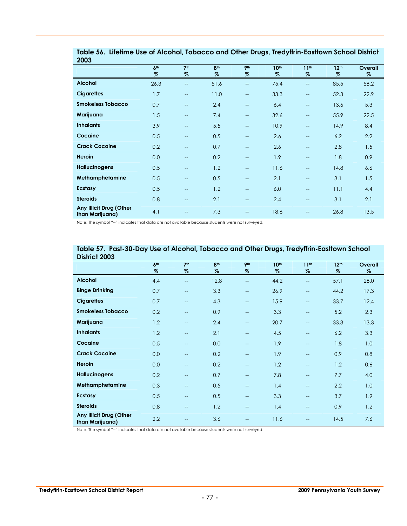| <b>ZUUS</b>                                |                 |                          |                 |                                                     |                  |                          |                  |         |
|--------------------------------------------|-----------------|--------------------------|-----------------|-----------------------------------------------------|------------------|--------------------------|------------------|---------|
|                                            | 6 <sup>th</sup> | 7 <sup>th</sup>          | 8 <sup>th</sup> | 9 <sub>th</sub>                                     | 10 <sup>th</sup> | 11 <sup>th</sup>         | 12 <sup>th</sup> | Overall |
|                                            | $\%$            | $\%$                     | $\%$            | $\%$                                                | $\%$             | %                        | $\%$             | $\%$    |
| <b>Alcohol</b>                             | 26.3            | $\qquad \qquad -$        | 51.6            | $\overline{\phantom{a}}$                            | 75.4             | $-$                      | 85.5             | 58.2    |
| <b>Cigarettes</b>                          | 1.7             | $\overline{\phantom{a}}$ | 11.0            | $\overline{\phantom{a}}$                            | 33.3             | $\hspace{0.05cm}$        | 52.3             | 22.9    |
| <b>Smokeless Tobacco</b>                   | 0.7             | $\overline{\phantom{a}}$ | 2.4             | $\qquad \qquad -$                                   | 6.4              | $\overline{\phantom{m}}$ | 13.6             | 5.3     |
| Marijuana                                  | 1.5             | $\overline{\phantom{a}}$ | 7.4             | $\overline{\phantom{a}}$                            | 32.6             | $-$                      | 55.9             | 22.5    |
| <b>Inhalants</b>                           | 3.9             | $\qquad \qquad -$        | 5.5             | $\overline{\phantom{a}}$                            | 10.9             | $-$                      | 14.9             | 8.4     |
| Cocaine                                    | 0.5             | $\hspace{0.05cm}$        | 0.5             | $\qquad \qquad -$                                   | 2.6              | $\overline{\phantom{m}}$ | 6.2              | 2.2     |
| <b>Crack Cocaine</b>                       | 0.2             | $\qquad \qquad -$        | 0.7             | $\overline{a}$                                      | 2.6              | $-$                      | 2.8              | 1.5     |
| Heroin                                     | 0.0             | $\qquad \qquad -$        | 0.2             | $\overline{\phantom{a}}$                            | 1.9              | $-$                      | 1.8              | 0.9     |
| <b>Hallucinogens</b>                       | 0.5             | $\qquad \qquad -$        | 1.2             | $\overline{\phantom{a}}$                            | 11.6             | $-$                      | 14.8             | 6.6     |
| Methamphetamine                            | 0.5             | $\hspace{0.05cm}$        | 0.5             | $\qquad \qquad -$                                   | 2.1              | $\overline{\phantom{m}}$ | 3.1              | 1.5     |
| Ecstasy                                    | 0.5             | $\hspace{0.05cm}$        | 1.2             | $\hspace{0.05cm} -\hspace{0.05cm} -\hspace{0.05cm}$ | 6.0              | $-$                      | 11.1             | 4.4     |
| <b>Steroids</b>                            | 0.8             | $\hspace{0.05cm}$        | 2.1             | $\equiv$                                            | 2.4              | $-$                      | 3.1              | 2.1     |
| Any Illicit Drug (Other<br>than Marijuana) | 4.1             | $-$                      | 7.3             | $-$                                                 | 18.6             |                          | 26.8             | 13.5    |

**Table 56. Lifetime Use of Alcohol, Tobacco and Other Drugs, Tredyffrin-Easttown School District 2003**

Note: The symbol "--" indicates that data are not available because students were not surveyed.

| District 2003                              |                 |                          |                 |                          |                  |                          |                  |         |
|--------------------------------------------|-----------------|--------------------------|-----------------|--------------------------|------------------|--------------------------|------------------|---------|
|                                            | 6 <sup>th</sup> | 7 <sup>th</sup>          | 8 <sup>th</sup> | 9 <sub>th</sub>          | 10 <sup>th</sup> | 11 <sup>th</sup>         | 12 <sup>th</sup> | Overall |
|                                            | $\%$            | $\%$                     | $\%$            | $\%$                     | $\%$             | $\%$                     | $\%$             | $\%$    |
| <b>Alcohol</b>                             | 4.4             | $\qquad \qquad -$        | 12.8            | $\overline{\phantom{a}}$ | 44.2             | $\qquad \qquad -$        | 57.1             | 28.0    |
| <b>Binge Drinking</b>                      | 0.7             | $-$                      | 3.3             | $\qquad \qquad -$        | 26.9             | $\overline{\phantom{a}}$ | 44.2             | 17.3    |
| <b>Cigarettes</b>                          | 0.7             | $\overline{\phantom{a}}$ | 4.3             | $\qquad \qquad -$        | 15.9             | $\overline{\phantom{m}}$ | 33.7             | 12.4    |
| <b>Smokeless Tobacco</b>                   | 0.2             | $\overline{\phantom{m}}$ | 0.9             | $- -$                    | 3.3              | $\hspace{0.05cm}$        | 5.2              | 2.3     |
| Marijuana                                  | 1.2             | $-$                      | 2.4             | $\qquad \qquad -$        | 20.7             | $\qquad \qquad -$        | 33.3             | 13.3    |
| <b>Inhalants</b>                           | 1.2             | $\hspace{0.05cm}$        | 2.1             | $\qquad \qquad -$        | 4.5              | $\hspace{0.05cm}$        | 6.2              | 3.3     |
| Cocaine                                    | 0.5             | $-$                      | 0.0             | $\qquad \qquad -$        | 1.9              | $\qquad \qquad -$        | 1.8              | 1.0     |
| <b>Crack Cocaine</b>                       | 0.0             | $-$                      | 0.2             | $\overline{\phantom{a}}$ | 1.9              | $\qquad \qquad -$        | 0.9              | 0.8     |
| Heroin                                     | 0.0             | $-$                      | 0.2             | $\overline{\phantom{a}}$ | 1.2              | $\overline{\phantom{m}}$ | 1.2              | 0.6     |
| <b>Hallucinogens</b>                       | 0.2             | $\overline{\phantom{m}}$ | 0.7             | $- -$                    | 7.8              | $\qquad \qquad -$        | 7.7              | 4.0     |
| Methamphetamine                            | 0.3             | $\overline{\phantom{m}}$ | 0.5             | $\qquad \qquad -$        | 1.4              | $\hspace{0.05cm}$        | 2.2              | 1.0     |
| <b>Ecstasy</b>                             | 0.5             | $\overline{\phantom{a}}$ | 0.5             | $\overline{\phantom{m}}$ | 3.3              | $\qquad \qquad -$        | 3.7              | 1.9     |
| <b>Steroids</b>                            | 0.8             | $\overline{\phantom{m}}$ | 1.2             | $\qquad \qquad -$        | 1.4              | $\hspace{0.05cm}$        | 0.9              | 1.2     |
| Any Illicit Drug (Other<br>than Marijuana) | 2.2             | $-$                      | 3.6             |                          | 11.6             |                          | 14.5             | 7.6     |

# **Table 57. Past-30-Day Use of Alcohol, Tobacco and Other Drugs, Tredyffrin-Easttown School**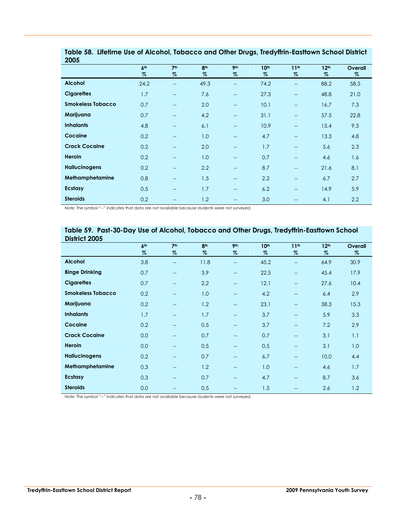| <b>ZUUS</b>              |                 |                          |                 |                          |                  |                          |                  |         |
|--------------------------|-----------------|--------------------------|-----------------|--------------------------|------------------|--------------------------|------------------|---------|
|                          | 6 <sup>th</sup> | 7 <sup>th</sup>          | 8 <sup>th</sup> | 9 <sub>th</sub>          | 10 <sup>th</sup> | 11 <sup>th</sup>         | 12 <sup>th</sup> | Overall |
|                          | %               | %                        | %               | %                        | %                | %                        | %                | %       |
| <b>Alcohol</b>           | 24.2            | $\overline{\phantom{a}}$ | 49.3            | $\overline{\phantom{a}}$ | 74.2             | $\overline{\phantom{a}}$ | 88.2             | 58.5    |
| <b>Cigarettes</b>        | 1.7             | $\overline{a}$           | 7.6             | $\hspace{0.05cm} \ldots$ | 27.3             | $\qquad \qquad -$        | 48.8             | 21.0    |
| <b>Smokeless Tobacco</b> | 0.7             | $\qquad \qquad -$        | 2.0             | $\hspace{0.05cm} \ldots$ | 10.1             | $\hspace{0.05cm}$        | 16.7             | 7.3     |
| Marijuana                | 0.7             | $\qquad \qquad -$        | 4.2             | $\hspace{0.05cm} \ldots$ | 31.1             | $\hspace{0.05cm}$        | 57.5             | 22.8    |
| <b>Inhalants</b>         | 4.8             | $\qquad \qquad -$        | 6.1             | $\hspace{0.05cm} \ldots$ | 10.9             | $\qquad \qquad -$        | 15.4             | 9.3     |
| Cocaine                  | 0.2             | $\qquad \qquad -$        | 1.0             | $\overline{\phantom{a}}$ | 4.7              | $\qquad \qquad -$        | 13.3             | 4.8     |
| <b>Crack Cocaine</b>     | 0.2             | $\qquad \qquad -$        | 2.0             | $\overline{\phantom{a}}$ | 1.7              | $\qquad \qquad -$        | 5.6              | 2.3     |
| Heroin                   | 0.2             | $- -$                    | 1.0             | $- -$                    | 0.7              | $- -$                    | 4.6              | 1.6     |
| <b>Hallucinogens</b>     | 0.2             | $\qquad \qquad -$        | 2.2             | $\hspace{0.05cm} \ldots$ | 8.7              | $\qquad \qquad -$        | 21.6             | 8.1     |
| Methamphetamine          | 0.8             | $\qquad \qquad -$        | 1.5             | $\hspace{0.05cm} \ldots$ | 2.2              | $\qquad \qquad -$        | 6.7              | 2.7     |
| Ecstasy                  | 0.5             | $\qquad \qquad -$        | 1.7             | $\hspace{0.05cm} \ldots$ | 6.2              | $\qquad \qquad -$        | 14.9             | 5.9     |
| <b>Steroids</b>          | 0.2             | $-$                      | 1.2             | $\qquad \qquad -$        | 3.0              | $-$                      | 4.1              | 2.2     |

|      |  | Table 58. Lifetime Use of Alcohol, Tobacco and Other Drugs, Tredyffrin-Eastlown School District |  |
|------|--|-------------------------------------------------------------------------------------------------|--|
| 2005 |  |                                                                                                 |  |

Note: The symbol "--" indicates that data are not available because students were not surveyed.

#### **Table 59. Past-30-Day Use of Alcohol, Tobacco and Other Drugs, Tredyffrin-Easttown School District 2005**

|                          | 6 <sup>th</sup><br>$\%$ | 7 <sup>th</sup><br>%     | 8 <sup>th</sup><br>$\%$ | 9 <sub>th</sub><br>% | 10 <sup>th</sup><br>$\%$ | 11 <sup>th</sup><br>$\%$ | 12 <sup>th</sup><br>$\%$ | Overall<br>% |
|--------------------------|-------------------------|--------------------------|-------------------------|----------------------|--------------------------|--------------------------|--------------------------|--------------|
| <b>Alcohol</b>           | 3.8                     | $\overline{\phantom{a}}$ | 11.8                    | $\qquad \qquad -$    | 45.2                     | $\overline{\phantom{a}}$ | 64.9                     | 30.9         |
| <b>Binge Drinking</b>    | 0.7                     | $\overline{\phantom{0}}$ | 3.9                     | $\overline{a}$       | 22.5                     | $\overline{\phantom{a}}$ | 45.4                     | 17.9         |
| <b>Cigarettes</b>        | 0.7                     | $\overline{\phantom{a}}$ | 2.2                     | $\qquad \qquad -$    | 12.1                     | $\overline{\phantom{a}}$ | 27.6                     | 10.4         |
| <b>Smokeless Tobacco</b> | 0.2                     | $\overline{\phantom{a}}$ | 1.0                     | $- -$                | 4.2                      | $\overline{\phantom{a}}$ | 6.4                      | 2.9          |
| Marijuana                | 0.2                     | $\hspace{0.05cm}$        | 1.2                     | $- -$                | 23.1                     | $\hspace{0.05cm}$        | 38.3                     | 15.3         |
| <b>Inhalants</b>         | 1.7                     | $-$                      | 1.7                     | $\qquad \qquad -$    | 3.7                      | $-$                      | 5.9                      | 3.3          |
| Cocaine                  | 0.2                     | --                       | 0.5                     | $\overline{a}$       | 3.7                      | $\overline{a}$           | 7.2                      | 2.9          |
| <b>Crack Cocaine</b>     | 0.0                     | $- -$                    | 0.7                     | $\qquad \qquad -$    | 0.7                      | $\overline{\phantom{a}}$ | 3.1                      | 1.1          |
| Heroin                   | 0.0                     | --                       | 0.5                     | $\qquad \qquad -$    | 0.5                      | $\overline{a}$           | 3.1                      | 1.0          |
| <b>Hallucinogens</b>     | 0.2                     | $\overline{\phantom{a}}$ | 0.7                     | $\qquad \qquad -$    | 6.7                      | $\overline{\phantom{a}}$ | 10.0                     | 4.4          |
| Methamphetamine          | 0.3                     | $\qquad \qquad -$        | 1.2                     | $\hspace{0.05cm}$    | 1.0                      | $\overline{\phantom{a}}$ | 4.6                      | 1.7          |
| Ecstasy                  | 0.3                     | $-$                      | 0.7                     | $- -$                | 4.7                      | $\overline{\phantom{a}}$ | 8.7                      | 3.6          |
| <b>Steroids</b>          | 0.0                     | $-$                      | 0.5                     | $- -$                | 1.5                      | $-$                      | 2.6                      | 1.2          |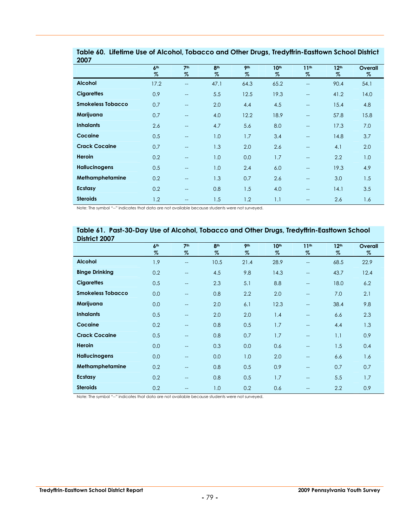| ZUU7                     |                 |                          |                 |                 |                  |                          |                  |         |
|--------------------------|-----------------|--------------------------|-----------------|-----------------|------------------|--------------------------|------------------|---------|
|                          | 6 <sup>th</sup> | 7 <sup>th</sup>          | 8 <sup>th</sup> | 9 <sub>th</sub> | 10 <sup>th</sup> | 11 <sup>th</sup>         | 12 <sup>th</sup> | Overall |
|                          | $\%$            | %                        | %               | $\%$            | %                | %                        | %                | %       |
| <b>Alcohol</b>           | 17.2            | $\qquad \qquad -$        | 47.1            | 64.3            | 65.2             | $\hspace{0.05cm}$        | 90.4             | 54.1    |
| <b>Cigarettes</b>        | 0.9             | $\overline{\phantom{a}}$ | 5.5             | 12.5            | 19.3             | $\overline{\phantom{a}}$ | 41.2             | 14.0    |
| <b>Smokeless Tobacco</b> | 0.7             | $\overline{a}$           | 2.0             | 4.4             | 4.5              | $\overline{\phantom{a}}$ | 15.4             | 4.8     |
| Marijuana                | 0.7             | $\overline{\phantom{a}}$ | 4.0             | 12.2            | 18.9             | $\hspace{0.05cm}$        | 57.8             | 15.8    |
| <b>Inhalants</b>         | 2.6             | $\overline{\phantom{a}}$ | 4.7             | 5.6             | 8.0              | $\hspace{0.05cm}$        | 17.3             | 7.0     |
| Cocaine                  | 0.5             | $\overline{\phantom{a}}$ | 1.0             | 1.7             | 3.4              | $\overline{\phantom{a}}$ | 14.8             | 3.7     |
| <b>Crack Cocaine</b>     | 0.7             | $\overline{\phantom{a}}$ | 1.3             | 2.0             | 2.6              | $\overline{\phantom{a}}$ | 4.1              | 2.0     |
| <b>Heroin</b>            | 0.2             | $\overline{a}$           | 1.0             | 0.0             | 1.7              | $\qquad \qquad -$        | 2.2              | 1.0     |
| <b>Hallucinogens</b>     | 0.5             | $\overline{\phantom{a}}$ | 1.0             | 2.4             | 6.0              | $\overline{\phantom{a}}$ | 19.3             | 4.9     |
| Methamphetamine          | 0.2             | $\overline{\phantom{a}}$ | 1.3             | 0.7             | 2.6              | $\hspace{0.05cm}$        | 3.0              | 1.5     |
| Ecstasy                  | 0.2             | $\overline{\phantom{a}}$ | 0.8             | 1.5             | 4.0              | $\hspace{0.05cm}$        | 14.1             | 3.5     |
| <b>Steroids</b>          | 1.2             | $\hspace{0.05cm}$        | 1.5             | 1.2             | 1.1              | $\hspace{0.05cm}$        | 2.6              | 1.6     |

**Table 60. Lifetime Use of Alcohol, Tobacco and Other Drugs, Tredyffrin-Easttown School District 2007**

Note: The symbol "--" indicates that data are not available because students were not surveyed.

#### **Table 61. Past-30-Day Use of Alcohol, Tobacco and Other Drugs, Tredyffrin-Easttown School District 2007**

| PNHISI 4997              |                 |                          |                 |                 |                  |                          |                  |         |
|--------------------------|-----------------|--------------------------|-----------------|-----------------|------------------|--------------------------|------------------|---------|
|                          | 6 <sup>th</sup> | 7 <sup>th</sup>          | 8 <sup>th</sup> | 9 <sub>th</sub> | 10 <sup>th</sup> | 11 <sup>th</sup>         | 12 <sup>th</sup> | Overall |
|                          | $\%$            | $\%$                     | $\%$            | $\%$            | $\%$             | $\%$                     | $\%$             | $\%$    |
| <b>Alcohol</b>           | 1.9             | $\overline{\phantom{a}}$ | 10.5            | 21.4            | 28.9             | --                       | 68.5             | 22.9    |
| <b>Binge Drinking</b>    | 0.2             | $\overline{\phantom{a}}$ | 4.5             | 9.8             | 14.3             | --                       | 43.7             | 12.4    |
| <b>Cigarettes</b>        | 0.5             | $\overline{\phantom{a}}$ | 2.3             | 5.1             | 8.8              | $-$                      | 18.0             | 6.2     |
| <b>Smokeless Tobacco</b> | 0.0             | $-$                      | 0.8             | 2.2             | 2.0              | $\overline{\phantom{a}}$ | 7.0              | 2.1     |
| Marijuana                | 0.0             | --                       | 2.0             | 6.1             | 12.3             | --                       | 38.4             | 9.8     |
| <b>Inhalants</b>         | 0.5             | $- -$                    | 2.0             | 2.0             | 1.4              | --                       | 6.6              | 2.3     |
| Cocaine                  | 0.2             | $-$                      | 0.8             | 0.5             | 1.7              | --                       | 4.4              | 1.3     |
| <b>Crack Cocaine</b>     | 0.5             | $-$                      | 0.8             | 0.7             | 1.7              | $-$                      | 1.1              | 0.9     |
| Heroin                   | 0.0             | $\overline{\phantom{a}}$ | 0.3             | 0.0             | 0.6              | $-$                      | 1.5              | 0.4     |
| <b>Hallucinogens</b>     | 0.0             | $-$                      | 0.0             | 1.0             | 2.0              | $\overline{\phantom{a}}$ | 6.6              | 1.6     |
| Methamphetamine          | 0.2             | $- -$                    | 0.8             | 0.5             | 0.9              | $-$                      | 0.7              | 0.7     |
| <b>Ecstasy</b>           | 0.2             | $\overline{\phantom{a}}$ | 0.8             | 0.5             | 1.7              | $-$                      | 5.5              | 1.7     |
| <b>Steroids</b>          | 0.2             | $-$                      | 1.0             | 0.2             | 0.6              | --                       | 2.2              | 0.9     |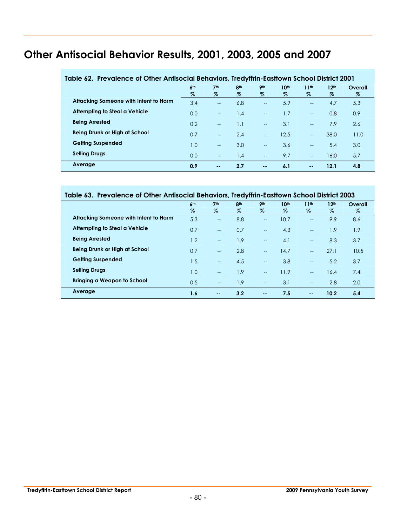# **Other Antisocial Behavior Results, 2001, 2003, 2005 and 2007**

| Table 62. Prevalence of Other Antisocial Behaviors, Tredyffrin-Easttown School District 2001 |                      |                         |                         |                    |              |              |                          |                 |
|----------------------------------------------------------------------------------------------|----------------------|-------------------------|-------------------------|--------------------|--------------|--------------|--------------------------|-----------------|
|                                                                                              | 6 <sup>th</sup><br>% | 7 <sup>th</sup><br>$\%$ | 8 <sup>th</sup><br>$\%$ | <b>9th</b><br>$\%$ | 10th<br>$\%$ | 11th<br>$\%$ | 12 <sup>th</sup><br>$\%$ | Overall<br>$\%$ |
| Attacking Someone with Intent to Harm                                                        | 3.4                  | $\overline{a}$          | 6.8                     | $\overline{a}$     | 5.9          | $-$          | 4.7                      | 5.3             |
| Attempting to Steal a Vehicle                                                                | 0.0                  | $\overline{a}$          | 1.4                     | $-$                | 1.7          | $-$          | 0.8                      | 0.9             |
| <b>Being Arrested</b>                                                                        | 0.2                  | $\overline{a}$          | 1.1                     | $-$                | 3.1          | $-$          | 7.9                      | 2.6             |
| Being Drunk or High at School                                                                | 0.7                  | $-$                     | 2.4                     | $-$                | 12.5         | $- -$        | 38.0                     | 11.0            |
| <b>Getting Suspended</b>                                                                     | 1.0                  | $-$                     | 3.0                     | $-$                | 3.6          | $\equiv$     | 5.4                      | 3.0             |
| <b>Selling Drugs</b>                                                                         | 0.0                  | $-$                     | 1.4                     | $-$                | 9.7          | $-$          | 16.0                     | 5.7             |
| Average                                                                                      | 0.9                  | $\sim$ $\sim$           | 2.7                     | $\sim$ $-$         | 6.1          | $\sim$ $-$   | 12.1                     | 4.8             |

#### **Table 63. Prevalence of Other Antisocial Behaviors, Tredyffrin-Easttown School District 2003**

|                                       | 6 <sup>th</sup> | 7 <sup>th</sup>   | 8 <sup>th</sup> | <b>9th</b>        | 10 <sup>th</sup> | 11 <sup>th</sup>                      | 12 <sup>th</sup> | Overall |
|---------------------------------------|-----------------|-------------------|-----------------|-------------------|------------------|---------------------------------------|------------------|---------|
|                                       | $\%$            | $\%$              | $\%$            | %                 | $\%$             | $\%$                                  | %                | %       |
| Attacking Someone with Intent to Harm | 5.3             | $\qquad \qquad -$ | 8.8             | $- -$             | 10.7             | $\hspace{0.05cm}$ – $\hspace{0.05cm}$ | 9.9              | 8.6     |
| Attempting to Steal a Vehicle         | 0.7             | $\qquad \qquad -$ | 0.7             | $-$               | 4.3              | $\overline{\phantom{a}}$              | 1.9              | 1.9     |
| <b>Being Arrested</b>                 | 1.2             | $- -$             | 1.9             | $- -$             | 4.1              | $\hspace{0.05cm}$ – $\hspace{0.05cm}$ | 8.3              | 3.7     |
| Being Drunk or High at School         | 0.7             | $-$               | 2.8             | $-$               | 14.7             | $-$                                   | 27.1             | 10.5    |
| <b>Getting Suspended</b>              | 1.5             | $-$               | 4.5             | $-$               | 3.8              | $\hspace{0.05cm}$ – $\hspace{0.05cm}$ | 5.2              | 3.7     |
| <b>Selling Drugs</b>                  | 1.0             | $-$               | 1.9             | $\qquad \qquad -$ | 11.9             | $\overline{\phantom{a}}$              | 16.4             | 7.4     |
| Bringing a Weapon to School           | 0.5             | $- -$             | 1.9             | $-$               | 3.1              | $\overline{\phantom{a}}$              | 2.8              | 2.0     |
| Average                               | 1.6             | $\sim$ $\sim$     | 3.2             | $\sim$ $-$        | 7.5              | $\sim$ $\sim$                         | 10.2             | 5.4     |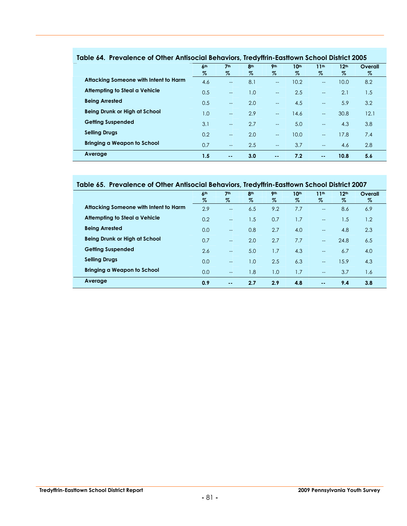|                                       | 6 <sup>th</sup><br>$\%$ | 7 <sup>th</sup><br>$\%$  | 8 <sup>th</sup><br>% | <b>9th</b><br>$\%$       | 10 <sup>th</sup><br>$\%$ | 11 <sup>th</sup><br>$\%$ | 12 <sup>th</sup><br>$\%$ | Overall<br>$\%$ |
|---------------------------------------|-------------------------|--------------------------|----------------------|--------------------------|--------------------------|--------------------------|--------------------------|-----------------|
| Attacking Someone with Intent to Harm | 4.6                     | $-$                      | 8.1                  | $\overline{\phantom{a}}$ | 10.2                     | $\overline{\phantom{a}}$ | 10.0                     | 8.2             |
| Attempting to Steal a Vehicle         | 0.5                     | $-$                      | 1.0                  | $\qquad \qquad -$        | 2.5                      | $\sim$                   | 2.1                      | 1.5             |
| <b>Being Arrested</b>                 | 0.5                     | $\overline{a}$           | 2.0                  | $\qquad \qquad -$        | 4.5                      | $\sim$                   | 5.9                      | 3.2             |
| <b>Being Drunk or High at School</b>  | I .O                    | $\sim$                   | 2.9                  | $\overline{\phantom{a}}$ | 14.6                     | $\overline{\phantom{a}}$ | 30.8                     | 12.1            |
| <b>Getting Suspended</b>              | 3.1                     | $\overline{\phantom{a}}$ | 2.7                  | $\qquad \qquad -$        | 5.0                      | $\overline{\phantom{a}}$ | 4.3                      | 3.8             |
| <b>Selling Drugs</b>                  | 0.2                     | $\overline{a}$           | 2.0                  | $\qquad \qquad -$        | 10.0                     | $\sim$                   | 17.8                     | 7.4             |
| Bringing a Weapon to School           | 0.7                     | $- -$                    | 2.5                  | $-$                      | 3.7                      | $\overline{a}$           | 4.6                      | 2.8             |
| Average                               | 1.5                     | $\sim$ $\sim$            | 3.0                  | $\sim$ $\sim$            | 7.2                      | $\sim$ $\sim$            | 10.8                     | 5.6             |

#### **Table 64. Prevalence of Other Antisocial Behaviors, Tredyffrin-Easttown School District 2005**

#### **Table 65. Prevalence of Other Antisocial Behaviors, Tredyffrin-Easttown School District 2007**

|                                       | 6 <sup>th</sup> | 7 <sup>th</sup>          | 8 <sup>th</sup> | 9 <sub>th</sub> | 10 <sup>th</sup> | 11 <sup>th</sup>         | 12 <sup>th</sup> | Overall |
|---------------------------------------|-----------------|--------------------------|-----------------|-----------------|------------------|--------------------------|------------------|---------|
|                                       | $\%$            | $\%$                     | $\%$            | $\%$            | $\%$             | %                        | $\%$             | $\%$    |
| Attacking Someone with Intent to Harm | 2.9             | $\hspace{0.05cm}$        | 6.5             | 9.2             | 7.7              | $-$                      | 8.6              | 6.9     |
| Attempting to Steal a Vehicle         | 0.2             | $\overline{\phantom{a}}$ | 1.5             | 0.7             | 1.7              | $\overline{a}$           | 1.5              | 1.2     |
| <b>Being Arrested</b>                 | 0.0             | $\overline{\phantom{a}}$ | 0.8             | 2.7             | 4.0              | $\overline{\phantom{a}}$ | 4.8              | 2.3     |
| Being Drunk or High at School         | 0.7             | $\overline{\phantom{a}}$ | 2.0             | 2.7             | 7.7              | $\overline{\phantom{a}}$ | 24.8             | 6.5     |
| <b>Getting Suspended</b>              | 2.6             | $\overline{\phantom{a}}$ | 5.0             | 1.7             | 4.3              | $-$                      | 6.7              | 4.0     |
| <b>Selling Drugs</b>                  | 0.0             | $\hspace{0.05cm}$        | 1.0             | 2.5             | 6.3              | $\overline{\phantom{a}}$ | 15.9             | 4.3     |
| <b>Bringing a Weapon to School</b>    | 0.0             | $\hspace{0.05cm}$        | 1.8             | 1.0             | 1.7              | $-$                      | 3.7              | 1.6     |
| Average                               | 0.9             | $\sim$ $\sim$            | 2.7             | 2.9             | 4.8              | $\sim$ $\sim$            | 9.4              | 3.8     |

Ξ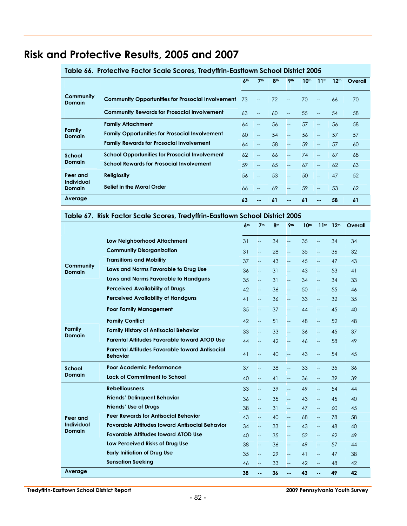# **Risk and Protective Results, 2005 and 2007**

|                                    |                                                          | 6 <sup>th</sup> | 7 <sup>th</sup>          | 8 <sup>th</sup> | 9 <sub>th</sub>          | 10 <sup>th</sup> | 11 <sup>th</sup>         | 12 <sup>th</sup> | Overall |
|------------------------------------|----------------------------------------------------------|-----------------|--------------------------|-----------------|--------------------------|------------------|--------------------------|------------------|---------|
| Community<br><b>Domain</b>         | <b>Community Opportunities for Prosocial Involvement</b> | 73              | $\overline{a}$           | 72              | $\sim$                   | 70               | $\overline{a}$           | 66               | 70      |
|                                    | <b>Community Rewards for Prosocial Involvement</b>       | 63              | $\overline{a}$           | 60              | $\sim$                   | 55               | $\overline{\phantom{0}}$ | 54               | 58      |
|                                    | <b>Family Attachment</b>                                 | 64              | $\overline{a}$           | 56              | $\overline{a}$           | 57               | $-$                      | 56               | 58      |
| Family<br><b>Domain</b>            | <b>Family Opportunities for Prosocial Involvement</b>    | 60              | $\overline{\phantom{0}}$ | 54              | $\overline{a}$           | 56               | $-$                      | 57               | 57      |
|                                    | <b>Family Rewards for Prosocial Involvement</b>          | 64              |                          | 58              | $\overline{\phantom{a}}$ | 59               | $---$                    | 57               | 60      |
| School                             | <b>School Opportunities for Prosocial Involvement</b>    | 62              |                          | 66              |                          | 74               |                          | 67               | 68      |
| Domain                             | <b>School Rewards for Prosocial Involvement</b>          | 59              | $-$                      | 65              | $\overline{a}$           | 67               | $-$                      | 62               | 63      |
| Peer and                           | <b>Religiosity</b>                                       | 56              | --                       | 53              | --                       | 50               | $-$                      | 47               | 52      |
| <b>Individual</b><br><b>Domain</b> | <b>Belief in the Moral Order</b>                         | 66              |                          | 69              | --                       | 59               | $-$                      | 53               | 62      |
| Average                            |                                                          | 63              | --                       | 61              | --                       | 61               | $- -$                    | 58               | 61      |

#### **Table 66. Protective Factor Scale Scores, Tredyffrin-Easttown School District 2005**

#### **Table 67. Risk Factor Scale Scores, Tredyffrin-Easttown School District 2005**

|                                |                                                                   | 6 <sup>th</sup>                                                                          | 7 <sup>th</sup>          | 8 <sup>th</sup> | 9 <sub>th</sub>          | 10 <sup>th</sup> | 11 <sup>th</sup>         | 12 <sup>th</sup> | Overall |
|--------------------------------|-------------------------------------------------------------------|------------------------------------------------------------------------------------------|--------------------------|-----------------|--------------------------|------------------|--------------------------|------------------|---------|
|                                | Low Neighborhood Attachment                                       | 31                                                                                       | $\overline{\phantom{a}}$ | 34              | <u></u>                  | 35               | <u></u>                  | 34               | 34      |
|                                | <b>Community Disorganization</b>                                  | 31                                                                                       | $\overline{\phantom{a}}$ | 28              | $\overline{\phantom{0}}$ | 35               | $\overline{\phantom{a}}$ | 36               | 32      |
|                                | <b>Transitions and Mobility</b>                                   | 37                                                                                       | $\overline{\phantom{m}}$ | 43              | <u></u>                  | 45               | $\overline{\phantom{a}}$ | 47               | 43      |
| Community<br><b>Domain</b>     | Laws and Norms Favorable to Drug Use                              | 36                                                                                       | $-$                      | 31              | $\overline{\phantom{0}}$ | 43               | $\overline{\phantom{0}}$ | 53               | 41      |
|                                | Laws and Norms Favorable to Handguns                              | 35                                                                                       | $\overline{\phantom{a}}$ | 31              | $\overline{\phantom{a}}$ | 34               | $\overline{\phantom{0}}$ | 34               | 33      |
|                                | <b>Perceived Availability of Drugs</b>                            | 42                                                                                       | $\overline{\phantom{a}}$ | 36              | <u></u>                  | 50               | $\overline{\phantom{0}}$ | 55               | 46      |
|                                | <b>Perceived Availability of Handguns</b>                         | 41                                                                                       | $\overline{\phantom{m}}$ | 36              | $\overline{\phantom{0}}$ | 33               | $\overline{\phantom{a}}$ | 32               | 35      |
|                                | <b>Poor Family Management</b>                                     | 35                                                                                       | $\overline{\phantom{a}}$ | 37              | ш.,                      | 44               | $\overline{\phantom{a}}$ | 45               | 40      |
|                                | <b>Family Conflict</b>                                            | 42                                                                                       | $\overline{\phantom{m}}$ | 51              | $\overline{\phantom{a}}$ | 48               | $\overline{\phantom{a}}$ | 52               | 48      |
| <b>Family</b><br><b>Domain</b> | <b>Family History of Antisocial Behavior</b>                      | 33                                                                                       | $\overline{\phantom{a}}$ | 33              | <u></u>                  | 36               | $\overline{\phantom{a}}$ | 45               | 37      |
|                                | <b>Parental Attitudes Favorable toward ATOD Use</b>               | 44                                                                                       | $--$                     | 42              | $\overline{\phantom{0}}$ | 46               | $\overline{\phantom{a}}$ | 58               | 49      |
|                                | Parental Attitudes Favorable toward Antisocial<br><b>Behavior</b> | 41                                                                                       | $\overline{\phantom{a}}$ | 40              | $\overline{\phantom{0}}$ | 43               | $\overline{\phantom{0}}$ | 54               | 45      |
| School                         | Poor Academic Performance                                         | 37                                                                                       | $\overline{\phantom{a}}$ | 38              | $\overline{\phantom{a}}$ | 33               | $\overline{\phantom{m}}$ | 35               | 36      |
| <b>Domain</b>                  | Lack of Commitment to School                                      | 40                                                                                       | $\overline{\phantom{a}}$ | 41              | <u></u>                  | 36               | $\overline{\phantom{0}}$ | 39               | 39      |
|                                | <b>Rebelliousness</b>                                             | 33                                                                                       | $\overline{\phantom{m}}$ | 39              | $\overline{\phantom{0}}$ | 49               | $\overline{\phantom{a}}$ | 54               | 44      |
|                                | <b>Friends' Delinquent Behavior</b>                               | 36                                                                                       | $\overline{\phantom{a}}$ | 35              | $\overline{\phantom{0}}$ | 43               | $\overline{\phantom{a}}$ | 45               | 40      |
|                                | <b>Friends' Use of Drugs</b>                                      | 38                                                                                       | $\overline{\phantom{a}}$ | 31              | $\overline{a}$           | 47               | $\overline{\phantom{0}}$ | 60               | 45      |
| Peer and                       | <b>Peer Rewards for Antisocial Behavior</b>                       | 43<br>40<br>68<br>58<br>78<br>$\overline{\phantom{a}}$<br>--<br>$\overline{\phantom{0}}$ |                          |                 |                          |                  |                          |                  |         |
| Individual<br>Domain           | <b>Favorable Attitudes toward Antisocial Behavior</b>             | 34                                                                                       | $\overline{\phantom{a}}$ | 33              | $\overline{\phantom{0}}$ | 43               | $\overline{\phantom{0}}$ | 48               | 40      |
|                                | <b>Favorable Attitudes toward ATOD Use</b>                        | 40                                                                                       | $\overline{\phantom{a}}$ | 35              | $\overline{\phantom{a}}$ | 52               | $\overline{\phantom{0}}$ | 62               | 49      |
|                                | Low Perceived Risks of Drug Use                                   | 38                                                                                       | $\overline{\phantom{a}}$ | 36              | $\overline{\phantom{a}}$ | 49               | $\overline{\phantom{0}}$ | 57               | 44      |
|                                | <b>Early Initiation of Drug Use</b>                               | 35                                                                                       | $\overline{\phantom{m}}$ | 29              | $\overline{\phantom{0}}$ | 41               | $\overline{\phantom{a}}$ | 47               | 38      |
|                                | <b>Sensation Seeking</b>                                          | 46                                                                                       | $\overline{\phantom{a}}$ | 33              | $\overline{\phantom{0}}$ | 42               | $\overline{\phantom{0}}$ | 48               | 42      |
| Average                        |                                                                   | 38                                                                                       | $\overline{a}$           | 36              | --                       | 43               | --                       | 49               | 42      |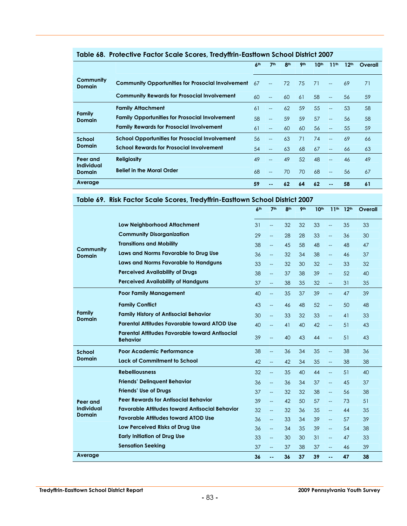|                            |                                                          | 6 <sup>th</sup> | 7 <sup>th</sup>          | 8 <sup>th</sup> | 9 <sub>th</sub> | 10 <sup>th</sup> | 11 <sup>th</sup>         | 12 <sup>th</sup> | Overall |
|----------------------------|----------------------------------------------------------|-----------------|--------------------------|-----------------|-----------------|------------------|--------------------------|------------------|---------|
| Community<br><b>Domain</b> | <b>Community Opportunities for Prosocial Involvement</b> | 67              | $-$                      | 72              | 75              | 71               | $\overline{\phantom{0}}$ | 69               | 71      |
|                            | <b>Community Rewards for Prosocial Involvement</b>       | 60              | $\overline{\phantom{a}}$ | 60              | 61              | 58               | $\overline{\phantom{a}}$ | 56               | 59      |
|                            | <b>Family Attachment</b>                                 | 61              | $- -$                    | 62              | 59              | 55               | $-$                      | 53               | 58      |
| Family<br><b>Domain</b>    | <b>Family Opportunities for Prosocial Involvement</b>    | 58              | $\qquad \qquad -$        | 59              | 59              | 57               | $\overline{\phantom{a}}$ | 56               | 58      |
|                            | <b>Family Rewards for Prosocial Involvement</b>          | 61              | $- -$                    | 60              | 60              | 56               | $--$                     | 55               | 59      |
| School                     | <b>School Opportunities for Prosocial Involvement</b>    | 56              |                          | 63              | 71              | 74               | $-$                      | 69               | 66      |
| <b>Domain</b>              | <b>School Rewards for Prosocial Involvement</b>          | 54              | $- -$                    | 63              | 68              | 67               | $--$                     | 66               | 63      |
| Peer and<br>Individual     | <b>Religiosity</b>                                       | 49              |                          | 49              | 52              | 48               | $-$                      | 46               | 49      |
| Domain                     | <b>Belief in the Moral Order</b>                         | 68              |                          | 70              | 70              | 68               | $--$                     | 56               | 67      |
| Average                    |                                                          | 59              |                          | 62              | 64              | 62               | --                       | 58               | 61      |

#### **Table 68. Protective Factor Scale Scores, Tredyffrin-Easttown School District 2007**

#### **Table 69. Risk Factor Scale Scores, Tredyffrin-Easttown School District 2007**

|                                |                                                                                                             | 6 <sup>th</sup> | 7 <sup>th</sup>          | 8 <sup>th</sup> | 9 <sub>th</sub> | 10 <sup>th</sup> | 11 <sup>th</sup>         | 12 <sup>th</sup> | Overall |
|--------------------------------|-------------------------------------------------------------------------------------------------------------|-----------------|--------------------------|-----------------|-----------------|------------------|--------------------------|------------------|---------|
|                                | <b>Low Neighborhood Attachment</b>                                                                          | 31              | $\overline{\phantom{a}}$ | 32              | 32              | 33               | $\overline{\phantom{0}}$ | 35               | 33      |
|                                | <b>Community Disorganization</b>                                                                            | 29              | $\overline{\phantom{a}}$ | 28              | 28              | 33               | $\overline{\phantom{0}}$ | 36               | 30      |
|                                | <b>Transitions and Mobility</b>                                                                             | 38              | $\overline{\phantom{a}}$ | 45              | 58              | 48               | $\overline{\phantom{0}}$ | 48               | 47      |
| Community<br><b>Domain</b>     | Laws and Norms Favorable to Drug Use                                                                        | 36              | $\overline{\phantom{a}}$ | 32              | 34              | 38               | $\overline{\phantom{0}}$ | 46               | 37      |
|                                | Laws and Norms Favorable to Handguns                                                                        | 33              | $\overline{\phantom{a}}$ | 32              | 30              | 32               | $\overline{a}$           | 33               | 32      |
|                                | <b>Perceived Availability of Drugs</b>                                                                      | 38              | $\overline{a}$           | 37              | 38              | 39               | Щ,                       | 52               | 40      |
|                                | <b>Perceived Availability of Handguns</b>                                                                   | 37              | $\overline{\phantom{a}}$ | 38              | 35              | 32               | $\overline{\phantom{a}}$ | 31               | 35      |
|                                | <b>Poor Family Management</b>                                                                               | 40              | $\overline{\phantom{a}}$ | 35              | 37              | 39               | $\overline{a}$           | 47               | 39      |
|                                | <b>Family Conflict</b>                                                                                      | 43              | $\overline{\phantom{a}}$ | 46              | 48              | 52               | $\overline{\phantom{a}}$ | 50               | 48      |
| <b>Family</b><br><b>Domain</b> | <b>Family History of Antisocial Behavior</b>                                                                | 30              | $\overline{\phantom{a}}$ | 33              | 32              | 33               | $\overline{\phantom{0}}$ | 41               | 33      |
|                                | Parental Attitudes Favorable toward ATOD Use<br>40<br>41<br>40<br>42<br><u></u><br>$\overline{\phantom{a}}$ |                 | 51                       | 43              |                 |                  |                          |                  |         |
|                                | Parental Attitudes Favorable toward Antisocial<br><b>Behavior</b>                                           | 39              | $\overline{\phantom{a}}$ | 40              | 43              | 44               | $\overline{\phantom{0}}$ | 51               | 43      |
| School                         | Poor Academic Performance                                                                                   | 38              | $\overline{\phantom{a}}$ | 36              | 34              | 35               | $\overline{\phantom{a}}$ | 38               | 36      |
| Domain                         | <b>Lack of Commitment to School</b>                                                                         | 42              | $\overline{\phantom{a}}$ | 42              | 34              | 35               | $\overline{\phantom{a}}$ | 38               | 38      |
|                                | <b>Rebelliousness</b>                                                                                       | 32              | $\overline{\phantom{a}}$ | 35              | 40              | 44               | $\overline{\phantom{a}}$ | 51               | 40      |
|                                | <b>Friends' Delinquent Behavior</b>                                                                         | 36              | $\overline{\phantom{a}}$ | 36              | 34              | 37               | $\overline{\phantom{0}}$ | 45               | 37      |
|                                | <b>Friends' Use of Drugs</b>                                                                                | 37              | $\overline{\phantom{a}}$ | 32              | 32              | 38               | $\overline{\phantom{0}}$ | 56               | 38      |
| Peer and                       | <b>Peer Rewards for Antisocial Behavior</b>                                                                 | 39              | $\overline{\phantom{a}}$ | 42              | 50              | 57               | $\overline{\phantom{0}}$ | 73               | 51      |
| Individual<br><b>Domain</b>    | <b>Favorable Attitudes toward Antisocial Behavior</b>                                                       | 32              | $\overline{\phantom{a}}$ | 32              | 36              | 35               | $\overline{\phantom{0}}$ | 44               | 35      |
|                                | <b>Favorable Attitudes toward ATOD Use</b>                                                                  | 36              | $\overline{\phantom{a}}$ | 33              | 34              | 39               | $\overline{a}$           | 57               | 39      |
|                                | Low Perceived Risks of Drug Use                                                                             | 36              | $\overline{\phantom{a}}$ | 34              | 35              | 39               | $\overline{a}$           | 54               | 38      |
|                                | <b>Early Initiation of Drug Use</b>                                                                         | 33              | $-$                      | 30              | 30              | 31               | $\overline{\phantom{0}}$ | 47               | 33      |
|                                | <b>Sensation Seeking</b>                                                                                    | 37              | $-$                      | 37              | 38              | 37               | $\overline{\phantom{0}}$ | 46               | 39      |
| Average                        |                                                                                                             | 36              | ۵۵                       | 36              | 37              | 39               | 44                       | 47               | 38      |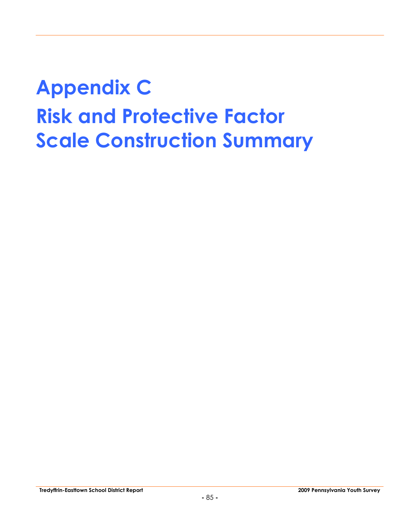# **Appendix C Risk and Protective Factor Scale Construction Summary**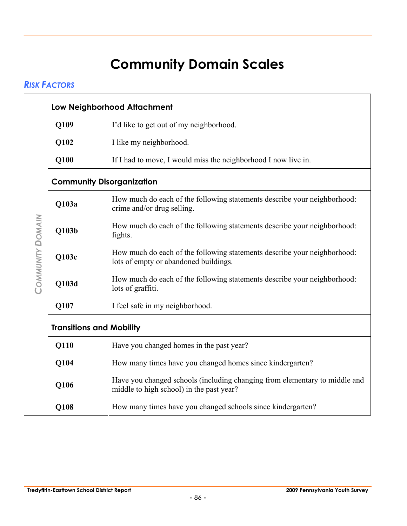# **Community Domain Scales**

#### *RISK FACTORS*

|                                  | Low Neighborhood Attachment                                                                                            |
|----------------------------------|------------------------------------------------------------------------------------------------------------------------|
| Q109                             | I'd like to get out of my neighborhood.                                                                                |
| Q102                             | I like my neighborhood.                                                                                                |
| Q100                             | If I had to move, I would miss the neighborhood I now live in.                                                         |
|                                  | <b>Community Disorganization</b>                                                                                       |
| Q103a                            | How much do each of the following statements describe your neighborhood:<br>crime and/or drug selling.                 |
| <b>COMMUNITY DOMAIN</b><br>Q103b | How much do each of the following statements describe your neighborhood:<br>fights.                                    |
| Q103c                            | How much do each of the following statements describe your neighborhood:<br>lots of empty or abandoned buildings.      |
| Q103d                            | How much do each of the following statements describe your neighborhood:<br>lots of graffiti.                          |
| Q107                             | I feel safe in my neighborhood.                                                                                        |
|                                  | <b>Transitions and Mobility</b>                                                                                        |
| Q110                             | Have you changed homes in the past year?                                                                               |
| Q104                             | How many times have you changed homes since kindergarten?                                                              |
| Q106                             | Have you changed schools (including changing from elementary to middle and<br>middle to high school) in the past year? |
| Q108                             | How many times have you changed schools since kindergarten?                                                            |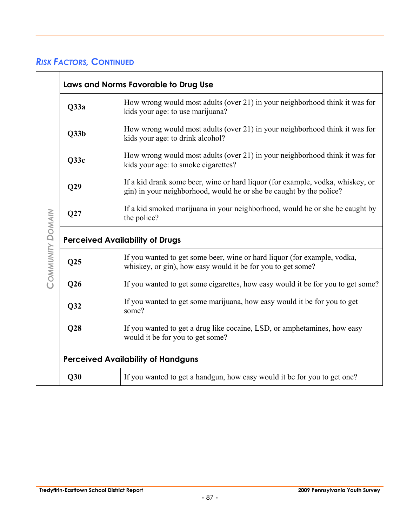|                         | Laws and Norms Favorable to Drug Use                                                                                                                  |
|-------------------------|-------------------------------------------------------------------------------------------------------------------------------------------------------|
| Q33a                    | How wrong would most adults (over 21) in your neighborhood think it was for<br>kids your age: to use marijuana?                                       |
| Q33b                    | How wrong would most adults (over 21) in your neighborhood think it was for<br>kids your age: to drink alcohol?                                       |
| Q33c                    | How wrong would most adults (over 21) in your neighborhood think it was for<br>kids your age: to smoke cigarettes?                                    |
| Q29                     | If a kid drank some beer, wine or hard liquor (for example, vodka, whiskey, or<br>gin) in your neighborhood, would he or she be caught by the police? |
| Q27                     | If a kid smoked marijuana in your neighborhood, would he or she be caught by<br>the police?                                                           |
|                         | <b>Perceived Availability of Drugs</b>                                                                                                                |
| COMMUNITY DOMAIN<br>Q25 | If you wanted to get some beer, wine or hard liquor (for example, vodka,<br>whiskey, or gin), how easy would it be for you to get some?               |
| Q26                     | If you wanted to get some cigarettes, how easy would it be for you to get some?                                                                       |
| Q32                     | If you wanted to get some marijuana, how easy would it be for you to get<br>some?                                                                     |
| Q28                     | If you wanted to get a drug like cocaine, LSD, or amphetamines, how easy<br>would it be for you to get some?                                          |
|                         | <b>Perceived Availability of Handguns</b>                                                                                                             |
| Q30                     | If you wanted to get a handgun, how easy would it be for you to get one?                                                                              |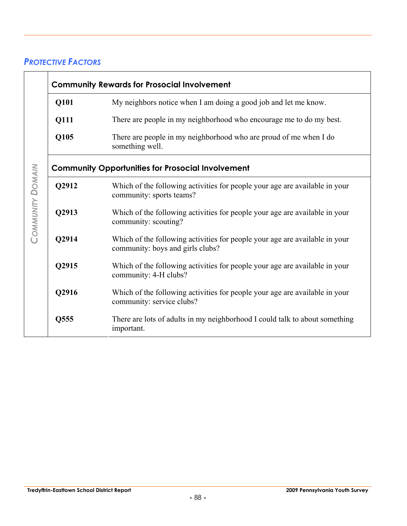### *PROTECTIVE FACTORS*

|       | <b>Community Rewards for Prosocial Involvement</b>                                                              |
|-------|-----------------------------------------------------------------------------------------------------------------|
| Q101  | My neighbors notice when I am doing a good job and let me know.                                                 |
| Q111  | There are people in my neighborhood who encourage me to do my best.                                             |
| Q105  | There are people in my neighborhood who are proud of me when I do<br>something well.                            |
|       | <b>Community Opportunities for Prosocial Involvement</b>                                                        |
| Q2912 | Which of the following activities for people your age are available in your<br>community: sports teams?         |
| Q2913 | Which of the following activities for people your age are available in your<br>community: scouting?             |
| Q2914 | Which of the following activities for people your age are available in your<br>community: boys and girls clubs? |
| Q2915 | Which of the following activities for people your age are available in your<br>community: 4-H clubs?            |
| Q2916 | Which of the following activities for people your age are available in your<br>community: service clubs?        |
| Q555  | There are lots of adults in my neighborhood I could talk to about something<br>important.                       |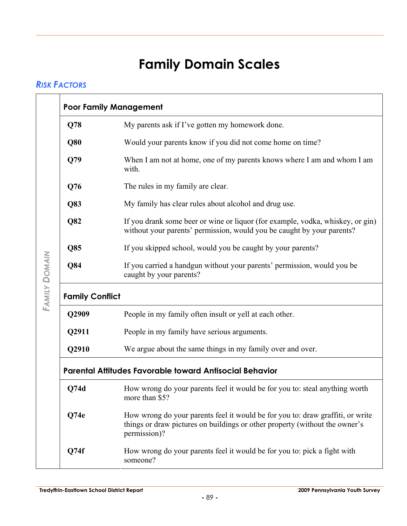# **Family Domain Scales**

#### *RISK FACTORS*

| Q78                    | My parents ask if I've gotten my homework done.                                                                                                                               |
|------------------------|-------------------------------------------------------------------------------------------------------------------------------------------------------------------------------|
| Q80                    | Would your parents know if you did not come home on time?                                                                                                                     |
| Q79                    | When I am not at home, one of my parents knows where I am and whom I am<br>with.                                                                                              |
| Q76                    | The rules in my family are clear.                                                                                                                                             |
| Q83                    | My family has clear rules about alcohol and drug use.                                                                                                                         |
| Q82                    | If you drank some beer or wine or liquor (for example, vodka, whiskey, or gin)<br>without your parents' permission, would you be caught by your parents?                      |
| Q85                    | If you skipped school, would you be caught by your parents?                                                                                                                   |
| Q84                    | If you carried a handgun without your parents' permission, would you be<br>caught by your parents?                                                                            |
| <b>Family Conflict</b> |                                                                                                                                                                               |
| Q2909                  | People in my family often insult or yell at each other.                                                                                                                       |
| Q2911                  | People in my family have serious arguments.                                                                                                                                   |
| Q2910                  | We argue about the same things in my family over and over.                                                                                                                    |
|                        | <b>Parental Attitudes Favorable toward Antisocial Behavior</b>                                                                                                                |
|                        |                                                                                                                                                                               |
| Q74d                   | How wrong do your parents feel it would be for you to: steal anything worth<br>more than \$5?                                                                                 |
| Q74e                   | How wrong do your parents feel it would be for you to: draw graffiti, or write<br>things or draw pictures on buildings or other property (without the owner's<br>permission)? |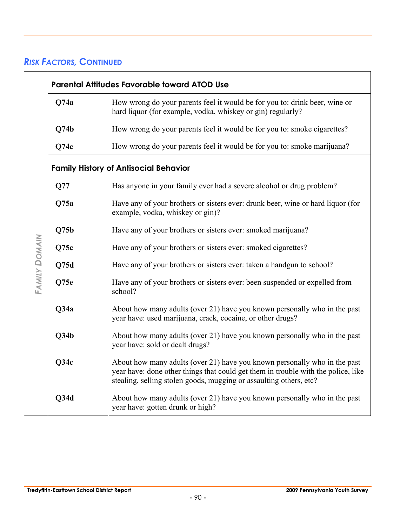|                              | <b>Parental Attitudes Favorable toward ATOD Use</b>                                                                                                                                                                                  |
|------------------------------|--------------------------------------------------------------------------------------------------------------------------------------------------------------------------------------------------------------------------------------|
| Q74a                         | How wrong do your parents feel it would be for you to: drink beer, wine or<br>hard liquor (for example, vodka, whiskey or gin) regularly?                                                                                            |
| Q74b                         | How wrong do your parents feel it would be for you to: smoke cigarettes?                                                                                                                                                             |
| Q74c                         | How wrong do your parents feel it would be for you to: smoke marijuana?                                                                                                                                                              |
|                              | <b>Family History of Antisocial Behavior</b>                                                                                                                                                                                         |
| Q77                          | Has anyone in your family ever had a severe alcohol or drug problem?                                                                                                                                                                 |
| Q75a                         | Have any of your brothers or sisters ever: drunk beer, wine or hard liquor (for<br>example, vodka, whiskey or gin)?                                                                                                                  |
| Q75b                         | Have any of your brothers or sisters ever: smoked marijuana?                                                                                                                                                                         |
| Q75c                         | Have any of your brothers or sisters ever: smoked cigarettes?                                                                                                                                                                        |
| Q75d                         | Have any of your brothers or sisters ever: taken a handgun to school?                                                                                                                                                                |
| <b>FAMILY DOMAIN</b><br>Q75e | Have any of your brothers or sisters ever: been suspended or expelled from<br>school?                                                                                                                                                |
| Q34a                         | About how many adults (over 21) have you known personally who in the past<br>year have: used marijuana, crack, cocaine, or other drugs?                                                                                              |
| Q34b                         | About how many adults (over 21) have you known personally who in the past<br>year have: sold or dealt drugs?                                                                                                                         |
| Q34c                         | About how many adults (over 21) have you known personally who in the past<br>year have: done other things that could get them in trouble with the police, like<br>stealing, selling stolen goods, mugging or assaulting others, etc? |
| Q34d                         | About how many adults (over 21) have you known personally who in the past<br>year have: gotten drunk or high?                                                                                                                        |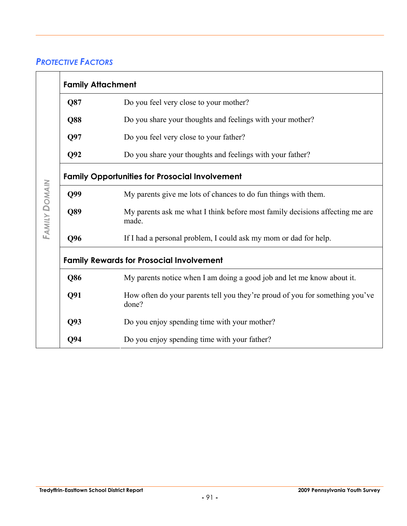### *PROTECTIVE FACTORS*

| <b>Family Attachment</b> |                                                                                       |
|--------------------------|---------------------------------------------------------------------------------------|
| Q87                      | Do you feel very close to your mother?                                                |
| <b>Q88</b>               | Do you share your thoughts and feelings with your mother?                             |
| Q97                      | Do you feel very close to your father?                                                |
| Q92                      | Do you share your thoughts and feelings with your father?                             |
|                          | <b>Family Opportunities for Prosocial Involvement</b>                                 |
| Q99                      | My parents give me lots of chances to do fun things with them.                        |
| Q89                      | My parents ask me what I think before most family decisions affecting me are<br>made. |
| Q96                      | If I had a personal problem, I could ask my mom or dad for help.                      |
|                          | <b>Family Rewards for Prosocial Involvement</b>                                       |
| Q86                      | My parents notice when I am doing a good job and let me know about it.                |
| Q91                      | How often do your parents tell you they're proud of you for something you've<br>done? |
| Q <sub>93</sub>          | Do you enjoy spending time with your mother?                                          |
| Q94                      | Do you enjoy spending time with your father?                                          |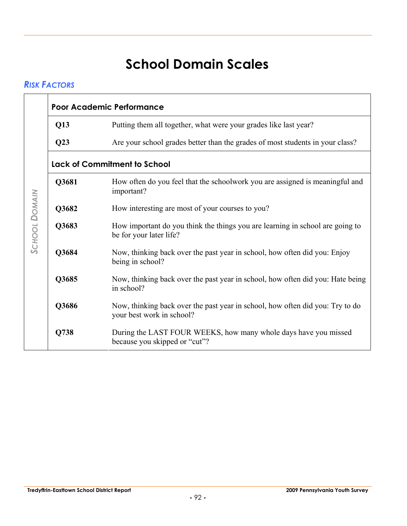# **School Domain Scales**

### *RISK FACTORS*

| Q13   | Putting them all together, what were your grades like last year?                                           |
|-------|------------------------------------------------------------------------------------------------------------|
| Q23   | Are your school grades better than the grades of most students in your class?                              |
|       | <b>Lack of Commitment to School</b>                                                                        |
| Q3681 | How often do you feel that the schoolwork you are assigned is meaningful and<br>important?                 |
| Q3682 | How interesting are most of your courses to you?                                                           |
| Q3683 | How important do you think the things you are learning in school are going to<br>be for your later life?   |
| Q3684 | Now, thinking back over the past year in school, how often did you: Enjoy<br>being in school?              |
| Q3685 | Now, thinking back over the past year in school, how often did you: Hate being<br>in school?               |
| Q3686 | Now, thinking back over the past year in school, how often did you: Try to do<br>your best work in school? |
| Q738  | During the LAST FOUR WEEKS, how many whole days have you missed<br>because you skipped or "cut"?           |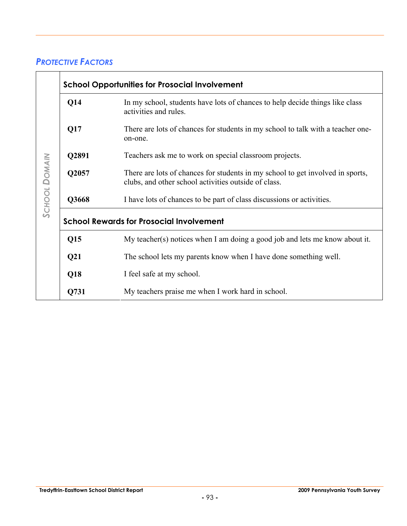#### *PROTECTIVE FACTORS*

| Q14             | In my school, students have lots of chances to help decide things like class<br>activities and rules.                                  |
|-----------------|----------------------------------------------------------------------------------------------------------------------------------------|
| Q17             | There are lots of chances for students in my school to talk with a teacher one-<br>on-one.                                             |
| Q2891           | Teachers ask me to work on special classroom projects.                                                                                 |
| Q2057           | There are lots of chances for students in my school to get involved in sports,<br>clubs, and other school activities outside of class. |
| Q3668           | I have lots of chances to be part of class discussions or activities.                                                                  |
|                 | <b>School Rewards for Prosocial Involvement</b>                                                                                        |
|                 |                                                                                                                                        |
| Q15             | My teacher(s) notices when I am doing a good job and lets me know about it.                                                            |
| Q <sub>21</sub> | The school lets my parents know when I have done something well.                                                                       |
| Q18             | I feel safe at my school.                                                                                                              |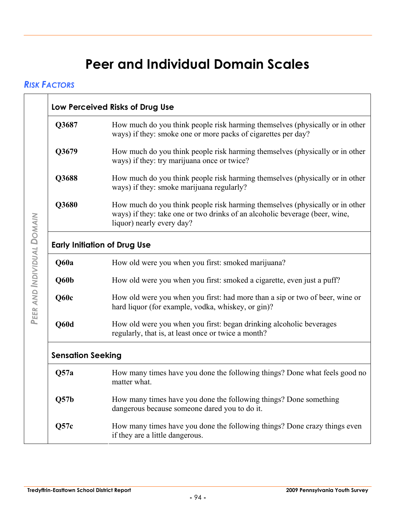# **Peer and Individual Domain Scales**

#### *RISK FACTORS*

| Q3687                               | How much do you think people risk harming themselves (physically or in other                                                                                                             |  |  |  |
|-------------------------------------|------------------------------------------------------------------------------------------------------------------------------------------------------------------------------------------|--|--|--|
|                                     | ways) if they: smoke one or more packs of cigarettes per day?                                                                                                                            |  |  |  |
| Q3679                               | How much do you think people risk harming themselves (physically or in other                                                                                                             |  |  |  |
|                                     | ways) if they: try marijuana once or twice?                                                                                                                                              |  |  |  |
| Q3688                               | How much do you think people risk harming themselves (physically or in other<br>ways) if they: smoke marijuana regularly?                                                                |  |  |  |
| Q3680                               | How much do you think people risk harming themselves (physically or in other<br>ways) if they: take one or two drinks of an alcoholic beverage (beer, wine,<br>liquor) nearly every day? |  |  |  |
| <b>Early Initiation of Drug Use</b> |                                                                                                                                                                                          |  |  |  |
| Q60a                                | How old were you when you first: smoked marijuana?                                                                                                                                       |  |  |  |
| Q60b                                | How old were you when you first: smoked a cigarette, even just a puff?                                                                                                                   |  |  |  |
| Q60c                                | How old were you when you first: had more than a sip or two of beer, wine or<br>hard liquor (for example, vodka, whiskey, or gin)?                                                       |  |  |  |
| Q60d                                | How old were you when you first: began drinking alcoholic beverages<br>regularly, that is, at least once or twice a month?                                                               |  |  |  |
| <b>Sensation Seeking</b>            |                                                                                                                                                                                          |  |  |  |
| Q57a                                | How many times have you done the following things? Done what feels good no<br>matter what.                                                                                               |  |  |  |
| Q57b                                | How many times have you done the following things? Done something<br>dangerous because someone dared you to do it.                                                                       |  |  |  |
| Q57c                                | How many times have you done the following things? Done crazy things even<br>if they are a little dangerous.                                                                             |  |  |  |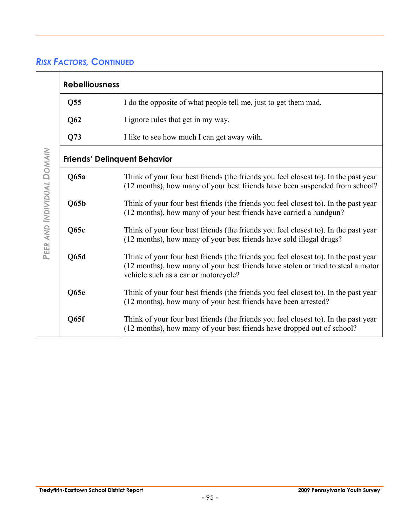|                            | <b>Rebelliousness</b>               |                                                                                                                                                                                                                 |  |
|----------------------------|-------------------------------------|-----------------------------------------------------------------------------------------------------------------------------------------------------------------------------------------------------------------|--|
|                            | Q <sub>55</sub>                     | I do the opposite of what people tell me, just to get them mad.                                                                                                                                                 |  |
|                            | Q62                                 | I ignore rules that get in my way.                                                                                                                                                                              |  |
|                            | Q73                                 | I like to see how much I can get away with.                                                                                                                                                                     |  |
|                            | <b>Friends' Delinquent Behavior</b> |                                                                                                                                                                                                                 |  |
| PEER AND INDIVIDUAL DOMAIN | Q65a                                | Think of your four best friends (the friends you feel closest to). In the past year<br>(12 months), how many of your best friends have been suspended from school?                                              |  |
|                            | Q65b                                | Think of your four best friends (the friends you feel closest to). In the past year<br>(12 months), how many of your best friends have carried a handgun?                                                       |  |
|                            | Q65c                                | Think of your four best friends (the friends you feel closest to). In the past year<br>(12 months), how many of your best friends have sold illegal drugs?                                                      |  |
|                            | Q65d                                | Think of your four best friends (the friends you feel closest to). In the past year<br>(12 months), how many of your best friends have stolen or tried to steal a motor<br>vehicle such as a car or motorcycle? |  |
|                            | Q65e                                | Think of your four best friends (the friends you feel closest to). In the past year<br>(12 months), how many of your best friends have been arrested?                                                           |  |
|                            | Q65f                                | Think of your four best friends (the friends you feel closest to). In the past year<br>(12 months), how many of your best friends have dropped out of school?                                                   |  |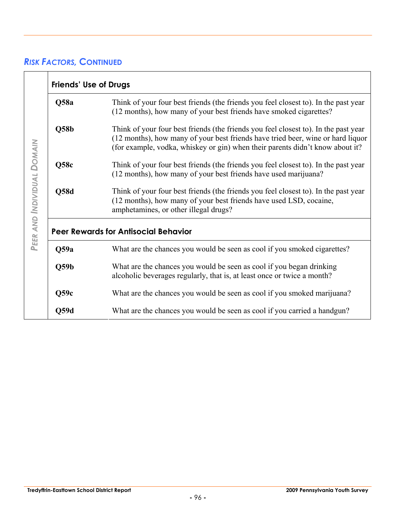|                            | <b>Friends' Use of Drugs</b>                |                                                                                                                                                                                                                                                         |  |
|----------------------------|---------------------------------------------|---------------------------------------------------------------------------------------------------------------------------------------------------------------------------------------------------------------------------------------------------------|--|
|                            | Q58a                                        | Think of your four best friends (the friends you feel closest to). In the past year<br>(12 months), how many of your best friends have smoked cigarettes?                                                                                               |  |
|                            | $\overline{\text{Q58b}}$                    | Think of your four best friends (the friends you feel closest to). In the past year<br>(12 months), how many of your best friends have tried beer, wine or hard liquor<br>(for example, vodka, whiskey or gin) when their parents didn't know about it? |  |
|                            | Q58c                                        | Think of your four best friends (the friends you feel closest to). In the past year<br>(12 months), how many of your best friends have used marijuana?                                                                                                  |  |
| PEER AND INDIVIDUAL DOMAIN | Q58d                                        | Think of your four best friends (the friends you feel closest to). In the past year<br>(12 months), how many of your best friends have used LSD, cocaine,<br>amphetamines, or other illegal drugs?                                                      |  |
|                            | <b>Peer Rewards for Antisocial Behavior</b> |                                                                                                                                                                                                                                                         |  |
|                            | Q59a                                        | What are the chances you would be seen as cool if you smoked cigarettes?                                                                                                                                                                                |  |
|                            | Q59b                                        | What are the chances you would be seen as cool if you began drinking<br>alcoholic beverages regularly, that is, at least once or twice a month?                                                                                                         |  |
|                            | Q59c                                        | What are the chances you would be seen as cool if you smoked marijuana?                                                                                                                                                                                 |  |
|                            | Q59d                                        | What are the chances you would be seen as cool if you carried a handgun?                                                                                                                                                                                |  |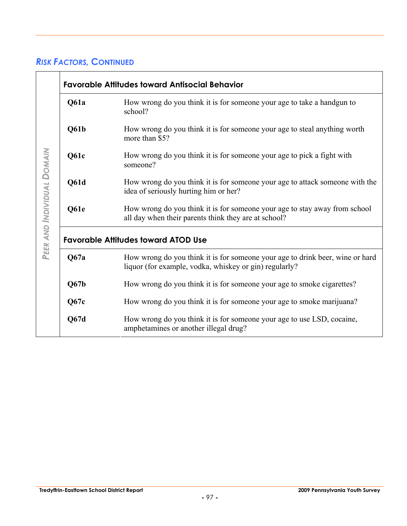|                            | <b>Favorable Attitudes toward Antisocial Behavior</b> |                                                                                                                                         |  |
|----------------------------|-------------------------------------------------------|-----------------------------------------------------------------------------------------------------------------------------------------|--|
|                            | Q61a                                                  | How wrong do you think it is for someone your age to take a handgun to<br>school?                                                       |  |
|                            | Q61b                                                  | How wrong do you think it is for someone your age to steal anything worth<br>more than \$5?                                             |  |
|                            | Q61c                                                  | How wrong do you think it is for someone your age to pick a fight with<br>someone?                                                      |  |
| PEER AND INDIVIDUAL DOMAIN | Q61d                                                  | How wrong do you think it is for someone your age to attack someone with the<br>idea of seriously hurting him or her?                   |  |
|                            | Q61e                                                  | How wrong do you think it is for someone your age to stay away from school<br>all day when their parents think they are at school?      |  |
|                            | <b>Favorable Attitudes toward ATOD Use</b>            |                                                                                                                                         |  |
|                            | Q67a                                                  | How wrong do you think it is for someone your age to drink beer, wine or hard<br>liquor (for example, vodka, whiskey or gin) regularly? |  |
|                            | Q67b                                                  | How wrong do you think it is for someone your age to smoke cigarettes?                                                                  |  |
|                            | Q67c                                                  | How wrong do you think it is for someone your age to smoke marijuana?                                                                   |  |
|                            | Q67d                                                  | How wrong do you think it is for someone your age to use LSD, cocaine,<br>amphetamines or another illegal drug?                         |  |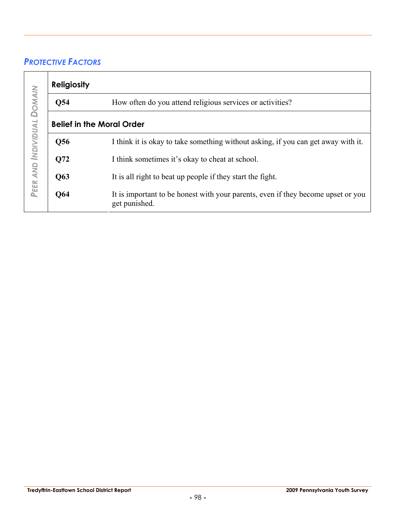### *PROTECTIVE FACTORS*

|                     | <b>Religiosity</b>               |                                                                                                   |  |
|---------------------|----------------------------------|---------------------------------------------------------------------------------------------------|--|
| <b>DOMAIN</b>       | Q54                              | How often do you attend religious services or activities?                                         |  |
|                     | <b>Belief in the Moral Order</b> |                                                                                                   |  |
|                     | Q56                              | I think it is okay to take something without asking, if you can get away with it.                 |  |
| PEER AND INDIVIDUAL | Q72                              | I think sometimes it's okay to cheat at school.                                                   |  |
|                     | Q63                              | It is all right to beat up people if they start the fight.                                        |  |
|                     | <b>Q64</b>                       | It is important to be honest with your parents, even if they become upset or you<br>get punished. |  |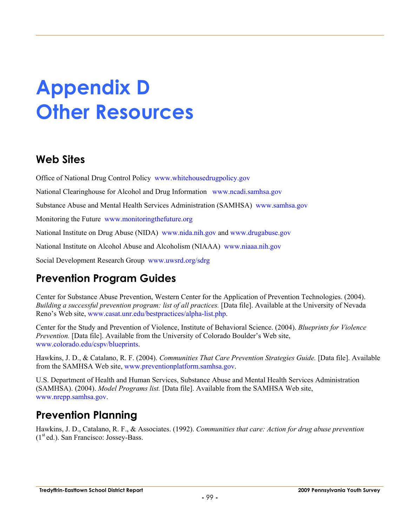# **Appendix D Other Resources**

# **Web Sites**

Office of National Drug Control Policy www.whitehousedrugpolicy.gov

National Clearinghouse for Alcohol and Drug Information www.ncadi.samhsa.gov

Substance Abuse and Mental Health Services Administration (SAMHSA) www.samhsa.gov

Monitoring the Future www.monitoringthefuture.org

National Institute on Drug Abuse (NIDA) www.nida.nih.gov and www.drugabuse.gov

National Institute on Alcohol Abuse and Alcoholism (NIAAA) www.niaaa.nih.gov

Social Development Research Group www.uwsrd.org/sdrg

# **Prevention Program Guides**

Center for Substance Abuse Prevention, Western Center for the Application of Prevention Technologies. (2004). *Building a successful prevention program: list of all practices.* [Data file]. Available at the University of Nevada Reno's Web site, www.casat.unr.edu/bestpractices/alpha-list.php.

Center for the Study and Prevention of Violence, Institute of Behavioral Science. (2004). *Blueprints for Violence Prevention.* [Data file]. Available from the University of Colorado Boulder's Web site, www.colorado.edu/cspv/blueprints.

Hawkins, J. D., & Catalano, R. F. (2004). *Communities That Care Prevention Strategies Guide.* [Data file]. Available from the SAMHSA Web site, www.preventionplatform.samhsa.gov.

U.S. Department of Health and Human Services, Substance Abuse and Mental Health Services Administration (SAMHSA). (2004). *Model Programs list.* [Data file]. Available from the SAMHSA Web site, www.nrepp.samhsa.gov.

# **Prevention Planning**

Hawkins, J. D., Catalano, R. F., & Associates. (1992). *Communities that care: Action for drug abuse prevention*  $(1<sup>st</sup> ed.)$ . San Francisco: Jossey-Bass.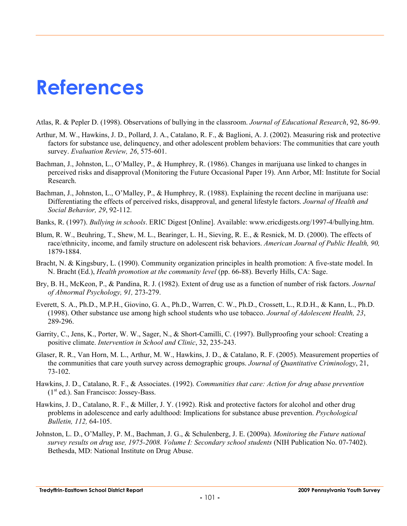# **References**

Atlas, R. & Pepler D. (1998). Observations of bullying in the classroom. *Journal of Educational Research*, 92, 86-99.

- Arthur, M. W., Hawkins, J. D., Pollard, J. A., Catalano, R. F., & Baglioni, A. J. (2002). Measuring risk and protective factors for substance use, delinquency, and other adolescent problem behaviors: The communities that care youth survey. *Evaluation Review, 26*, 575-601.
- Bachman, J., Johnston, L., O'Malley, P., & Humphrey, R. (1986). Changes in marijuana use linked to changes in perceived risks and disapproval (Monitoring the Future Occasional Paper 19). Ann Arbor, MI: Institute for Social Research.
- Bachman, J., Johnston, L., O'Malley, P., & Humphrey, R. (1988). Explaining the recent decline in marijuana use: Differentiating the effects of perceived risks, disapproval, and general lifestyle factors. *Journal of Health and Social Behavior, 29*, 92-112.
- Banks, R. (1997). *Bullying in schools*. ERIC Digest [Online]. Available: www.ericdigests.org/1997-4/bullying.htm.
- Blum, R. W., Beuhring, T., Shew, M. L., Bearinger, L. H., Sieving, R. E., & Resnick, M. D. (2000). The effects of race/ethnicity, income, and family structure on adolescent risk behaviors. *American Journal of Public Health, 90,* 1879-1884.
- Bracht, N. & Kingsbury, L. (1990). Community organization principles in health promotion: A five-state model. In N. Bracht (Ed.), *Health promotion at the community level* (pp. 66-88). Beverly Hills, CA: Sage.
- Bry, B. H., McKeon, P., & Pandina, R. J. (1982). Extent of drug use as a function of number of risk factors. *Journal of Abnormal Psychology, 91,* 273-279.
- Everett, S. A., Ph.D., M.P.H., Giovino, G. A., Ph.D., Warren, C. W., Ph.D., Crossett, L., R.D.H., & Kann, L., Ph.D. (1998). Other substance use among high school students who use tobacco. *Journal of Adolescent Health, 23*, 289-296.
- Garrity, C., Jens, K., Porter, W. W., Sager, N., & Short-Camilli, C. (1997). Bullyproofing your school: Creating a positive climate. *Intervention in School and Clinic*, 32, 235-243.
- Glaser, R. R., Van Horn, M. L., Arthur, M. W., Hawkins, J. D., & Catalano, R. F. (2005). Measurement properties of the communities that care youth survey across demographic groups. *Journal of Quantitative Criminology*, 21, 73-102.
- Hawkins, J. D., Catalano, R. F., & Associates. (1992). *Communities that care: Action for drug abuse prevention*   $(1<sup>st</sup> ed.)$ . San Francisco: Jossey-Bass.
- Hawkins, J. D., Catalano, R. F., & Miller, J. Y. (1992). Risk and protective factors for alcohol and other drug problems in adolescence and early adulthood: Implications for substance abuse prevention. *Psychological Bulletin, 112,* 64-105.
- Johnston, L. D., O'Malley, P. M., Bachman, J. G., & Schulenberg, J. E. (2009a). *Monitoring the Future national survey results on drug use, 1975-2008. Volume I: Secondary school students* (NIH Publication No. 07-7402). Bethesda, MD: National Institute on Drug Abuse.